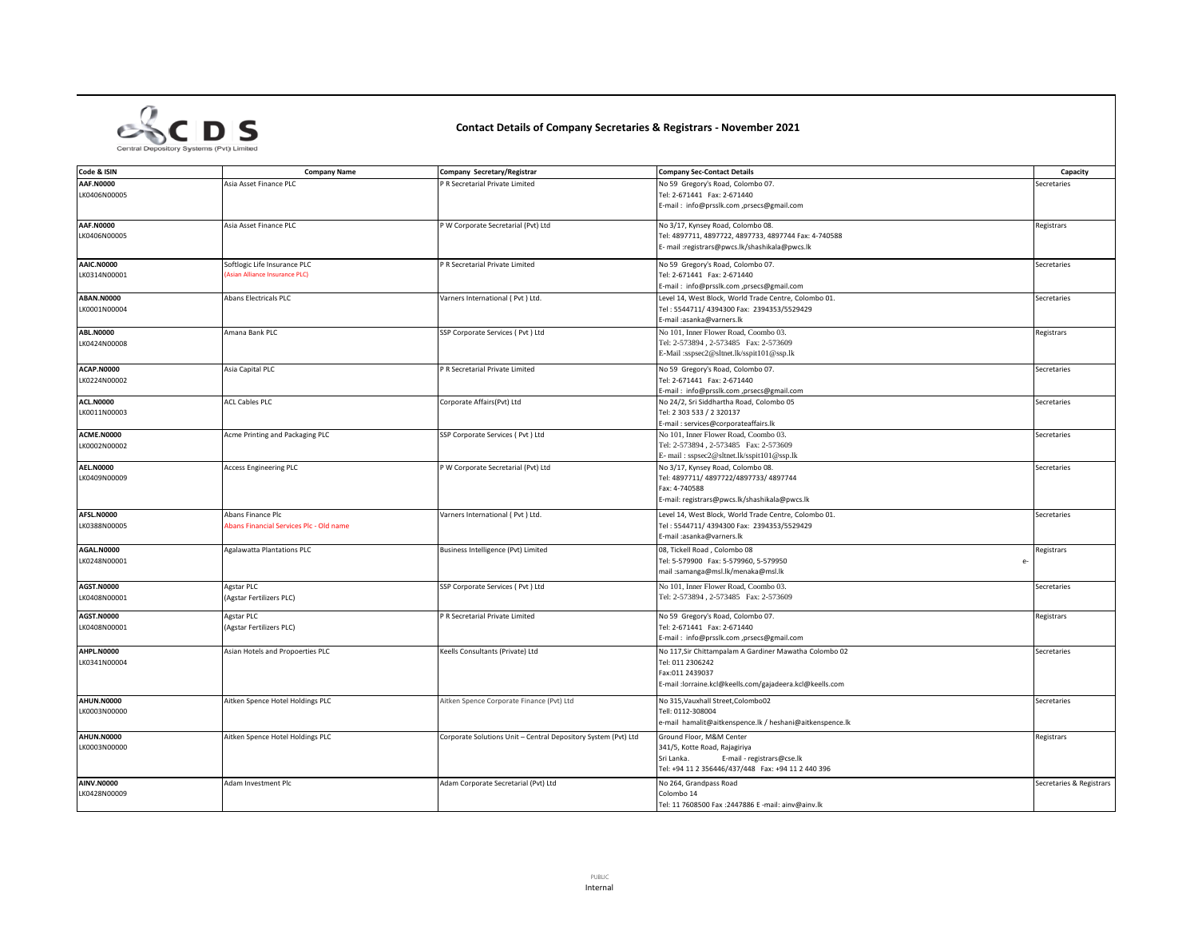

## **Contact Details of Company Secretaries & Registrars - November 2021**

| Code & ISIN                       | <b>Company Name</b>                     | Company Secretary/Registrar                                    | <b>Company Sec-Contact Details</b>                                             | Capacity                 |
|-----------------------------------|-----------------------------------------|----------------------------------------------------------------|--------------------------------------------------------------------------------|--------------------------|
| <b>AAF.N0000</b>                  |                                         |                                                                |                                                                                |                          |
| LK0406N00005                      | Asia Asset Finance PLC                  | P R Secretarial Private Limited                                | No 59 Gregory's Road, Colombo 07.<br>Tel: 2-671441 Fax: 2-671440               | Secretaries              |
|                                   |                                         |                                                                | E-mail: info@prsslk.com ,prsecs@gmail.com                                      |                          |
| <b>AAF.N0000</b>                  | Asia Asset Finance PLC                  | P W Corporate Secretarial (Pvt) Ltd                            | No 3/17, Kynsey Road, Colombo 08.                                              | Registrars               |
| LK0406N00005                      |                                         |                                                                | Tel: 4897711, 4897722, 4897733, 4897744 Fax: 4-740588                          |                          |
|                                   |                                         |                                                                | E- mail :registrars@pwcs.lk/shashikala@pwcs.lk                                 |                          |
| <b>AAIC.N0000</b>                 | Softlogic Life Insurance PLC            | P R Secretarial Private Limited                                | No 59 Gregory's Road, Colombo 07.                                              | Secretaries              |
| LK0314N00001                      | <b>Asian Alliance Insurance PLC)</b>    |                                                                | Tel: 2-671441 Fax: 2-671440                                                    |                          |
|                                   |                                         |                                                                | E-mail: info@prsslk.com,prsecs@gmail.com                                       |                          |
| <b>ABAN.N0000</b>                 | Abans Electricals PLC                   | Varners International (Pvt) Ltd.                               | Level 14, West Block, World Trade Centre, Colombo 01.                          | Secretaries              |
| LK0001N00004                      |                                         |                                                                | Tel: 5544711/ 4394300 Fax: 2394353/5529429<br>E-mail :asanka@varners.lk        |                          |
| <b>ABL.N0000</b>                  | Amana Bank PLC                          | SSP Corporate Services ( Pvt ) Ltd                             | No 101, Inner Flower Road, Coombo 03,                                          | Registrars               |
| LK0424N00008                      |                                         |                                                                | Tel: 2-573894, 2-573485 Fax: 2-573609                                          |                          |
|                                   |                                         |                                                                | E-Mail:sspsec2@sltnet.lk/sspit101@ssp.lk                                       |                          |
| ACAP.N0000                        | Asia Capital PLC                        | P R Secretarial Private Limited                                | No 59 Gregory's Road, Colombo 07.                                              | Secretaries              |
| LK0224N00002                      |                                         |                                                                | Tel: 2-671441 Fax: 2-671440                                                    |                          |
|                                   |                                         |                                                                | E-mail: info@prsslk.com ,prsecs@gmail.com                                      |                          |
| <b>ACL.N0000</b><br>LK0011N00003  | <b>ACL Cables PLC</b>                   | Corporate Affairs(Pvt) Ltd                                     | No 24/2, Sri Siddhartha Road, Colombo 05<br>Tel: 2 303 533 / 2 320137          | Secretaries              |
|                                   |                                         |                                                                | E-mail: services@corporateaffairs.lk                                           |                          |
| ACME.N0000                        | Acme Printing and Packaging PLC         | SSP Corporate Services ( Pvt ) Ltd                             | No 101, Inner Flower Road, Coombo 03.                                          | Secretaries              |
| LK0002N00002                      |                                         |                                                                | Tel: 2-573894, 2-573485 Fax: 2-573609                                          |                          |
|                                   |                                         |                                                                | E- mail: sspsec2@sltnet.lk/sspit101@ssp.lk                                     |                          |
| <b>AEL.N0000</b>                  | <b>Access Engineering PLC</b>           | P W Corporate Secretarial (Pvt) Ltd                            | No 3/17, Kynsey Road, Colombo 08.                                              | Secretaries              |
| LK0409N00009                      |                                         |                                                                | Tel: 4897711/ 4897722/4897733/ 4897744                                         |                          |
|                                   |                                         |                                                                | Fax: 4-740588                                                                  |                          |
|                                   |                                         |                                                                | E-mail: registrars@pwcs.lk/shashikala@pwcs.lk                                  |                          |
| AFSL.N0000                        | Abans Finance Plc                       | Varners International (Pvt) Ltd.                               | Level 14, West Block, World Trade Centre, Colombo 01.                          | Secretaries              |
| LK0388N00005                      | Abans Financial Services Plc - Old name |                                                                | Tel: 5544711/ 4394300 Fax: 2394353/5529429                                     |                          |
|                                   |                                         |                                                                | E-mail :asanka@varners.lk                                                      |                          |
| AGAL.N0000                        | Agalawatta Plantations PLC              | Business Intelligence (Pvt) Limited                            | 08, Tickell Road, Colombo 08                                                   | Registrars               |
| LK0248N00001                      |                                         |                                                                | Tel: 5-579900 Fax: 5-579960, 5-579950<br>mail:samanga@msl.lk/menaka@msl.lk     | e                        |
|                                   |                                         |                                                                |                                                                                |                          |
| <b>AGST.N0000</b><br>LK0408N00001 | Agstar PLC                              | SSP Corporate Services ( Pvt ) Ltd                             | No 101, Inner Flower Road, Coombo 03.<br>Tel: 2-573894, 2-573485 Fax: 2-573609 | Secretaries              |
|                                   | (Agstar Fertilizers PLC)                |                                                                |                                                                                |                          |
| <b>AGST.N0000</b>                 | Agstar PLC                              | P R Secretarial Private Limited                                | No 59 Gregory's Road, Colombo 07.                                              | Registrars               |
| LK0408N00001                      | (Agstar Fertilizers PLC)                |                                                                | Tel: 2-671441 Fax: 2-671440                                                    |                          |
|                                   |                                         |                                                                | E-mail: info@prsslk.com ,prsecs@gmail.com                                      |                          |
| AHPL.N0000                        | Asian Hotels and Propoerties PLC        | Keells Consultants (Private) Ltd                               | No 117, Sir Chittampalam A Gardiner Mawatha Colombo 02                         | Secretaries              |
| LK0341N00004                      |                                         |                                                                | Tel: 011 2306242                                                               |                          |
|                                   |                                         |                                                                | Fax:011 2439037                                                                |                          |
|                                   |                                         |                                                                | E-mail :lorraine.kcl@keells.com/gajadeera.kcl@keells.com                       |                          |
| <b>AHUN.N0000</b>                 | Aitken Spence Hotel Holdings PLC        | Aitken Spence Corporate Finance (Pvt) Ltd                      | No 315, Vauxhall Street, Colombo02                                             | Secretaries              |
| LK0003N00000                      |                                         |                                                                | Tell: 0112-308004                                                              |                          |
|                                   |                                         |                                                                | e-mail hamalit@aitkenspence.lk / heshani@aitkenspence.lk                       |                          |
| <b>AHUN.N0000</b>                 | Aitken Spence Hotel Holdings PLC        | Corporate Solutions Unit - Central Depository System (Pvt) Ltd | Ground Floor, M&M Center                                                       | Registrars               |
| LK0003N00000                      |                                         |                                                                | 341/5, Kotte Road, Rajagiriya                                                  |                          |
|                                   |                                         |                                                                | Sri Lanka.<br>E-mail - registrars@cse.lk                                       |                          |
|                                   |                                         |                                                                | Tel: +94 11 2 356446/437/448  Fax: +94 11 2 440 396                            |                          |
| <b>AINV.N0000</b><br>LK0428N00009 | Adam Investment Plc                     | Adam Corporate Secretarial (Pvt) Ltd                           | No 264, Grandpass Road<br>Colombo 14                                           | Secretaries & Registrars |
|                                   |                                         |                                                                | Tel: 11 7608500 Fax : 2447886 E -mail: ainv@ainv.lk                            |                          |
|                                   |                                         |                                                                |                                                                                |                          |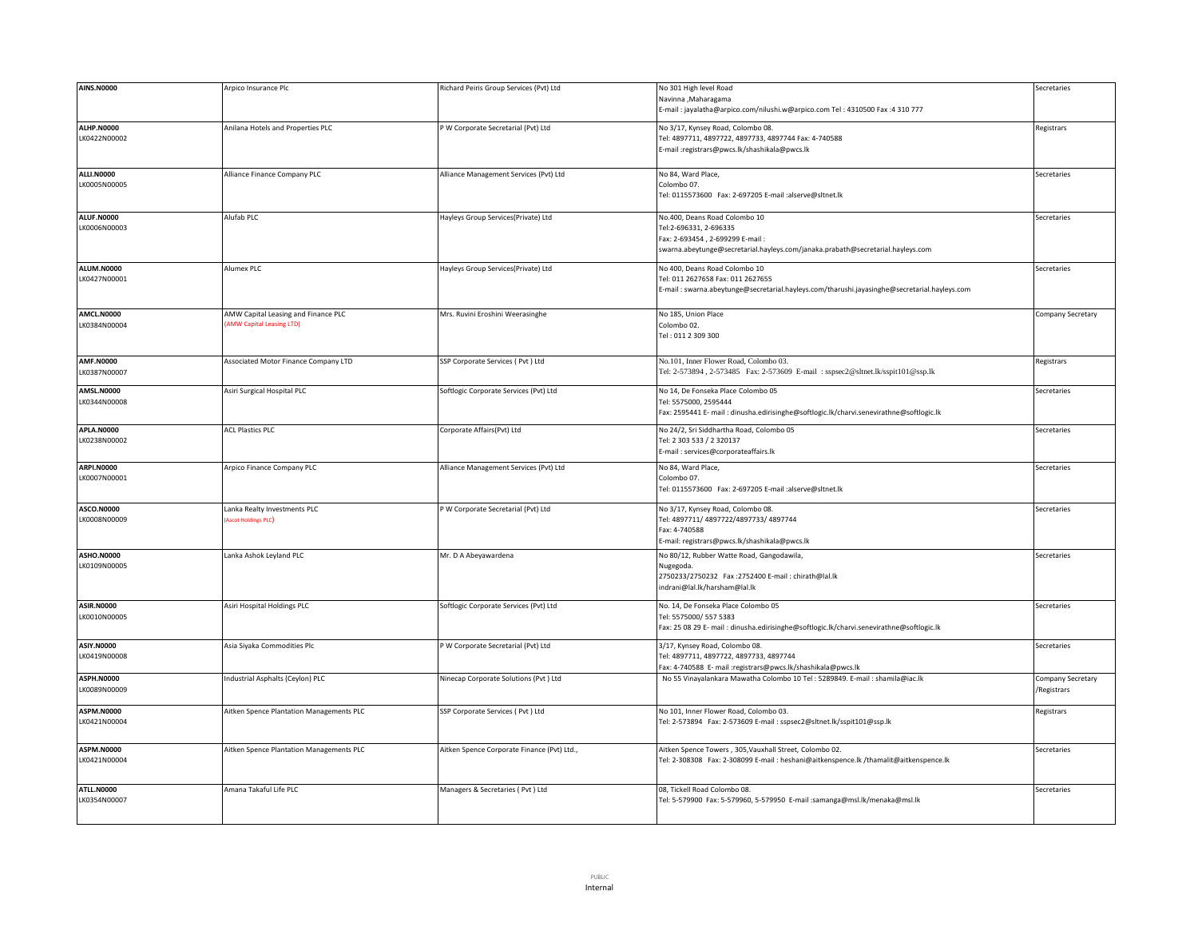| <b>AINS.N0000</b>                 | Arpico Insurance Plc                                                   | Richard Peiris Group Services (Pvt) Ltd     | No 301 High level Road<br>Navinna , Maharagama<br>:- mail: jayalatha@arpico.com/nilushi.w@arpico.com Tel: 4310500 Fax: 4310 777                                              | Secretaries                      |
|-----------------------------------|------------------------------------------------------------------------|---------------------------------------------|------------------------------------------------------------------------------------------------------------------------------------------------------------------------------|----------------------------------|
| <b>ALHP.N0000</b><br>LK0422N00002 | Anilana Hotels and Properties PLC                                      | P W Corporate Secretarial (Pvt) Ltd         | No 3/17, Kynsey Road, Colombo 08.<br>Tel: 4897711, 4897722, 4897733, 4897744 Fax: 4-740588<br>:-mail:registrars@pwcs.lk/shashikala@pwcs.lk                                   | Registrars                       |
| <b>ALLI.N0000</b><br>LK0005N00005 | Alliance Finance Company PLC                                           | Alliance Management Services (Pvt) Ltd      | No 84, Ward Place,<br>Colombo 07.<br>Tel: 0115573600 Fax: 2-697205 E-mail :alserve@sltnet.lk                                                                                 | Secretaries                      |
| <b>ALUF.N0000</b><br>LK0006N00003 | Alufab PLC                                                             | Hayleys Group Services(Private) Ltd         | No.400. Deans Road Colombo 10<br>Tel:2-696331, 2-696335<br>ax: 2-693454, 2-699299 E-mail:<br>swarna.abeytunge@secretarial.hayleys.com/janaka.prabath@secretarial.hayleys.com | Secretaries                      |
| <b>ALUM.N0000</b><br>LK0427N00001 | Alumex PLC                                                             | Hayleys Group Services(Private) Ltd         | No 400, Deans Road Colombo 10<br>Fel: 011 2627658 Fax: 011 2627655<br>E-mail: swarna.abeytunge@secretarial.hayleys.com/tharushi.jayasinghe@secretarial.hayleys.com           | Secretaries                      |
| AMCL.N0000<br>LK0384N00004        | AMW Capital Leasing and Finance PLC<br><b>AMW Capital Leasing LTD)</b> | Mrs. Ruvini Eroshini Weerasinghe            | No 185, Union Place<br>Colombo 02.<br>Tel: 011 2 309 300                                                                                                                     | Company Secretary                |
| AMF.N0000<br>LK0387N00007         | Associated Motor Finance Company LTD                                   | SSP Corporate Services (Pvt) Ltd            | No.101, Inner Flower Road, Colombo 03.<br>Tel: 2-573894, 2-573485 Fax: 2-573609 E-mail: sspsec2@sltnet.lk/sspit101@ssp.lk                                                    | Registrars                       |
| <b>AMSL.N0000</b><br>LK0344N00008 | Asiri Surgical Hospital PLC                                            | Softlogic Corporate Services (Pvt) Ltd      | No 14, De Fonseka Place Colombo 05<br>Tel: 5575000, 2595444<br>Fax: 2595441 E-mail: dinusha.edirisinghe@softlogic.lk/charvi.senevirathne@softlogic.lk                        | Secretaries                      |
| <b>APLA.N0000</b><br>LK0238N00002 | <b>ACL Plastics PLC</b>                                                | Corporate Affairs(Pvt) Ltd                  | No 24/2, Sri Siddhartha Road, Colombo 05<br>Tel: 2 303 533 / 2 320137<br>E-mail: services@corporateaffairs.lk                                                                | Secretaries                      |
| <b>ARPI.N0000</b><br>LK0007N00001 | Arpico Finance Company PLC                                             | Alliance Management Services (Pvt) Ltd      | No 84, Ward Place,<br>Colombo 07.<br>Tel: 0115573600 Fax: 2-697205 E-mail :alserve@sltnet.lk                                                                                 | Secretaries                      |
| ASCO.N0000<br>LK0008N00009        | Lanka Realty Investments PLC<br><b>Ascot Holdings PLC</b>              | P W Corporate Secretarial (Pvt) Ltd         | No 3/17, Kynsey Road, Colombo 08.<br>Tel: 4897711/ 4897722/4897733/ 4897744<br>Fax: 4-740588<br>E-mail: registrars@pwcs.lk/shashikala@pwcs.lk                                | Secretaries                      |
| ASHO.N0000<br>LK0109N00005        | Lanka Ashok Leyland PLC                                                | Mr. D A Abeyawardena                        | No 80/12, Rubber Watte Road, Gangodawila,<br>Nugegoda<br>2750233/2750232 Fax:2752400 E-mail: chirath@lal.lk<br>indrani@lal.lk/harsham@lal.lk                                 | Secretaries                      |
| <b>ASIR.N0000</b><br>LK0010N00005 | Asiri Hospital Holdings PLC                                            | Softlogic Corporate Services (Pvt) Ltd      | No. 14, De Fonseka Place Colombo 05<br>Tel: 5575000/ 557 5383<br>Fax: 25 08 29 E- mail: dinusha.edirisinghe@softlogic.lk/charvi.senevirathne@softlogic.lk                    | Secretaries                      |
| <b>ASIY.N0000</b><br>LK0419N00008 | Asia Siyaka Commodities Plc                                            | P W Corporate Secretarial (Pvt) Ltd         | 3/17, Kynsey Road, Colombo 08.<br>Fel: 4897711, 4897722, 4897733, 4897744<br>Fax: 4-740588 E- mail :registrars@pwcs.lk/shashikala@pwcs.lk                                    | Secretaries                      |
| <b>ASPH.N0000</b><br>LK0089N00009 | Industrial Asphalts (Ceylon) PLC                                       | Ninecap Corporate Solutions (Pvt) Ltd       | No 55 Vinayalankara Mawatha Colombo 10 Tel: 5289849. E-mail: shamila@iac.lk                                                                                                  | Company Secretary<br>/Registrars |
| <b>ASPM.N0000</b><br>LK0421N00004 | Aitken Spence Plantation Managements PLC                               | SSP Corporate Services ( Pvt ) Ltd          | No 101, Inner Flower Road, Colombo 03.<br>Tel: 2-573894 Fax: 2-573609 E-mail : sspsec2@sltnet.lk/sspit101@ssp.lk                                                             | Registrars                       |
| ASPM.N0000<br>LK0421N00004        | Aitken Spence Plantation Managements PLC                               | Aitken Spence Corporate Finance (Pvt) Ltd., | Aitken Spence Towers, 305, Vauxhall Street, Colombo 02.<br>Tel: 2-308308 Fax: 2-308099 E-mail: heshani@aitkenspence.lk /thamalit@aitkenspence.lk                             | Secretaries                      |
| ATLL.N0000<br>LK0354N00007        | Amana Takaful Life PLC                                                 | Managers & Secretaries (Pvt) Ltd            | 08, Tickell Road Colombo 08.<br>Tel: 5-579900 Fax: 5-579960, 5-579950 E-mail :samanga@msl.lk/menaka@msl.lk                                                                   | Secretaries                      |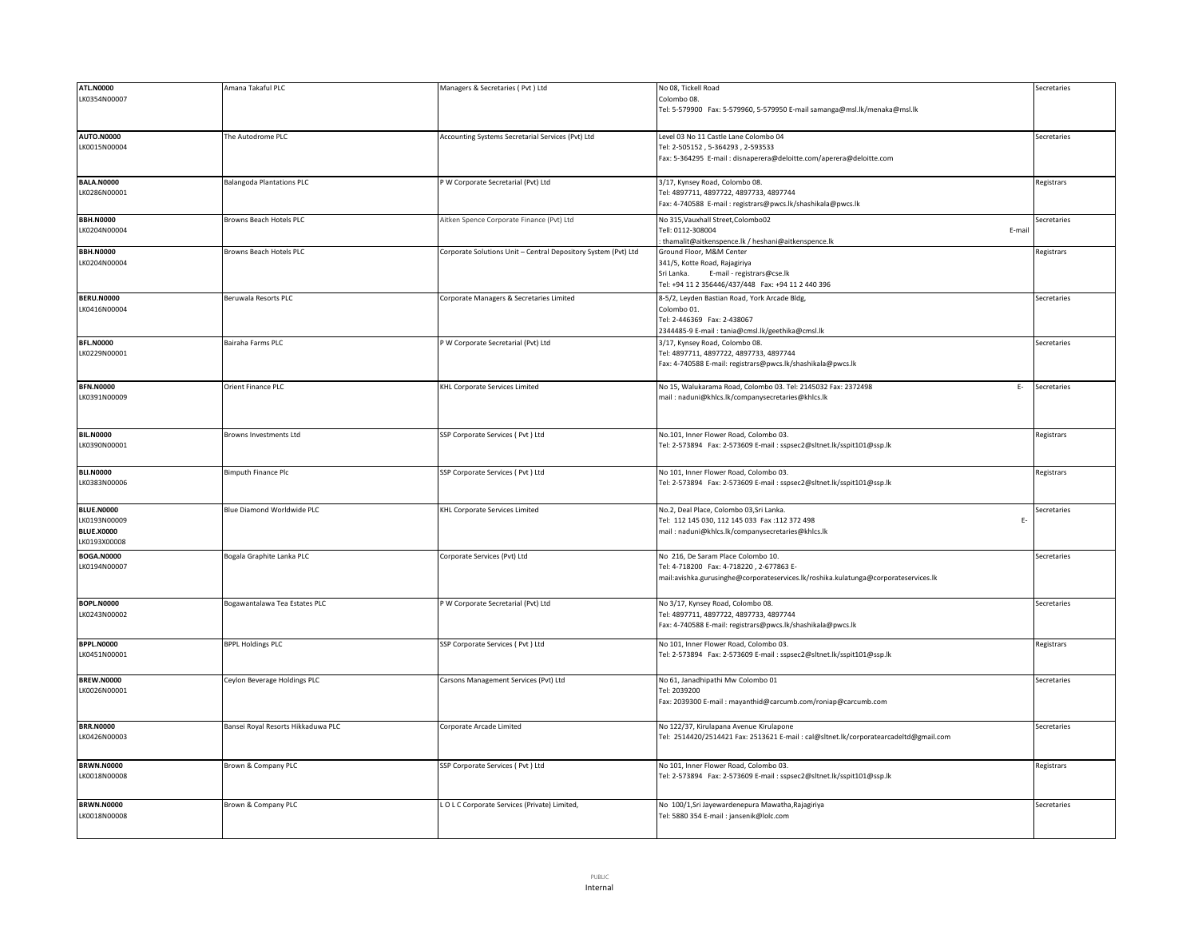| <b>ATL.N0000</b>  | Amana Takaful PLC                  | Managers & Secretaries (Pvt ) Ltd                              | No 08. Tickell Road                                                                   | Secretaries |
|-------------------|------------------------------------|----------------------------------------------------------------|---------------------------------------------------------------------------------------|-------------|
| LK0354N00007      |                                    |                                                                | Colombo 08.                                                                           |             |
|                   |                                    |                                                                | Tel: 5-579900 Fax: 5-579960, 5-579950 E-mail samanga@msl.lk/menaka@msl.lk             |             |
|                   |                                    |                                                                |                                                                                       |             |
|                   |                                    |                                                                |                                                                                       |             |
| <b>AUTO.N0000</b> | The Autodrome PLC                  | Accounting Systems Secretarial Services (Pvt) Ltd              | Level 03 No 11 Castle Lane Colombo 04                                                 | Secretaries |
| LK0015N00004      |                                    |                                                                | Tel: 2-505152, 5-364293, 2-593533                                                     |             |
|                   |                                    |                                                                | Fax: 5-364295 E-mail : disnaperera@deloitte.com/aperera@deloitte.com                  |             |
|                   |                                    |                                                                |                                                                                       |             |
| <b>BALA.N0000</b> | <b>Balangoda Plantations PLC</b>   | P W Corporate Secretarial (Pvt) Ltd                            | 3/17, Kynsey Road, Colombo 08.                                                        | Registrars  |
| LK0286N00001      |                                    |                                                                | Tel: 4897711, 4897722, 4897733, 4897744                                               |             |
|                   |                                    |                                                                | Fax: 4-740588 E-mail: registrars@pwcs.lk/shashikala@pwcs.lk                           |             |
| <b>BBH.N0000</b>  |                                    |                                                                | No 315, Vauxhall Street, Colombo02                                                    |             |
|                   | Browns Beach Hotels PLC            | Aitken Spence Corporate Finance (Pvt) Ltd                      | Tell: 0112-308004                                                                     | Secretaries |
| LK0204N00004      |                                    |                                                                | E-mai                                                                                 |             |
|                   |                                    |                                                                | thamalit@aitkenspence.lk / heshani@aitkenspence.lk                                    |             |
| <b>BBH.N0000</b>  | Browns Beach Hotels PLC            | Corporate Solutions Unit - Central Depository System (Pvt) Ltd | Ground Floor, M&M Center                                                              | Registrars  |
| LK0204N00004      |                                    |                                                                | 341/5, Kotte Road, Rajagiriya                                                         |             |
|                   |                                    |                                                                | Sri Lanka.<br>E-mail - registrars@cse.lk                                              |             |
|                   |                                    |                                                                | Tel: +94 11 2 356446/437/448  Fax: +94 11 2 440 396                                   |             |
| <b>BERU.N0000</b> | Beruwala Resorts PLC               | Corporate Managers & Secretaries Limited                       | 8-5/2, Leyden Bastian Road, York Arcade Bldg,                                         | Secretaries |
| LK0416N00004      |                                    |                                                                | Colombo 01.                                                                           |             |
|                   |                                    |                                                                | Tel: 2-446369 Fax: 2-438067                                                           |             |
|                   |                                    |                                                                | 2344485-9 E-mail: tania@cmsl.lk/geethika@cmsl.lk                                      |             |
| <b>BFL.N0000</b>  | Bairaha Farms PLC                  | P W Corporate Secretarial (Pvt) Ltd                            | 3/17, Kynsey Road, Colombo 08.                                                        | Secretaries |
| LK0229N00001      |                                    |                                                                | Tel: 4897711, 4897722, 4897733, 4897744                                               |             |
|                   |                                    |                                                                | Fax: 4-740588 E-mail: registrars@pwcs.lk/shashikala@pwcs.lk                           |             |
|                   |                                    |                                                                |                                                                                       |             |
|                   |                                    |                                                                |                                                                                       |             |
| <b>BFN.N0000</b>  | Orient Finance PLC                 | KHL Corporate Services Limited                                 | No 15, Walukarama Road, Colombo 03. Tel: 2145032 Fax: 2372498<br>E-                   | Secretaries |
| LK0391N00009      |                                    |                                                                | mail: naduni@khlcs.lk/companysecretaries@khlcs.lk                                     |             |
|                   |                                    |                                                                |                                                                                       |             |
|                   |                                    |                                                                |                                                                                       |             |
| <b>BIL.N0000</b>  | Browns Investments Ltd             | SSP Corporate Services (Pvt ) Ltd                              | No.101, Inner Flower Road, Colombo 03.                                                | Registrars  |
| LK0390N00001      |                                    |                                                                | Tel: 2-573894 Fax: 2-573609 E-mail : sspsec2@sltnet.lk/sspit101@ssp.lk                |             |
|                   |                                    |                                                                |                                                                                       |             |
|                   |                                    |                                                                |                                                                                       |             |
| <b>BLI.N0000</b>  | <b>Bimputh Finance Plc</b>         | SSP Corporate Services (Pvt) Ltd                               | No 101, Inner Flower Road, Colombo 03.                                                | Registrars  |
| LK0383N00006      |                                    |                                                                | Tel: 2-573894    Fax: 2-573609    E-mail : sspsec2@sltnet.lk/sspit101@ssp.lk          |             |
|                   |                                    |                                                                |                                                                                       |             |
|                   |                                    |                                                                |                                                                                       |             |
| <b>BLUE.N0000</b> | Blue Diamond Worldwide PLC         | KHL Corporate Services Limited                                 | No.2, Deal Place, Colombo 03,Sri Lanka.                                               | Secretaries |
| LK0193N00009      |                                    |                                                                | Tel: 112 145 030, 112 145 033 Fax:112 372 498<br>E-                                   |             |
| <b>BLUE.X0000</b> |                                    |                                                                | mail: naduni@khlcs.lk/companysecretaries@khlcs.lk                                     |             |
| LK0193X00008      |                                    |                                                                |                                                                                       |             |
| <b>BOGA.N0000</b> | Bogala Graphite Lanka PLC          | Corporate Services (Pvt) Ltd                                   | No 216, De Saram Place Colombo 10.                                                    | Secretaries |
| LK0194N00007      |                                    |                                                                | Tel: 4-718200 Fax: 4-718220, 2-677863 E-                                              |             |
|                   |                                    |                                                                | mail:avishka.gurusinghe@corporateservices.lk/roshika.kulatunga@corporateservices.lk   |             |
|                   |                                    |                                                                |                                                                                       |             |
|                   |                                    |                                                                |                                                                                       |             |
| <b>BOPL.N0000</b> | Bogawantalawa Tea Estates PLC      | P W Corporate Secretarial (Pvt) Ltd                            | No 3/17, Kynsey Road, Colombo 08.                                                     | Secretaries |
| LK0243N00002      |                                    |                                                                | Tel: 4897711, 4897722, 4897733, 4897744                                               |             |
|                   |                                    |                                                                | Fax: 4-740588 E-mail: registrars@pwcs.lk/shashikala@pwcs.lk                           |             |
|                   |                                    |                                                                |                                                                                       |             |
| <b>BPPL.N0000</b> | <b>BPPL Holdings PLC</b>           | SSP Corporate Services (Pvt ) Ltd                              | No 101, Inner Flower Road, Colombo 03.                                                | Registrars  |
| LK0451N00001      |                                    |                                                                | Tel: 2-573894 Fax: 2-573609 E-mail: sspsec2@sltnet.lk/sspit101@ssp.lk                 |             |
|                   |                                    |                                                                |                                                                                       |             |
| <b>BREW.N0000</b> | Ceylon Beverage Holdings PLC       | Carsons Management Services (Pvt) Ltd                          | No 61, Janadhipathi Mw Colombo 01                                                     | Secretaries |
| LK0026N00001      |                                    |                                                                | Tel: 2039200                                                                          |             |
|                   |                                    |                                                                | Fax: 2039300 E-mail: mayanthid@carcumb.com/roniap@carcumb.com                         |             |
|                   |                                    |                                                                |                                                                                       |             |
| <b>BRR.N0000</b>  |                                    |                                                                |                                                                                       |             |
|                   | Bansei Royal Resorts Hikkaduwa PLC | Corporate Arcade Limited                                       | No 122/37, Kirulapana Avenue Kirulapone                                               | Secretaries |
| LK0426N00003      |                                    |                                                                | Tel: 2514420/2514421 Fax: 2513621 E-mail : cal@sltnet.lk/corporatearcadeltd@gmail.com |             |
|                   |                                    |                                                                |                                                                                       |             |
| <b>BRWN.N0000</b> | Brown & Company PLC                | SSP Corporate Services (Pvt) Ltd                               | No 101, Inner Flower Road, Colombo 03.                                                | Registrars  |
| LK0018N00008      |                                    |                                                                | Tel: 2-573894 Fax: 2-573609 E-mail : sspsec2@sltnet.lk/sspit101@ssp.lk                |             |
|                   |                                    |                                                                |                                                                                       |             |
|                   |                                    |                                                                |                                                                                       |             |
| <b>BRWN.N0000</b> | Brown & Company PLC                | LOLC Corporate Services (Private) Limited,                     | No 100/1,Sri Jayewardenepura Mawatha, Rajagiriya                                      | Secretaries |
| LK0018N00008      |                                    |                                                                | Tel: 5880 354 E-mail : jansenik@lolc.com                                              |             |
|                   |                                    |                                                                |                                                                                       |             |
|                   |                                    |                                                                |                                                                                       |             |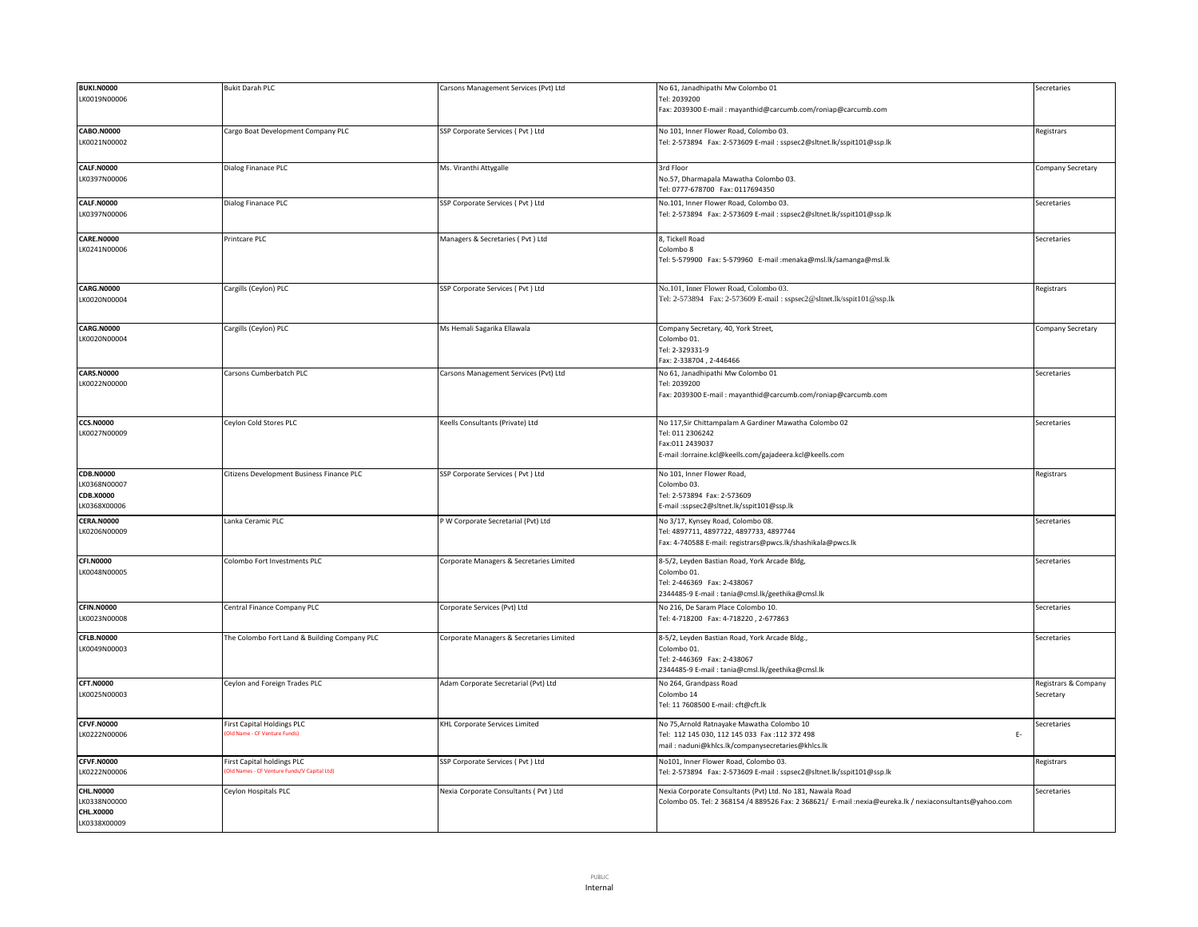| <b>BUKI.N0000</b> | <b>Bukit Darah PLC</b>                                                    | Carsons Management Services (Pvt) Ltd    | No 61, Janadhipathi Mw Colombo 01                                                                       | Secretaries          |
|-------------------|---------------------------------------------------------------------------|------------------------------------------|---------------------------------------------------------------------------------------------------------|----------------------|
| LK0019N00006      |                                                                           |                                          | Tel: 2039200                                                                                            |                      |
|                   |                                                                           |                                          | Fax: 2039300 E-mail: mayanthid@carcumb.com/roniap@carcumb.com                                           |                      |
|                   |                                                                           |                                          |                                                                                                         |                      |
|                   |                                                                           |                                          |                                                                                                         |                      |
| CABO.N0000        | Cargo Boat Development Company PLC                                        | SSP Corporate Services (Pvt ) Ltd        | No 101, Inner Flower Road, Colombo 03.                                                                  | Registrars           |
| LK0021N00002      |                                                                           |                                          | Tel: 2-573894    Fax: 2-573609    E-mail : sspsec2@sltnet.lk/sspit101@ssp.lk                            |                      |
|                   |                                                                           |                                          |                                                                                                         |                      |
| <b>CALF.N0000</b> | Dialog Finanace PLC                                                       | Ms. Viranthi Attygalle                   | 3rd Floor                                                                                               | Company Secretary    |
| LK0397N00006      |                                                                           |                                          | No.57, Dharmapala Mawatha Colombo 03.                                                                   |                      |
|                   |                                                                           |                                          | Tel: 0777-678700 Fax: 0117694350                                                                        |                      |
| <b>CALF.N0000</b> | Dialog Finanace PLC                                                       | SSP Corporate Services ( Pvt ) Ltd       | No.101, Inner Flower Road, Colombo 03.                                                                  |                      |
|                   |                                                                           |                                          |                                                                                                         | Secretaries          |
| LK0397N00006      |                                                                           |                                          | Tel: 2-573894 Fax: 2-573609 E-mail : sspsec2@sltnet.lk/sspit101@ssp.lk                                  |                      |
|                   |                                                                           |                                          |                                                                                                         |                      |
| <b>CARE.N0000</b> | Printcare PLC                                                             | Managers & Secretaries (Pvt) Ltd         | 8, Tickell Road                                                                                         | Secretaries          |
| LK0241N00006      |                                                                           |                                          | Colombo 8                                                                                               |                      |
|                   |                                                                           |                                          | Tel: 5-579900 Fax: 5-579960 E-mail :menaka@msl.lk/samanga@msl.lk                                        |                      |
|                   |                                                                           |                                          |                                                                                                         |                      |
|                   |                                                                           |                                          |                                                                                                         |                      |
| <b>CARG.N0000</b> | Cargills (Ceylon) PLC                                                     | SSP Corporate Services (Pvt ) Ltd        | No.101, Inner Flower Road, Colombo 03.                                                                  | Registrars           |
| LK0020N00004      |                                                                           |                                          | Tel: 2-573894 Fax: 2-573609 E-mail: sspsec2@sltnet.lk/sspit101@ssp.lk                                   |                      |
|                   |                                                                           |                                          |                                                                                                         |                      |
|                   |                                                                           |                                          |                                                                                                         |                      |
| <b>CARG.N0000</b> | Cargills (Ceylon) PLC                                                     | Ms Hemali Sagarika Ellawala              | Company Secretary, 40, York Street,                                                                     | Company Secretary    |
| LK0020N00004      |                                                                           |                                          | Colombo 01.                                                                                             |                      |
|                   |                                                                           |                                          | Tel: 2-329331-9                                                                                         |                      |
|                   |                                                                           |                                          | Fax: 2-338704, 2-446466                                                                                 |                      |
| <b>CARS.N0000</b> | Carsons Cumberbatch PLC                                                   | Carsons Management Services (Pvt) Ltd    | No 61, Janadhipathi Mw Colombo 01                                                                       | Secretaries          |
| LK0022N00000      |                                                                           |                                          | Tel: 2039200                                                                                            |                      |
|                   |                                                                           |                                          | Fax: 2039300 E-mail: mayanthid@carcumb.com/roniap@carcumb.com                                           |                      |
|                   |                                                                           |                                          |                                                                                                         |                      |
|                   |                                                                           |                                          |                                                                                                         |                      |
| <b>CCS.N0000</b>  | Ceylon Cold Stores PLC                                                    | Keells Consultants (Private) Ltd         | No 117, Sir Chittampalam A Gardiner Mawatha Colombo 02                                                  | Secretaries          |
| LK0027N00009      |                                                                           |                                          | Tel: 011 2306242                                                                                        |                      |
|                   |                                                                           |                                          | Fax:011 2439037                                                                                         |                      |
|                   |                                                                           |                                          | E-mail :lorraine.kcl@keells.com/gajadeera.kcl@keells.com                                                |                      |
|                   |                                                                           |                                          |                                                                                                         |                      |
| <b>CDB.N0000</b>  | Citizens Development Business Finance PLC                                 | SSP Corporate Services (Pvt) Ltd         | No 101, Inner Flower Road,                                                                              | Registrars           |
| LK0368N00007      |                                                                           |                                          | Colombo 03.                                                                                             |                      |
| CDB.X0000         |                                                                           |                                          | Tel: 2-573894 Fax: 2-573609                                                                             |                      |
| LK0368X00006      |                                                                           |                                          | E-mail:sspsec2@sltnet.lk/sspit101@ssp.lk                                                                |                      |
|                   |                                                                           |                                          |                                                                                                         |                      |
| <b>CERA.N0000</b> | Lanka Ceramic PLC                                                         | P W Corporate Secretarial (Pvt) Ltd      | No 3/17, Kynsey Road, Colombo 08.                                                                       | Secretaries          |
| LK0206N00009      |                                                                           |                                          | Tel: 4897711, 4897722, 4897733, 4897744                                                                 |                      |
|                   |                                                                           |                                          | Fax: 4-740588 E-mail: registrars@pwcs.lk/shashikala@pwcs.lk                                             |                      |
|                   |                                                                           |                                          |                                                                                                         |                      |
| <b>CFI.N0000</b>  | Colombo Fort Investments PLC                                              | Corporate Managers & Secretaries Limited | 8-5/2, Leyden Bastian Road, York Arcade Bldg,                                                           | Secretaries          |
| LK0048N00005      |                                                                           |                                          | Colombo 01.                                                                                             |                      |
|                   |                                                                           |                                          | Tel: 2-446369 Fax: 2-438067                                                                             |                      |
|                   |                                                                           |                                          | 2344485-9 E-mail: tania@cmsl.lk/geethika@cmsl.lk                                                        |                      |
| <b>CFIN.N0000</b> | Central Finance Company PLC                                               | Corporate Services (Pvt) Ltd             | No 216, De Saram Place Colombo 10.                                                                      | Secretaries          |
| LK0023N00008      |                                                                           |                                          | Tel: 4-718200 Fax: 4-718220, 2-677863                                                                   |                      |
|                   |                                                                           |                                          |                                                                                                         |                      |
| CFLB.N0000        | The Colombo Fort Land & Building Company PLC                              | Corporate Managers & Secretaries Limited | 8-5/2, Leyden Bastian Road, York Arcade Bldg.,                                                          | Secretaries          |
| LK0049N00003      |                                                                           |                                          | Colombo 01.                                                                                             |                      |
|                   |                                                                           |                                          | Tel: 2-446369 Fax: 2-438067                                                                             |                      |
|                   |                                                                           |                                          | 2344485-9 E-mail: tania@cmsl.lk/geethika@cmsl.lk                                                        |                      |
|                   |                                                                           |                                          |                                                                                                         |                      |
| <b>CFT.N0000</b>  | Ceylon and Foreign Trades PLC                                             | Adam Corporate Secretarial (Pvt) Ltd     | No 264, Grandpass Road                                                                                  | Registrars & Company |
| LK0025N00003      |                                                                           |                                          | Colombo 14                                                                                              | Secretary            |
|                   |                                                                           |                                          | Tel: 11 7608500 E-mail: cft@cft.lk                                                                      |                      |
|                   |                                                                           |                                          |                                                                                                         |                      |
| <b>CFVF.N0000</b> | First Capital Holdings PLC                                                | KHL Corporate Services Limited           | No 75, Arnold Ratnayake Mawatha Colombo 10                                                              | Secretaries          |
| LK0222N00006      | (Old Name - CF Venture Funds)                                             |                                          | Tel: 112 145 030, 112 145 033 Fax: 112 372 498<br>$E-$                                                  |                      |
|                   |                                                                           |                                          | mail: naduni@khlcs.lk/companysecretaries@khlcs.lk                                                       |                      |
| <b>CFVF.N0000</b> |                                                                           |                                          |                                                                                                         |                      |
|                   | First Capital holdings PLC<br>Old Names - CF Venture Funds/V Capital Ltd) | SSP Corporate Services (Pvt) Ltd         | No101, Inner Flower Road, Colombo 03.                                                                   | Registrars           |
| LK0222N00006      |                                                                           |                                          | Tel: 2-573894    Fax: 2-573609    E-mail : sspsec2@sltnet.lk/sspit101@ssp.lk                            |                      |
| <b>CHL.N0000</b>  | Ceylon Hospitals PLC                                                      | Nexia Corporate Consultants ( Pvt ) Ltd  | Nexia Corporate Consultants (Pvt) Ltd. No 181, Nawala Road                                              | Secretaries          |
| LK0338N00000      |                                                                           |                                          |                                                                                                         |                      |
|                   |                                                                           |                                          | Colombo 05. Tel: 2 368154 /4 889526 Fax: 2 368621/ E-mail :nexia@eureka.lk / nexiaconsultants@yahoo.com |                      |
| <b>CHL.X0000</b>  |                                                                           |                                          |                                                                                                         |                      |
| LK0338X00009      |                                                                           |                                          |                                                                                                         |                      |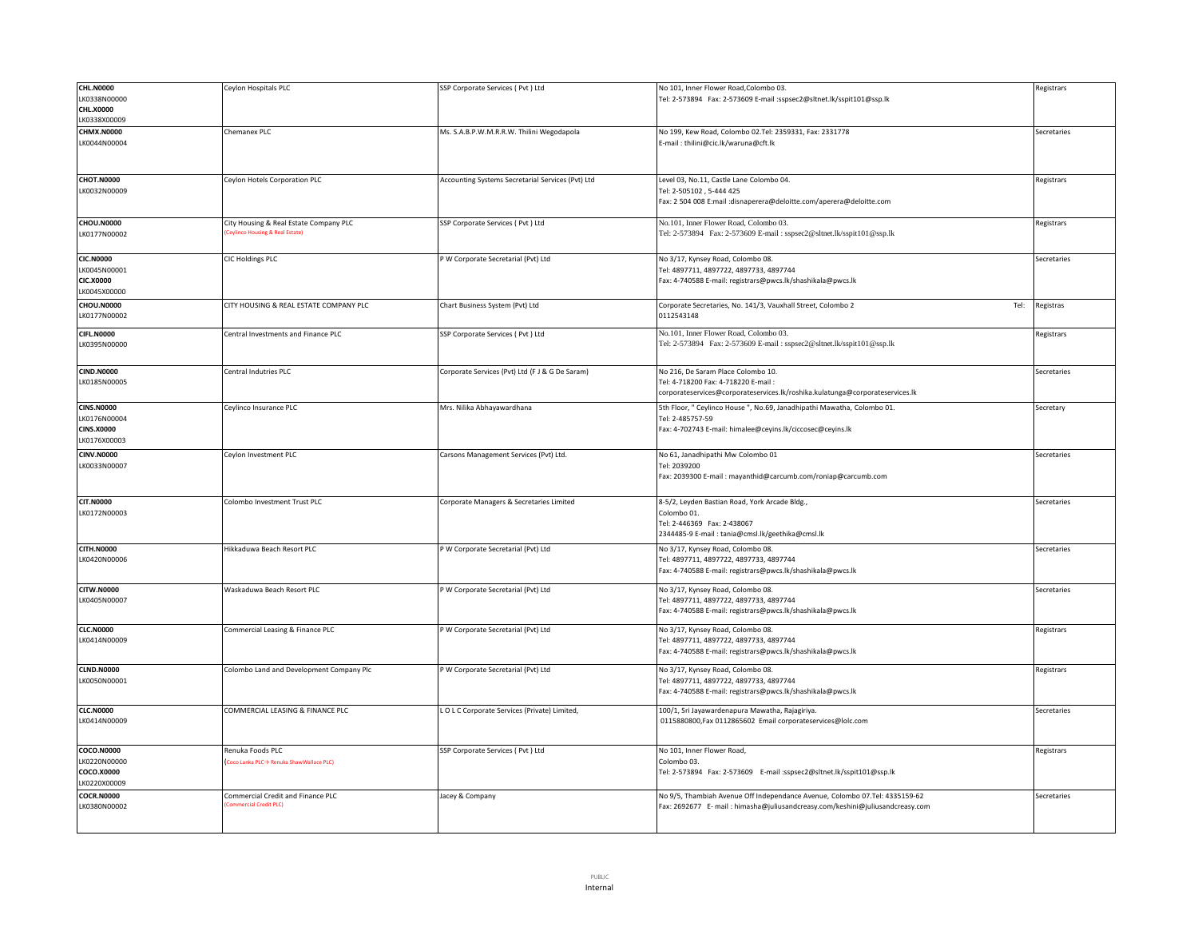| <b>CHL.N0000</b>  | Ceylon Hospitals PLC                     | SSP Corporate Services (Pvt) Ltd                  | No 101, Inner Flower Road, Colombo 03.                                        | Registrars  |
|-------------------|------------------------------------------|---------------------------------------------------|-------------------------------------------------------------------------------|-------------|
| LK0338N00000      |                                          |                                                   | Tel: 2-573894 Fax: 2-573609 E-mail :sspsec2@sltnet.lk/sspit101@ssp.lk         |             |
| <b>CHL.X0000</b>  |                                          |                                                   |                                                                               |             |
| K0338X00009       |                                          |                                                   |                                                                               |             |
| <b>CHMX.N0000</b> | Chemanex PLC                             | Ms. S.A.B.P.W.M.R.R.W. Thilini Wegodapola         | No 199, Kew Road, Colombo 02.Tel: 2359331, Fax: 2331778                       | Secretaries |
| LK0044N00004      |                                          |                                                   | E-mail: thilini@cic.lk/waruna@cft.lk                                          |             |
|                   |                                          |                                                   |                                                                               |             |
|                   |                                          |                                                   |                                                                               |             |
| <b>CHOT.N0000</b> | Ceylon Hotels Corporation PLC            | Accounting Systems Secretarial Services (Pvt) Ltd | Level 03, No.11, Castle Lane Colombo 04.                                      | Registrars  |
| LK0032N00009      |                                          |                                                   | Tel: 2-505102, 5-444 425                                                      |             |
|                   |                                          |                                                   | Fax: 2 504 008 E:mail :disnaperera@deloitte.com/aperera@deloitte.com          |             |
|                   |                                          |                                                   |                                                                               |             |
| <b>CHOU.N0000</b> | City Housing & Real Estate Company PLC   | SSP Corporate Services ( Pvt ) Ltd                | No.101, Inner Flower Road, Colombo 03.                                        | Registrars  |
| LK0177N00002      | Ceylinco Housing & Real Estate)          |                                                   | Tel: 2-573894 Fax: 2-573609 E-mail: sspsec2@sltnet.lk/sspit101@ssp.lk         |             |
|                   |                                          |                                                   |                                                                               |             |
|                   |                                          |                                                   |                                                                               |             |
| <b>CIC.N0000</b>  | CIC Holdings PLC                         | P W Corporate Secretarial (Pvt) Ltd               | No 3/17, Kynsey Road, Colombo 08.                                             | Secretaries |
| K0045N00001       |                                          |                                                   | Tel: 4897711, 4897722, 4897733, 4897744                                       |             |
| <b>CIC.X0000</b>  |                                          |                                                   | Fax: 4-740588 E-mail: registrars@pwcs.lk/shashikala@pwcs.lk                   |             |
| K0045X00000       |                                          |                                                   |                                                                               |             |
| <b>CHOU.N0000</b> | CITY HOUSING & REAL ESTATE COMPANY PLC   | Chart Business System (Pvt) Ltd                   | Corporate Secretaries, No. 141/3, Vauxhall Street, Colombo 2<br>Tel:          | Registras   |
| LK0177N00002      |                                          |                                                   | 0112543148                                                                    |             |
| <b>CIFL.N0000</b> | Central Investments and Finance PLC      | SSP Corporate Services (Pvt) Ltd                  | No.101, Inner Flower Road, Colombo 03.                                        | Registrars  |
| LK0395N00000      |                                          |                                                   | Tel: 2-573894 Fax: 2-573609 E-mail: sspsec2@sltnet.lk/sspit101@ssp.lk         |             |
|                   |                                          |                                                   |                                                                               |             |
|                   |                                          |                                                   |                                                                               |             |
| <b>CIND.N0000</b> | Central Indutries PLC                    | Corporate Services (Pvt) Ltd (F J & G De Saram)   | No 216, De Saram Place Colombo 10.                                            | Secretaries |
| LK0185N00005      |                                          |                                                   | Tel: 4-718200 Fax: 4-718220 E-mail                                            |             |
|                   |                                          |                                                   | corporateservices@corporateservices.lk/roshika.kulatunga@corporateservices.lk |             |
| <b>CINS.N0000</b> | Ceylinco Insurance PLC                   | Mrs. Nilika Abhayawardhana                        | 5th Floor, " Ceylinco House ", No.69, Janadhipathi Mawatha, Colombo 01.       | Secretary   |
| LK0176N00004      |                                          |                                                   | Tel: 2-485757-59                                                              |             |
| <b>CINS.X0000</b> |                                          |                                                   | Fax: 4-702743 E-mail: himalee@ceyins.lk/ciccosec@ceyins.lk                    |             |
| LK0176X00003      |                                          |                                                   |                                                                               |             |
| <b>CINV.N0000</b> | Ceylon Investment PLC                    | Carsons Management Services (Pvt) Ltd.            | No 61, Janadhipathi Mw Colombo 01                                             | Secretaries |
| LK0033N00007      |                                          |                                                   | Tel: 2039200                                                                  |             |
|                   |                                          |                                                   | Fax: 2039300 E-mail: mayanthid@carcumb.com/roniap@carcumb.com                 |             |
|                   |                                          |                                                   |                                                                               |             |
| <b>CIT.N0000</b>  | Colombo Investment Trust PLC             | Corporate Managers & Secretaries Limited          | 8-5/2, Leyden Bastian Road, York Arcade Bldg.,                                | Secretaries |
| LK0172N00003      |                                          |                                                   | Colombo 01.                                                                   |             |
|                   |                                          |                                                   | Tel: 2-446369 Fax: 2-438067                                                   |             |
|                   |                                          |                                                   | 2344485-9 E-mail: tania@cmsl.lk/geethika@cmsl.lk                              |             |
|                   |                                          |                                                   |                                                                               |             |
| <b>CITH.N0000</b> | Hikkaduwa Beach Resort PLC               | P W Corporate Secretarial (Pvt) Ltd               | No 3/17, Kynsey Road, Colombo 08.                                             | Secretaries |
| LK0420N00006      |                                          |                                                   | Tel: 4897711, 4897722, 4897733, 4897744                                       |             |
|                   |                                          |                                                   | Fax: 4-740588 E-mail: registrars@pwcs.lk/shashikala@pwcs.lk                   |             |
| <b>CITW.N0000</b> | Waskaduwa Beach Resort PLC               | P W Corporate Secretarial (Pvt) Ltd               | No 3/17, Kynsey Road, Colombo 08.                                             | Secretaries |
| LK0405N00007      |                                          |                                                   | Tel: 4897711, 4897722, 4897733, 4897744                                       |             |
|                   |                                          |                                                   | Fax: 4-740588 E-mail: registrars@pwcs.lk/shashikala@pwcs.lk                   |             |
|                   |                                          |                                                   |                                                                               |             |
| <b>CLC.N0000</b>  | Commercial Leasing & Finance PLC         | P W Corporate Secretarial (Pvt) Ltd               | No 3/17, Kynsey Road, Colombo 08.                                             | Registrars  |
| LK0414N00009      |                                          |                                                   | Tel: 4897711, 4897722, 4897733, 4897744                                       |             |
|                   |                                          |                                                   | Fax: 4-740588 E-mail: registrars@pwcs.lk/shashikala@pwcs.lk                   |             |
|                   |                                          |                                                   |                                                                               |             |
| <b>CLND.N0000</b> | Colombo Land and Development Company Plc | P W Corporate Secretarial (Pvt) Ltd               | No 3/17, Kynsey Road, Colombo 08.                                             | Registrars  |
| LK0050N00001      |                                          |                                                   | Tel: 4897711, 4897722, 4897733, 4897744                                       |             |
|                   |                                          |                                                   | Fax: 4-740588 E-mail: registrars@pwcs.lk/shashikala@pwcs.lk                   |             |
| <b>CLC.N0000</b>  | COMMERCIAL LEASING & FINANCE PLC         | LOLC Corporate Services (Private) Limited,        | 100/1, Sri Jayawardenapura Mawatha, Rajagiriya.                               | Secretaries |
| LK0414N00009      |                                          |                                                   | 0115880800, Fax 0112865602 Email corporateservices@lolc.com                   |             |
|                   |                                          |                                                   |                                                                               |             |
|                   |                                          |                                                   |                                                                               |             |
| <b>COCO.N0000</b> | Renuka Foods PLC                         | SSP Corporate Services (Pvt) Ltd                  | No 101, Inner Flower Road,                                                    | Registrars  |
| LK0220N00000      | Coco Lanka PLC→ Renuka ShawWallace PLC)  |                                                   | Colombo 03.                                                                   |             |
| COCO.X0000        |                                          |                                                   | Tel: 2-573894 Fax: 2-573609 E-mail :sspsec2@sltnet.lk/sspit101@ssp.lk         |             |
| K0220X00009       |                                          |                                                   |                                                                               |             |
| <b>COCR.N0000</b> | Commercial Credit and Finance PLC        | Jacey & Company                                   | No 9/5, Thambiah Avenue Off Independance Avenue, Colombo 07.Tel: 4335159-62   | Secretaries |
| LK0380N00002      | nercial Credit PLC)                      |                                                   | Fax: 2692677 E- mail: himasha@juliusandcreasy.com/keshini@juliusandcreasy.com |             |
|                   |                                          |                                                   |                                                                               |             |
|                   |                                          |                                                   |                                                                               |             |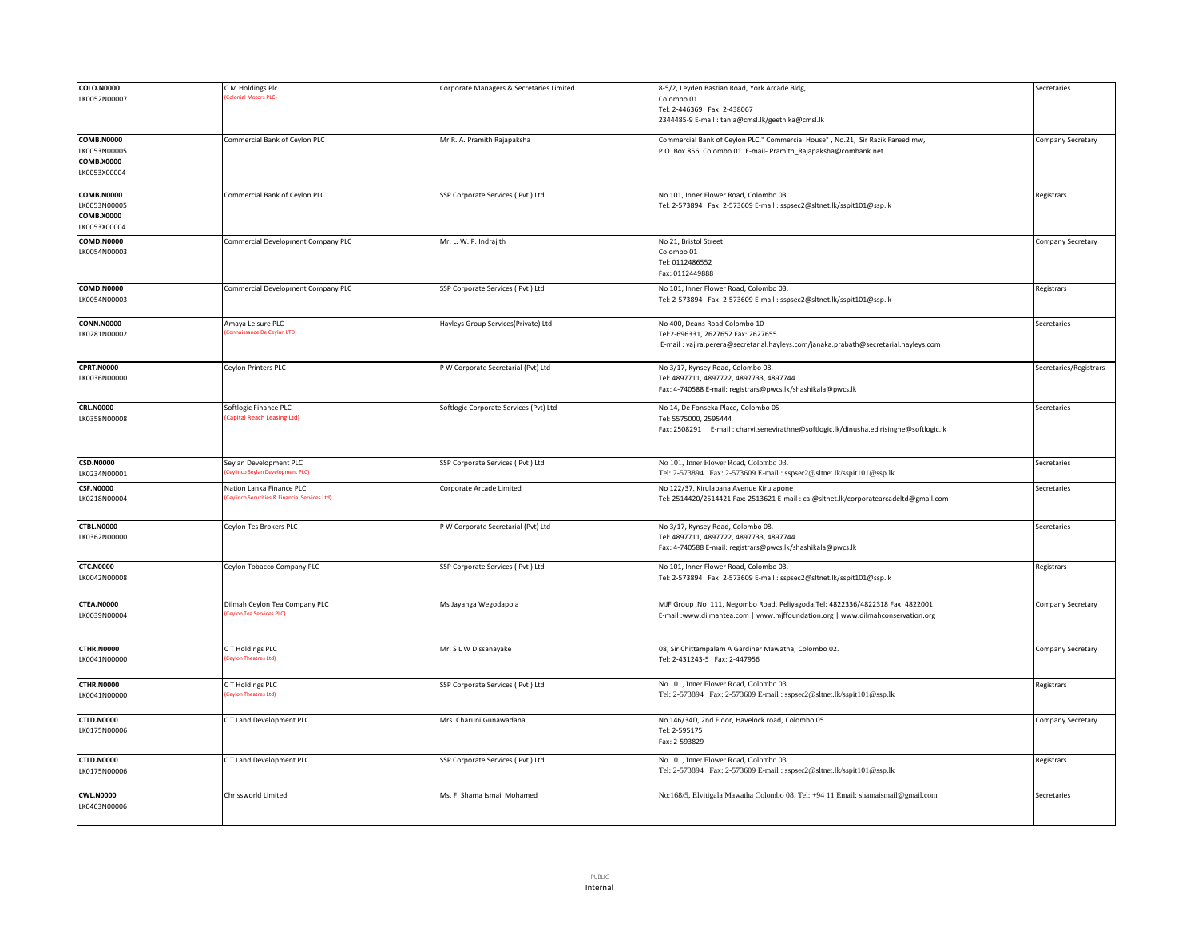| COLO.N0000                        | C M Holdings Plc                                                          | Corporate Managers & Secretaries Limited | 8-5/2, Leyden Bastian Road, York Arcade Bldg,                                          | Secretaries            |
|-----------------------------------|---------------------------------------------------------------------------|------------------------------------------|----------------------------------------------------------------------------------------|------------------------|
| LK0052N00007                      | Colonial Motors PLC)                                                      |                                          | Colombo 01.                                                                            |                        |
|                                   |                                                                           |                                          | Tel: 2-446369 Fax: 2-438067                                                            |                        |
|                                   |                                                                           |                                          | 2344485-9 E-mail: tania@cmsl.lk/geethika@cmsl.lk                                       |                        |
|                                   |                                                                           |                                          |                                                                                        |                        |
| <b>COMB.N0000</b>                 | Commercial Bank of Ceylon PLC                                             | Mr R. A. Pramith Rajapaksha              | Commercial Bank of Ceylon PLC." Commercial House", No.21, Sir Razik Fareed mw,         | Company Secretary      |
| LK0053N00005                      |                                                                           |                                          | P.O. Box 856, Colombo 01. E-mail- Pramith_Rajapaksha@combank.net                       |                        |
| COMB.X0000                        |                                                                           |                                          |                                                                                        |                        |
| LK0053X00004                      |                                                                           |                                          |                                                                                        |                        |
| <b>COMB.N0000</b>                 | Commercial Bank of Ceylon PLC                                             | SSP Corporate Services (Pvt) Ltd         | No 101, Inner Flower Road, Colombo 03.                                                 | Registrars             |
| LK0053N00005                      |                                                                           |                                          | Tel: 2-573894 Fax: 2-573609 E-mail : sspsec2@sltnet.lk/sspit101@ssp.lk                 |                        |
| <b>COMB.X0000</b>                 |                                                                           |                                          |                                                                                        |                        |
| LK0053X00004                      |                                                                           |                                          |                                                                                        |                        |
| <b>COMD.N0000</b>                 | Commercial Development Company PLC                                        | Mr. L. W. P. Indrajith                   | No 21, Bristol Street                                                                  | Company Secretary      |
| LK0054N00003                      |                                                                           |                                          | Colombo 01                                                                             |                        |
|                                   |                                                                           |                                          | Tel: 0112486552                                                                        |                        |
|                                   |                                                                           |                                          | Fax: 0112449888                                                                        |                        |
| <b>COMD.N0000</b>                 | Commercial Development Company PLC                                        | SSP Corporate Services (Pvt) Ltd         | No 101, Inner Flower Road, Colombo 03.                                                 | Registrars             |
| LK0054N00003                      |                                                                           |                                          | Tel: 2-573894 Fax: 2-573609 E-mail : sspsec2@sltnet.lk/sspit101@ssp.lk                 |                        |
|                                   |                                                                           |                                          |                                                                                        |                        |
| <b>CONN.N0000</b>                 | Amaya Leisure PLC                                                         | Hayleys Group Services(Private) Ltd      | No 400, Deans Road Colombo 10                                                          | Secretaries            |
| LK0281N00002                      | sissance De Cevlan LTD)                                                   |                                          | Tel:2-696331, 2627652 Fax: 2627655                                                     |                        |
|                                   |                                                                           |                                          | E-mail: vajira.perera@secretarial.hayleys.com/janaka.prabath@secretarial.hayleys.com   |                        |
|                                   |                                                                           |                                          |                                                                                        |                        |
| <b>CPRT.N0000</b>                 | Ceylon Printers PLC                                                       | P W Corporate Secretarial (Pvt) Ltd      | No 3/17, Kynsey Road, Colombo 08                                                       | Secretaries/Registrars |
| LK0036N00000                      |                                                                           |                                          | Tel: 4897711, 4897722, 4897733, 4897744                                                |                        |
|                                   |                                                                           |                                          | Fax: 4-740588 E-mail: registrars@pwcs.lk/shashikala@pwcs.lk                            |                        |
|                                   |                                                                           |                                          |                                                                                        |                        |
| <b>CRL.N0000</b>                  | Softlogic Finance PLC                                                     | Softlogic Corporate Services (Pvt) Ltd   | No 14, De Fonseka Place, Colombo 05                                                    | Secretaries            |
| LK0358N00008                      | <b>Capital Reach Leasing Ltd)</b>                                         |                                          | Tel: 5575000, 2595444                                                                  |                        |
|                                   |                                                                           |                                          | Fax: 2508291 E-mail: charvi.senevirathne@softlogic.lk/dinusha.edirisinghe@softlogic.lk |                        |
|                                   |                                                                           |                                          |                                                                                        |                        |
| <b>CSD.N0000</b>                  | Seylan Development PLC                                                    | SSP Corporate Services (Pvt) Ltd         | No 101, Inner Flower Road, Colombo 03.                                                 | Secretaries            |
| LK0234N00001                      | eylinco Seylan Develop<br>ment PLC                                        |                                          | Tel: 2-573894 Fax: 2-573609 E-mail: sspsec2@sltnet.lk/sspit101@ssp.lk                  |                        |
|                                   |                                                                           |                                          |                                                                                        |                        |
| <b>CSF.N0000</b>                  | Nation Lanka Finance PLC<br>Ceylinco Securities & Financial Services Ltd) | Corporate Arcade Limited                 | No 122/37, Kirulapana Avenue Kirulapone                                                | Secretaries            |
| LK0218N00004                      |                                                                           |                                          | Tel: 2514420/2514421 Fax: 2513621 E-mail : cal@sltnet.lk/corporatearcadeltd@gmail.com  |                        |
|                                   |                                                                           |                                          |                                                                                        |                        |
| <b>CTBL.N0000</b>                 | Ceylon Tes Brokers PLC                                                    | P W Corporate Secretarial (Pvt) Ltd      | No 3/17, Kynsey Road, Colombo 08.                                                      | Secretaries            |
| LK0362N00000                      |                                                                           |                                          | Tel: 4897711, 4897722, 4897733, 4897744                                                |                        |
|                                   |                                                                           |                                          | Fax: 4-740588 E-mail: registrars@pwcs.lk/shashikala@pwcs.lk                            |                        |
| <b>CTC.N0000</b>                  | Ceylon Tobacco Company PLC                                                | SSP Corporate Services (Pvt) Ltd         | No 101, Inner Flower Road, Colombo 03.                                                 | Registrars             |
| LK0042N00008                      |                                                                           |                                          | Tel: 2-573894 Fax: 2-573609 E-mail : sspsec2@sltnet.lk/sspit101@ssp.lk                 |                        |
|                                   |                                                                           |                                          |                                                                                        |                        |
|                                   |                                                                           |                                          |                                                                                        |                        |
| <b>CTEA.N0000</b>                 | Dilmah Ceylon Tea Company PLC<br><b>Cevion Tea Services PLC</b>           | Ms Jayanga Wegodapola                    | MJF Group , No 111, Negombo Road, Peliyagoda.Tel: 4822336/4822318 Fax: 4822001         | Company Secretary      |
| LK0039N00004                      |                                                                           |                                          | E-mail :www.dilmahtea.com   www.mjffoundation.org   www.dilmahconservation.org         |                        |
|                                   |                                                                           |                                          |                                                                                        |                        |
| <b>CTHR.N0000</b>                 | CT Holdings PLC                                                           | Mr. S L W Dissanayake                    | 08, Sir Chittampalam A Gardiner Mawatha, Colombo 02.                                   | Company Secretary      |
| LK0041N00000                      | Ceylon Theatres Ltd)                                                      |                                          | Tel: 2-431243-5 Fax: 2-447956                                                          |                        |
|                                   |                                                                           |                                          |                                                                                        |                        |
| <b>CTHR.N0000</b>                 | C T Holdings PLC                                                          | SSP Corporate Services ( Pvt ) Ltd       | No 101, Inner Flower Road, Colombo 03.                                                 |                        |
| LK0041N00000                      | evion Theatres Ltdl                                                       |                                          | Tel: 2-573894 Fax: 2-573609 E-mail: sspsec2@sltnet.lk/sspit101@ssp.lk                  | Registrars             |
|                                   |                                                                           |                                          |                                                                                        |                        |
|                                   |                                                                           |                                          |                                                                                        |                        |
| <b>CTLD.N0000</b><br>LK0175N00006 | C T Land Development PLC                                                  | Mrs. Charuni Gunawadana                  | No 146/34D, 2nd Floor, Havelock road, Colombo 05<br>Tel: 2-595175                      | Company Secretary      |
|                                   |                                                                           |                                          | Fax: 2-593829                                                                          |                        |
|                                   |                                                                           |                                          |                                                                                        |                        |
| <b>CTLD.N0000</b>                 | C T Land Development PLC                                                  | SSP Corporate Services ( Pvt ) Ltd       | No 101, Inner Flower Road, Colombo 03.                                                 | Registrars             |
| LK0175N00006                      |                                                                           |                                          | Tel: 2-573894 Fax: 2-573609 E-mail: sspsec2@sltnet.lk/sspit101@ssp.lk                  |                        |
|                                   |                                                                           |                                          |                                                                                        |                        |
| <b>CWL.N0000</b>                  | Chrissworld Limited                                                       | Ms. F. Shama Ismail Mohamed              | No:168/5, Elvitigala Mawatha Colombo 08. Tel: +94 11 Email: shamaismail@gmail.com      | Secretaries            |
| LK0463N00006                      |                                                                           |                                          |                                                                                        |                        |
|                                   |                                                                           |                                          |                                                                                        |                        |
|                                   |                                                                           |                                          |                                                                                        |                        |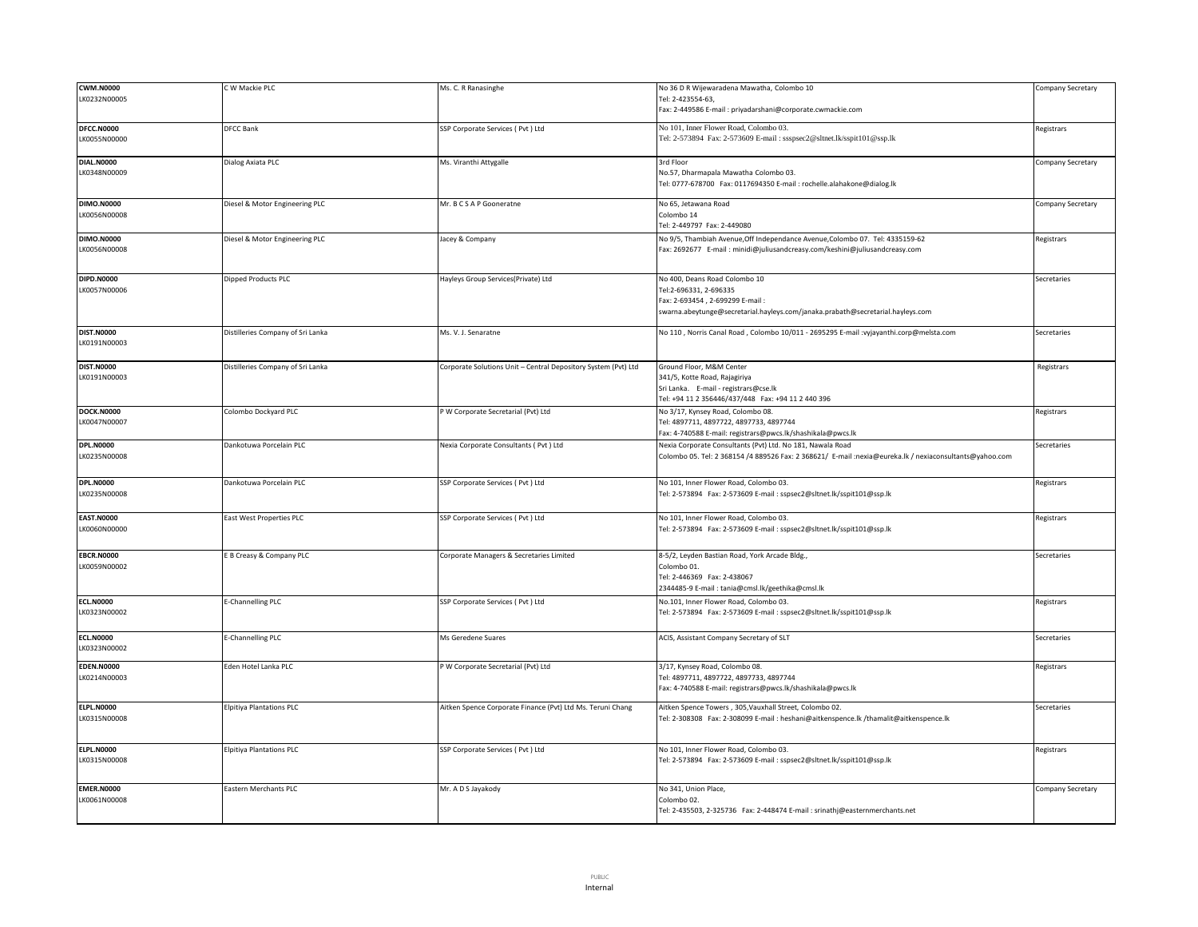| <b>CWM.N0000</b>                  | W Mackie PLC                      | Ms. C. R Ranasinghe                                            | No 36 D R Wijewaradena Mawatha, Colombo 10                                                              | Company Secretary |
|-----------------------------------|-----------------------------------|----------------------------------------------------------------|---------------------------------------------------------------------------------------------------------|-------------------|
| LK0232N00005                      |                                   |                                                                | Tel: 2-423554-63,                                                                                       |                   |
|                                   |                                   |                                                                | Fax: 2-449586 E-mail : priyadarshani@corporate.cwmackie.com                                             |                   |
| DFCC.N0000                        | <b>DFCC Bank</b>                  | SSP Corporate Services ( Pvt ) Ltd                             | No 101, Inner Flower Road, Colombo 03.                                                                  | Registrars        |
| LK0055N00000                      |                                   |                                                                | Tel: 2-573894 Fax: 2-573609 E-mail: ssspsec2@sltnet.lk/sspit101@ssp.lk                                  |                   |
|                                   |                                   |                                                                |                                                                                                         |                   |
| <b>DIAL.N0000</b>                 | Dialog Axiata PLC                 | Ms. Viranthi Attygalle                                         | 3rd Floor                                                                                               | Company Secretary |
| LK0348N00009                      |                                   |                                                                | No.57, Dharmapala Mawatha Colombo 03.                                                                   |                   |
|                                   |                                   |                                                                | Tel: 0777-678700 Fax: 0117694350 E-mail : rochelle.alahakone@dialog.lk                                  |                   |
|                                   |                                   |                                                                |                                                                                                         |                   |
| <b>DIMO.N0000</b>                 | Diesel & Motor Engineering PLC    | Mr. B C S A P Gooneratne                                       | No 65, Jetawana Road                                                                                    | Company Secretary |
| LK0056N00008                      |                                   |                                                                | Colombo 14                                                                                              |                   |
|                                   |                                   |                                                                | Tel: 2-449797 Fax: 2-449080                                                                             |                   |
| <b>DIMO.N0000</b>                 | Diesel & Motor Engineering PLC    | Jacey & Company                                                | No 9/5, Thambiah Avenue, Off Independance Avenue, Colombo 07. Tel: 4335159-62                           | Registrars        |
| LK0056N00008                      |                                   |                                                                | Fax: 2692677 E-mail: minidi@juliusandcreasy.com/keshini@juliusandcreasy.com                             |                   |
|                                   |                                   |                                                                |                                                                                                         |                   |
| <b>DIPD.N0000</b>                 | Dipped Products PLC               | Hayleys Group Services(Private) Ltd                            | No 400, Deans Road Colombo 10                                                                           | Secretaries       |
| LK0057N00006                      |                                   |                                                                | Tel:2-696331, 2-696335                                                                                  |                   |
|                                   |                                   |                                                                | Fax: 2-693454, 2-699299 E-mail:                                                                         |                   |
|                                   |                                   |                                                                | swarna.abeytunge@secretarial.hayleys.com/janaka.prabath@secretarial.hayleys.com                         |                   |
|                                   |                                   |                                                                |                                                                                                         |                   |
| <b>DIST.N0000</b><br>LK0191N00003 | Distilleries Company of Sri Lanka | Ms. V. J. Senaratne                                            | No 110, Norris Canal Road, Colombo 10/011 - 2695295 E-mail :vyjayanthi.corp@melsta.com                  | Secretaries       |
|                                   |                                   |                                                                |                                                                                                         |                   |
| <b>DIST.N0000</b>                 | Distilleries Company of Sri Lanka | Corporate Solutions Unit - Central Depository System (Pvt) Ltd | Ground Floor, M&M Center                                                                                | Registrars        |
| LK0191N00003                      |                                   |                                                                | 341/5, Kotte Road, Rajagiriya                                                                           |                   |
|                                   |                                   |                                                                | Sri Lanka. E-mail - registrars@cse.lk                                                                   |                   |
|                                   |                                   |                                                                | Tel: +94 11 2 356446/437/448  Fax: +94 11 2 440 396                                                     |                   |
| <b>DOCK.N0000</b>                 | Colombo Dockyard PLC              | P W Corporate Secretarial (Pvt) Ltd                            | No 3/17, Kynsey Road, Colombo 08.                                                                       | Registrars        |
| LK0047N00007                      |                                   |                                                                | Tel: 4897711, 4897722, 4897733, 4897744                                                                 |                   |
|                                   |                                   |                                                                | Fax: 4-740588 E-mail: registrars@pwcs.lk/shashikala@pwcs.lk                                             |                   |
| <b>DPL.N0000</b>                  | Dankotuwa Porcelain PLC           | Nexia Corporate Consultants ( Pvt ) Ltd                        | Nexia Corporate Consultants (Pvt) Ltd. No 181, Nawala Road                                              | Secretaries       |
| LK0235N00008                      |                                   |                                                                | Colombo 05. Tel: 2 368154 /4 889526 Fax: 2 368621/ E-mail :nexia@eureka.lk / nexiaconsultants@yahoo.com |                   |
|                                   |                                   |                                                                |                                                                                                         |                   |
| <b>DPL.N0000</b>                  | Dankotuwa Porcelain PLC           | SSP Corporate Services (Pvt) Ltd                               | No 101, Inner Flower Road, Colombo 03.                                                                  | Registrars        |
| LK0235N00008                      |                                   |                                                                | Tel: 2-573894    Fax: 2-573609    E-mail : sspsec2@sltnet.lk/sspit101@ssp.lk                            |                   |
|                                   |                                   |                                                                |                                                                                                         |                   |
| <b>EAST.N0000</b>                 | East West Properties PLC          | SSP Corporate Services ( Pvt ) Ltd                             | No 101, Inner Flower Road, Colombo 03.                                                                  | Registrars        |
| LK0060N00000                      |                                   |                                                                | Tel: 2-573894 Fax: 2-573609 E-mail : sspsec2@sltnet.lk/sspit101@ssp.lk                                  |                   |
|                                   |                                   |                                                                |                                                                                                         |                   |
| <b>EBCR.N0000</b>                 | E B Creasy & Company PLC          | Corporate Managers & Secretaries Limited                       | 8-5/2, Leyden Bastian Road, York Arcade Bldg.,                                                          | Secretaries       |
| LK0059N00002                      |                                   |                                                                | Colombo 01.                                                                                             |                   |
|                                   |                                   |                                                                | Tel: 2-446369 Fax: 2-438067                                                                             |                   |
|                                   |                                   |                                                                | 2344485-9 E-mail: tania@cmsl.lk/geethika@cmsl.lk                                                        |                   |
| <b>ECL.N0000</b>                  | E-Channelling PLC                 | SSP Corporate Services (Pvt) Ltd                               | No.101, Inner Flower Road, Colombo 03.                                                                  | Registrars        |
| LK0323N00002                      |                                   |                                                                | Tel: 2-573894    Fax: 2-573609    E-mail : sspsec2@sltnet.lk/sspit101@ssp.lk                            |                   |
|                                   |                                   |                                                                |                                                                                                         |                   |
| <b>ECL.N0000</b>                  | E-Channelling PLC                 | Ms Geredene Suares                                             | ACIS, Assistant Company Secretary of SLT                                                                | Secretaries       |
| LK0323N00002                      |                                   |                                                                |                                                                                                         |                   |
|                                   |                                   |                                                                |                                                                                                         |                   |
| <b>EDEN.N0000</b>                 | Eden Hotel Lanka PLC              | P W Corporate Secretarial (Pvt) Ltd                            | 3/17, Kynsey Road, Colombo 08.                                                                          | Registrars        |
| LK0214N00003                      |                                   |                                                                | Tel: 4897711, 4897722, 4897733, 4897744                                                                 |                   |
|                                   |                                   |                                                                | Fax: 4-740588 E-mail: registrars@pwcs.lk/shashikala@pwcs.lk                                             |                   |
| <b>ELPL.N0000</b>                 | <b>Elpitiya Plantations PLC</b>   | Aitken Spence Corporate Finance (Pvt) Ltd Ms. Teruni Chang     | Aitken Spence Towers, 305, Vauxhall Street, Colombo 02.                                                 | Secretaries       |
| LK0315N00008                      |                                   |                                                                | Tel: 2-308308 Fax: 2-308099 E-mail : heshani@aitkenspence.lk /thamalit@aitkenspence.lk                  |                   |
|                                   |                                   |                                                                |                                                                                                         |                   |
|                                   |                                   |                                                                |                                                                                                         |                   |
|                                   |                                   |                                                                |                                                                                                         | Registrars        |
| <b>ELPL.N0000</b>                 | <b>Elpitiya Plantations PLC</b>   | SSP Corporate Services (Pvt) Ltd                               | No 101, Inner Flower Road, Colombo 03.                                                                  |                   |
| LK0315N00008                      |                                   |                                                                | Tel: 2-573894 Fax: 2-573609 E-mail: sspsec2@sltnet.lk/sspit101@ssp.lk                                   |                   |
|                                   |                                   |                                                                |                                                                                                         |                   |
| <b>EMER.N0000</b>                 | Eastern Merchants PLC             | Mr. A D S Jayakody                                             | No 341, Union Place,                                                                                    | Company Secretary |
| LK0061N00008                      |                                   |                                                                | Colombo 02.<br>Tel: 2-435503, 2-325736  Fax: 2-448474 E-mail: srinathj@easternmerchants.net             |                   |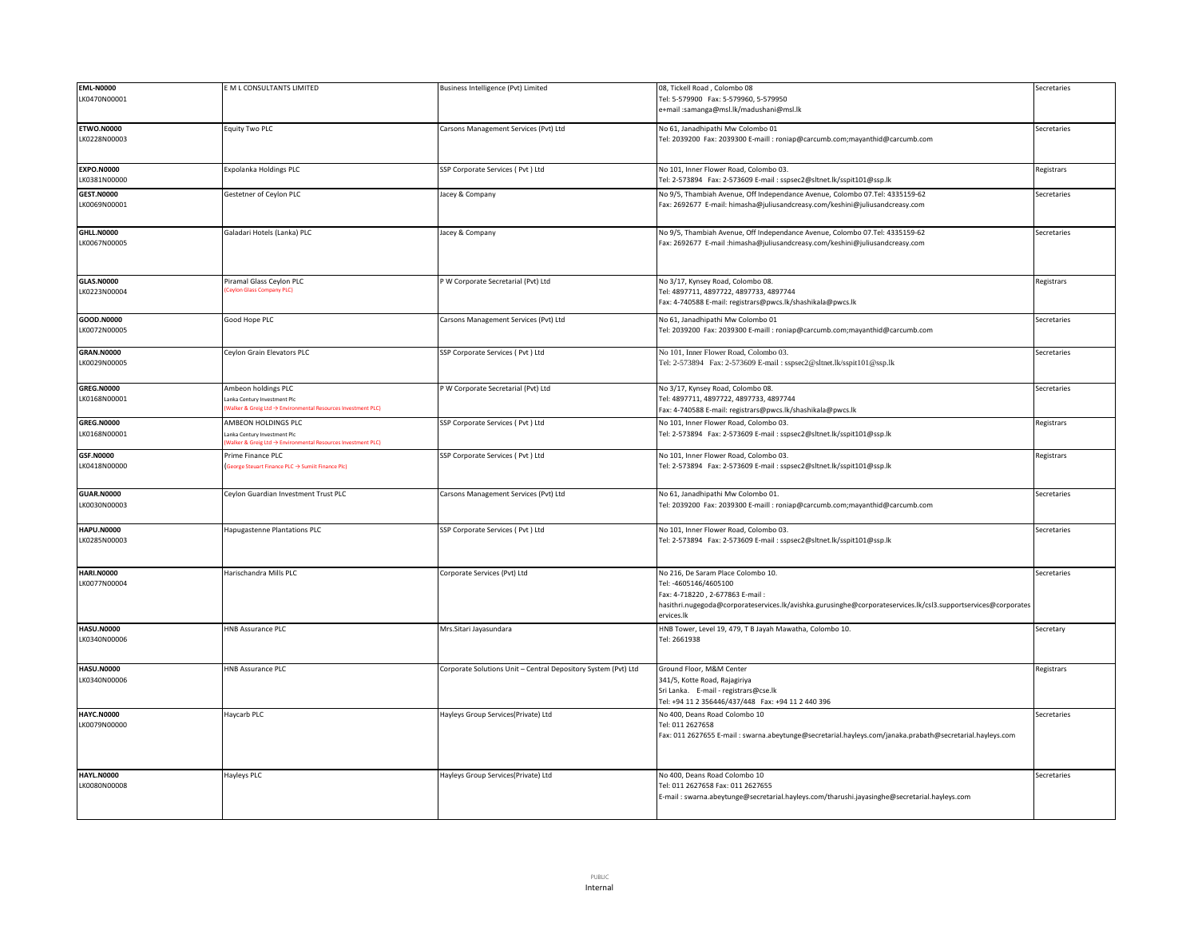| <b>EML-N0000</b>  | E M L CONSULTANTS LIMITED                                                                               | Business Intelligence (Pvt) Limited                            | 08, Tickell Road, Colombo 08                                                                                   | Secretaries |
|-------------------|---------------------------------------------------------------------------------------------------------|----------------------------------------------------------------|----------------------------------------------------------------------------------------------------------------|-------------|
| LK0470N00001      |                                                                                                         |                                                                | Tel: 5-579900 Fax: 5-579960, 5-579950                                                                          |             |
|                   |                                                                                                         |                                                                | e+mail :samanga@msl.lk/madushani@msl.lk                                                                        |             |
|                   |                                                                                                         |                                                                |                                                                                                                |             |
| <b>ETWO.N0000</b> | Equity Two PLC                                                                                          | Carsons Management Services (Pvt) Ltd                          | No 61, Janadhipathi Mw Colombo 01                                                                              | Secretaries |
| LK0228N00003      |                                                                                                         |                                                                | Tel: 2039200 Fax: 2039300 E-maill : roniap@carcumb.com;mayanthid@carcumb.com                                   |             |
|                   |                                                                                                         |                                                                |                                                                                                                |             |
|                   |                                                                                                         |                                                                |                                                                                                                |             |
| <b>EXPO.N0000</b> | Expolanka Holdings PLC                                                                                  | SSP Corporate Services (Pvt) Ltd                               | No 101, Inner Flower Road, Colombo 03.                                                                         | Registrars  |
| LK0381N00000      |                                                                                                         |                                                                | Tel: 2-573894 Fax: 2-573609 E-mail : sspsec2@sltnet.lk/sspit101@ssp.lk                                         |             |
|                   |                                                                                                         |                                                                |                                                                                                                |             |
| <b>GEST.N0000</b> | Gestetner of Ceylon PLC                                                                                 | Jacey & Company                                                | No 9/5, Thambiah Avenue, Off Independance Avenue, Colombo 07.Tel: 4335159-62                                   | Secretaries |
| LK0069N00001      |                                                                                                         |                                                                | Fax: 2692677 E-mail: himasha@juliusandcreasy.com/keshini@juliusandcreasy.com                                   |             |
|                   |                                                                                                         |                                                                |                                                                                                                |             |
| <b>GHLL.N0000</b> | Galadari Hotels (Lanka) PLC                                                                             | Jacey & Company                                                | No 9/5, Thambiah Avenue, Off Independance Avenue, Colombo 07.Tel: 4335159-62                                   | Secretaries |
| LK0067N00005      |                                                                                                         |                                                                | Fax: 2692677 E-mail :himasha@juliusandcreasy.com/keshini@juliusandcreasy.com                                   |             |
|                   |                                                                                                         |                                                                |                                                                                                                |             |
|                   |                                                                                                         |                                                                |                                                                                                                |             |
|                   |                                                                                                         |                                                                |                                                                                                                |             |
| <b>GLAS.N0000</b> | Piramal Glass Ceylon PLC                                                                                | W Corporate Secretarial (Pvt) Ltd                              | No 3/17, Kynsey Road, Colombo 08.                                                                              | Registrars  |
| LK0223N00004      | eylon Glass Company PLC)                                                                                |                                                                | Tel: 4897711, 4897722, 4897733, 4897744                                                                        |             |
|                   |                                                                                                         |                                                                | Fax: 4-740588 E-mail: registrars@pwcs.lk/shashikala@pwcs.lk                                                    |             |
|                   |                                                                                                         |                                                                |                                                                                                                |             |
| GOOD.N0000        | Good Hope PLC                                                                                           | Carsons Management Services (Pvt) Ltd                          | No 61, Janadhipathi Mw Colombo 01                                                                              | Secretaries |
| LK0072N00005      |                                                                                                         |                                                                | Tel: 2039200 Fax: 2039300 E-maill : roniap@carcumb.com;mayanthid@carcumb.com                                   |             |
|                   |                                                                                                         |                                                                |                                                                                                                |             |
| <b>GRAN.N0000</b> | Ceylon Grain Elevators PLC                                                                              | SSP Corporate Services (Pvt) Ltd                               | No 101, Inner Flower Road, Colombo 03.                                                                         | Secretaries |
| LK0029N00005      |                                                                                                         |                                                                | Tel: 2-573894 Fax: 2-573609 E-mail: sspsec2@sltnet.lk/sspit101@ssp.lk                                          |             |
|                   |                                                                                                         |                                                                |                                                                                                                |             |
| <b>GREG.N0000</b> | Ambeon holdings PLC                                                                                     | W Corporate Secretarial (Pvt) Ltd                              | No 3/17, Kynsey Road, Colombo 08.                                                                              | Secretaries |
| LK0168N00001      |                                                                                                         |                                                                |                                                                                                                |             |
|                   | anka Century Investment Plc<br>Valker & Greig Ltd $\rightarrow$ Environmental Resources Investment PLC) |                                                                | Tel: 4897711, 4897722, 4897733, 4897744                                                                        |             |
|                   |                                                                                                         |                                                                | Fax: 4-740588 E-mail: registrars@pwcs.lk/shashikala@pwcs.lk                                                    |             |
| <b>GREG.N0000</b> | AMBEON HOLDINGS PLC                                                                                     | SSP Corporate Services (Pvt) Ltd                               | No 101, Inner Flower Road, Colombo 03.                                                                         | Registrars  |
| LK0168N00001      | anka Century Investment Plo                                                                             |                                                                | Tel: 2-573894 Fax: 2-573609 E-mail : sspsec2@sltnet.lk/sspit101@ssp.lk                                         |             |
|                   | Valker & Greig Ltd $\rightarrow$ Environmental Resources Investment PLC)                                |                                                                |                                                                                                                |             |
|                   |                                                                                                         |                                                                |                                                                                                                |             |
| <b>GSF.N0000</b>  | Prime Finance PLC                                                                                       | SSP Corporate Services ( Pvt ) Ltd                             | No 101, Inner Flower Road, Colombo 03.                                                                         | Registrars  |
| LK0418N00000      | George Steuart Finance PLC → Sumiit Finance Plc)                                                        |                                                                | Tel: 2-573894 Fax: 2-573609 E-mail : sspsec2@sltnet.lk/sspit101@ssp.lk                                         |             |
|                   |                                                                                                         |                                                                |                                                                                                                |             |
|                   |                                                                                                         |                                                                |                                                                                                                |             |
| <b>GUAR.N0000</b> | Ceylon Guardian Investment Trust PLC                                                                    | Carsons Management Services (Pvt) Ltd                          | No 61, Janadhipathi Mw Colombo 01.                                                                             | Secretaries |
| LK0030N00003      |                                                                                                         |                                                                | Tel: 2039200 Fax: 2039300 E-maill : roniap@carcumb.com;mayanthid@carcumb.com                                   |             |
|                   |                                                                                                         |                                                                |                                                                                                                |             |
| <b>HAPU.N0000</b> | Hapugastenne Plantations PLC                                                                            | SSP Corporate Services ( Pvt ) Ltd                             | No 101, Inner Flower Road, Colombo 03.                                                                         | Secretaries |
| LK0285N00003      |                                                                                                         |                                                                | Tel: 2-573894 Fax: 2-573609 E-mail : sspsec2@sltnet.lk/sspit101@ssp.lk                                         |             |
|                   |                                                                                                         |                                                                |                                                                                                                |             |
|                   |                                                                                                         |                                                                |                                                                                                                |             |
|                   |                                                                                                         |                                                                |                                                                                                                |             |
| <b>HARI.N0000</b> | Harischandra Mills PLC                                                                                  | Corporate Services (Pvt) Ltd                                   | No 216, De Saram Place Colombo 10.                                                                             | Secretaries |
| LK0077N00004      |                                                                                                         |                                                                | Tel: -4605146/4605100                                                                                          |             |
|                   |                                                                                                         |                                                                | Fax: 4-718220, 2-677863 E-mail:                                                                                |             |
|                   |                                                                                                         |                                                                | hasithri.nugegoda@corporateservices.lk/avishka.gurusinghe@corporateservices.lk/csl3.supportservices@corporates |             |
|                   |                                                                                                         |                                                                | ervices.lk                                                                                                     |             |
| <b>HASU.N0000</b> | <b>HNB Assurance PLC</b>                                                                                | Mrs.Sitari Jayasundara                                         | HNB Tower, Level 19, 479, T B Jayah Mawatha, Colombo 10.                                                       | Secretary   |
| LK0340N00006      |                                                                                                         |                                                                | Tel: 2661938                                                                                                   |             |
|                   |                                                                                                         |                                                                |                                                                                                                |             |
|                   |                                                                                                         |                                                                |                                                                                                                |             |
| <b>HASU.N0000</b> | <b>HNB Assurance PLC</b>                                                                                | Corporate Solutions Unit - Central Depository System (Pvt) Ltd | Ground Floor, M&M Center                                                                                       | Registrars  |
| LK0340N00006      |                                                                                                         |                                                                | 341/5, Kotte Road, Rajagiriya                                                                                  |             |
|                   |                                                                                                         |                                                                | Sri Lanka. E-mail - registrars@cse.lk                                                                          |             |
|                   |                                                                                                         |                                                                | Tel: +94 11 2 356446/437/448  Fax: +94 11 2 440 396                                                            |             |
| <b>HAYC.N0000</b> | Haycarb PLC                                                                                             | Hayleys Group Services(Private) Ltd                            | No 400, Deans Road Colombo 10                                                                                  | Secretaries |
| LK0079N00000      |                                                                                                         |                                                                | Tel: 011 2627658                                                                                               |             |
|                   |                                                                                                         |                                                                |                                                                                                                |             |
|                   |                                                                                                         |                                                                | Fax: 011 2627655 E-mail : swarna.abeytunge@secretarial.hayleys.com/janaka.prabath@secretarial.hayleys.com      |             |
|                   |                                                                                                         |                                                                |                                                                                                                |             |
|                   |                                                                                                         |                                                                |                                                                                                                |             |
| <b>HAYL.N0000</b> | <b>Hayleys PLC</b>                                                                                      | Hayleys Group Services(Private) Ltd                            | No 400, Deans Road Colombo 10                                                                                  | Secretaries |
| LK0080N00008      |                                                                                                         |                                                                | Tel: 011 2627658 Fax: 011 2627655                                                                              |             |
|                   |                                                                                                         |                                                                | E-mail: swarna.abeytunge@secretarial.hayleys.com/tharushi.jayasinghe@secretarial.hayleys.com                   |             |
|                   |                                                                                                         |                                                                |                                                                                                                |             |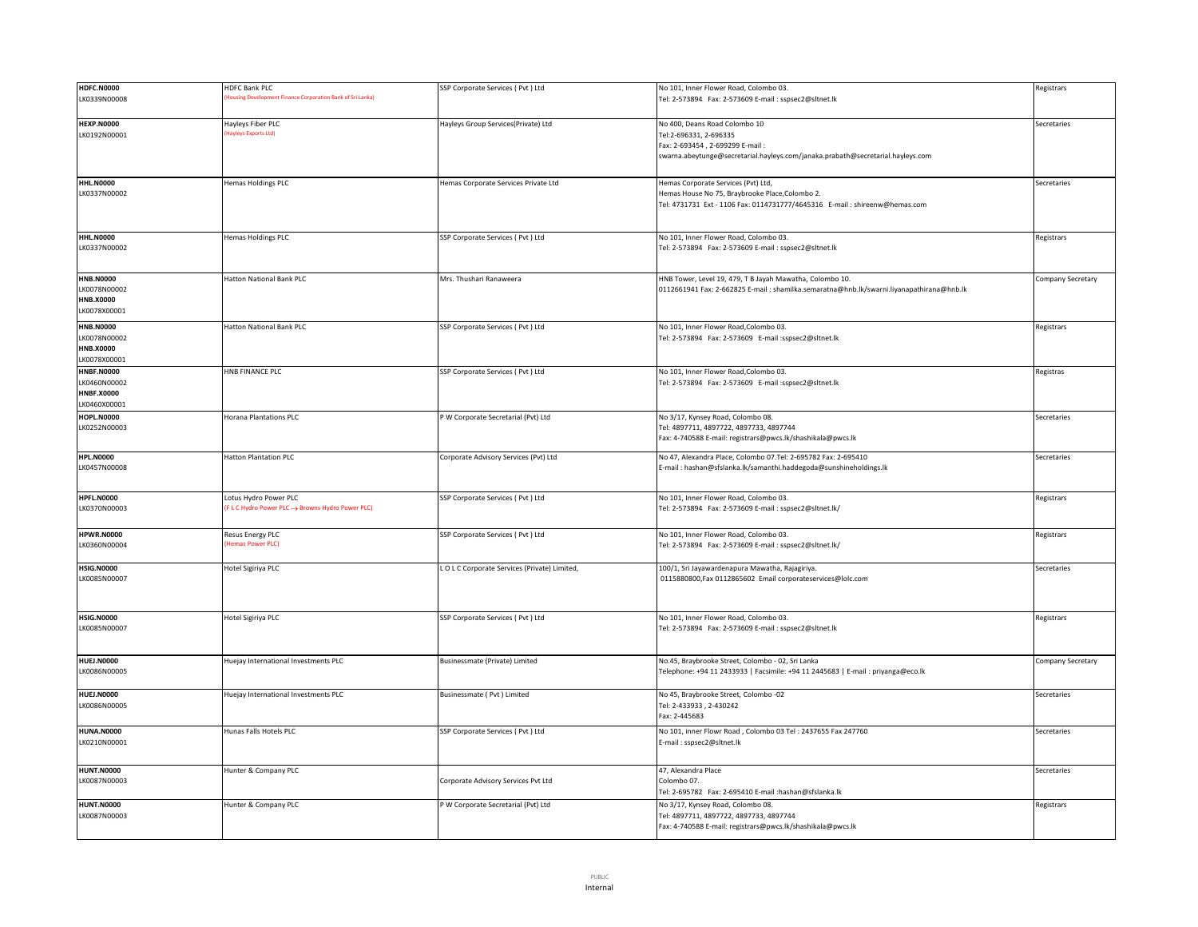| <b>HDFC.N0000</b> | <b>HDFC Bank PLC</b>                                      | SSP Corporate Services (Pvt) Ltd           | No 101, Inner Flower Road, Colombo 03.                                                    | Registrars        |
|-------------------|-----------------------------------------------------------|--------------------------------------------|-------------------------------------------------------------------------------------------|-------------------|
| LK0339N00008      | ousing Development Finance Corporation Bank of Sri Lanka) |                                            | Tel: 2-573894 Fax: 2-573609 E-mail : sspsec2@sltnet.lk                                    |                   |
|                   |                                                           |                                            |                                                                                           |                   |
|                   |                                                           |                                            |                                                                                           |                   |
| <b>HEXP.N0000</b> | Hayleys Fiber PLC<br>layleys Exports Ltd)                 | Hayleys Group Services(Private) Ltd        | No 400, Deans Road Colombo 10                                                             | Secretaries       |
| LK0192N00001      |                                                           |                                            | Tel:2-696331, 2-696335                                                                    |                   |
|                   |                                                           |                                            | Fax: 2-693454, 2-699299 E-mail:                                                           |                   |
|                   |                                                           |                                            | swarna.abeytunge@secretarial.hayleys.com/janaka.prabath@secretarial.hayleys.com           |                   |
|                   |                                                           |                                            |                                                                                           |                   |
| <b>HHL.N0000</b>  | <b>Hemas Holdings PLC</b>                                 | Hemas Corporate Services Private Ltd       | Hemas Corporate Services (Pvt) Ltd,                                                       | Secretaries       |
| LK0337N00002      |                                                           |                                            | Hemas House No 75, Braybrooke Place, Colombo 2.                                           |                   |
|                   |                                                           |                                            | Tel: 4731731 Ext - 1106 Fax: 0114731777/4645316 E-mail : shireenw@hemas.com               |                   |
|                   |                                                           |                                            |                                                                                           |                   |
|                   |                                                           |                                            |                                                                                           |                   |
|                   |                                                           |                                            |                                                                                           |                   |
| <b>HHL.N0000</b>  | <b>Hemas Holdings PLC</b>                                 | SSP Corporate Services (Pvt ) Ltd          | No 101, Inner Flower Road, Colombo 03.                                                    | Registrars        |
| LK0337N00002      |                                                           |                                            | Tel: 2-573894 Fax: 2-573609 E-mail : sspsec2@sltnet.lk                                    |                   |
|                   |                                                           |                                            |                                                                                           |                   |
| <b>HNB.N0000</b>  | Hatton National Bank PLC                                  | Mrs. Thushari Ranaweera                    | HNB Tower, Level 19, 479, T B Jayah Mawatha, Colombo 10.                                  | Company Secretary |
|                   |                                                           |                                            |                                                                                           |                   |
| LK0078N00002      |                                                           |                                            | 0112661941 Fax: 2-662825 E-mail : shamilka.semaratna@hnb.lk/swarni.liyanapathirana@hnb.lk |                   |
| <b>HNB.X0000</b>  |                                                           |                                            |                                                                                           |                   |
| LK0078X00001      |                                                           |                                            |                                                                                           |                   |
| <b>HNB.N0000</b>  | <b>Hatton National Bank PLC</b>                           | SSP Corporate Services ( Pvt ) Ltd         | No 101, Inner Flower Road, Colombo 03.                                                    | Registrars        |
| LK0078N00002      |                                                           |                                            | Tel: 2-573894 Fax: 2-573609 E-mail :sspsec2@sltnet.lk                                     |                   |
| <b>HNB.X0000</b>  |                                                           |                                            |                                                                                           |                   |
| LK0078X00001      |                                                           |                                            |                                                                                           |                   |
| <b>HNBF.N0000</b> | <b>HNB FINANCE PLC</b>                                    | SSP Corporate Services ( Pvt ) Ltd         | No 101, Inner Flower Road, Colombo 03.                                                    | Registras         |
|                   |                                                           |                                            |                                                                                           |                   |
| LK0460N00002      |                                                           |                                            | Tel: 2-573894 Fax: 2-573609 E-mail :sspsec2@sltnet.lk                                     |                   |
| <b>HNBF.X0000</b> |                                                           |                                            |                                                                                           |                   |
| K0460X00001       |                                                           |                                            |                                                                                           |                   |
| <b>HOPL.N0000</b> | <b>Horana Plantations PLC</b>                             | P W Corporate Secretarial (Pvt) Ltd        | No 3/17, Kynsey Road, Colombo 08.                                                         | Secretaries       |
| LK0252N00003      |                                                           |                                            | Tel: 4897711, 4897722, 4897733, 4897744                                                   |                   |
|                   |                                                           |                                            | Fax: 4-740588 E-mail: registrars@pwcs.lk/shashikala@pwcs.lk                               |                   |
|                   |                                                           |                                            |                                                                                           |                   |
| <b>HPL.N0000</b>  | <b>Hatton Plantation PLC</b>                              | Corporate Advisory Services (Pvt) Ltd      | No 47, Alexandra Place, Colombo 07.Tel: 2-695782 Fax: 2-695410                            | Secretaries       |
| LK0457N00008      |                                                           |                                            | E-mail: hashan@sfslanka.lk/samanthi.haddegoda@sunshineholdings.lk                         |                   |
|                   |                                                           |                                            |                                                                                           |                   |
| <b>HPFL.N0000</b> | Lotus Hydro Power PLC                                     |                                            | No 101, Inner Flower Road, Colombo 03.                                                    |                   |
|                   | (FLC Hydro Power PLC → Browns Hydro Power PLC)            | SSP Corporate Services (Pvt) Ltd           |                                                                                           | Registrars        |
| LK0370N00003      |                                                           |                                            |                                                                                           |                   |
|                   |                                                           |                                            |                                                                                           |                   |
| <b>HPWR.N0000</b> | Resus Energy PLC                                          | SSP Corporate Services (Pvt ) Ltd          | No 101, Inner Flower Road, Colombo 03.                                                    | Registrars        |
| K0360N00004       | lemas Power PLC)                                          |                                            | Tel: 2-573894 Fax: 2-573609 E-mail : sspsec2@sltnet.lk/                                   |                   |
|                   |                                                           |                                            |                                                                                           |                   |
| <b>HSIG.N0000</b> | Hotel Sigiriya PLC                                        | LOLC Corporate Services (Private) Limited, | 100/1, Sri Jayawardenapura Mawatha, Rajagiriya.                                           | Secretaries       |
| LK0085N00007      |                                                           |                                            | 0115880800, Fax 0112865602 Email corporateservices@lolc.com                               |                   |
|                   |                                                           |                                            |                                                                                           |                   |
|                   |                                                           |                                            |                                                                                           |                   |
|                   |                                                           |                                            |                                                                                           |                   |
| <b>HSIG.N0000</b> | Hotel Sigiriya PLC                                        | SSP Corporate Services (Pvt ) Ltd          | No 101, Inner Flower Road, Colombo 03.                                                    | Registrars        |
| LK0085N00007      |                                                           |                                            | Tel: 2-573894 Fax: 2-573609 E-mail : sspsec2@sltnet.lk                                    |                   |
|                   |                                                           |                                            |                                                                                           |                   |
|                   |                                                           |                                            |                                                                                           |                   |
| <b>HUEJ.N0000</b> | Huejay International Investments PLC                      | Businessmate (Private) Limited             | No.45, Braybrooke Street, Colombo - 02, Sri Lanka                                         | Company Secretary |
| LK0086N00005      |                                                           |                                            | Telephone: +94 11 2433933   Facsimile: +94 11 2445683   E-mail : priyanga@eco.lk          |                   |
|                   |                                                           |                                            |                                                                                           |                   |
| <b>HUEJ.N0000</b> | Huejay International Investments PLC                      | Businessmate (Pvt) Limited                 | No 45, Braybrooke Street, Colombo -02                                                     | Secretaries       |
|                   |                                                           |                                            |                                                                                           |                   |
| LK0086N00005      |                                                           |                                            | Tel: 2-433933, 2-430242                                                                   |                   |
|                   |                                                           |                                            | Fax: 2-445683                                                                             |                   |
| <b>HUNA.N0000</b> | Hunas Falls Hotels PLC                                    | SSP Corporate Services (Pvt) Ltd           | No 101, inner Flowr Road, Colombo 03 Tel: 2437655 Fax 247760                              | Secretaries       |
| LK0210N00001      |                                                           |                                            | :- mail: sspsec2@sltnet.lk                                                                |                   |
|                   |                                                           |                                            |                                                                                           |                   |
|                   |                                                           |                                            |                                                                                           |                   |
| <b>HUNT.N0000</b> | Hunter & Company PLC                                      |                                            | 47, Alexandra Place                                                                       | Secretaries       |
| LK0087N00003      |                                                           | Corporate Advisory Services Pvt Ltd        | Colombo 07.                                                                               |                   |
|                   |                                                           |                                            | Tel: 2-695782 Fax: 2-695410 E-mail :hashan@sfslanka.lk                                    |                   |
| <b>HUNT.N0000</b> | Hunter & Company PLC                                      | P W Corporate Secretarial (Pvt) Ltd        | No 3/17, Kynsey Road, Colombo 08.                                                         | Registrars        |
| LK0087N00003      |                                                           |                                            | Tel: 4897711, 4897722, 4897733, 4897744                                                   |                   |
|                   |                                                           |                                            | Fax: 4-740588 E-mail: registrars@pwcs.lk/shashikala@pwcs.lk                               |                   |
|                   |                                                           |                                            |                                                                                           |                   |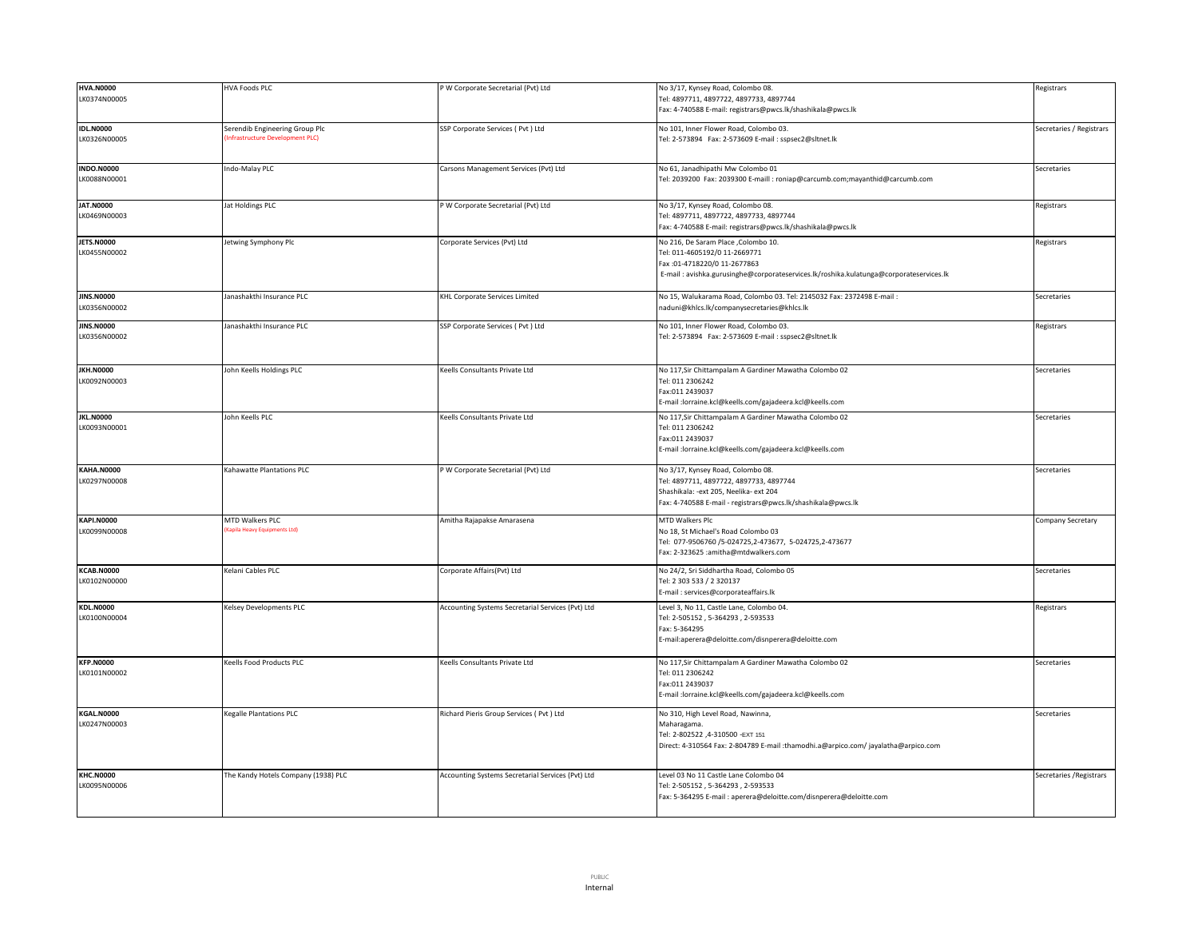| <b>HVA.N0000</b>                  | <b>HVA Foods PLC</b>                | P W Corporate Secretarial (Pvt) Ltd               | No 3/17, Kynsey Road, Colombo 08.                                                      | Registrars               |
|-----------------------------------|-------------------------------------|---------------------------------------------------|----------------------------------------------------------------------------------------|--------------------------|
| LK0374N00005                      |                                     |                                                   | Tel: 4897711, 4897722, 4897733, 4897744                                                |                          |
|                                   |                                     |                                                   | ax: 4-740588 E-mail: registrars@pwcs.lk/shashikala@pwcs.lk                             |                          |
| <b>IDL.N0000</b>                  | Serendib Engineering Group Plc      | SSP Corporate Services ( Pvt ) Ltd                | No 101, Inner Flower Road, Colombo 03.                                                 |                          |
|                                   | Infrastructure Development PLC)     |                                                   |                                                                                        | Secretaries / Registrars |
| LK0326N00005                      |                                     |                                                   | Tel: 2-573894 Fax: 2-573609 E-mail: sspsec2@sltnet.lk                                  |                          |
|                                   |                                     |                                                   |                                                                                        |                          |
| <b>INDO.N0000</b>                 | ndo-Malay PLC                       | Carsons Management Services (Pvt) Ltd             | No 61, Janadhipathi Mw Colombo 01                                                      | Secretaries              |
| LK0088N00001                      |                                     |                                                   | Tel: 2039200 Fax: 2039300 E-maill : roniap@carcumb.com;mayanthid@carcumb.com           |                          |
|                                   |                                     |                                                   |                                                                                        |                          |
| <b>JAT.N0000</b>                  | at Holdings PLC                     | P W Corporate Secretarial (Pvt) Ltd               | No 3/17, Kynsey Road, Colombo 08.                                                      | Registrars               |
| LK0469N00003                      |                                     |                                                   | Tel: 4897711, 4897722, 4897733, 4897744                                                |                          |
|                                   |                                     |                                                   | Fax: 4-740588 E-mail: registrars@pwcs.lk/shashikala@pwcs.lk                            |                          |
| <b>JETS.N0000</b>                 | letwing Symphony Plc                | Corporate Services (Pvt) Ltd                      | No 216, De Saram Place , Colombo 10.                                                   | Registrars               |
| LK0455N00002                      |                                     |                                                   | Tel: 011-4605192/0 11-2669771                                                          |                          |
|                                   |                                     |                                                   | Fax:01-4718220/0 11-2677863                                                            |                          |
|                                   |                                     |                                                   | E-mail: avishka.gurusinghe@corporateservices.lk/roshika.kulatunga@corporateservices.lk |                          |
|                                   |                                     |                                                   |                                                                                        |                          |
| <b>JINS.N0000</b>                 | lanashakthi Insurance PLC           | <b>KHL Corporate Services Limited</b>             | No 15, Walukarama Road, Colombo 03. Tel: 2145032 Fax: 2372498 E-mail:                  | Secretaries              |
| LK0356N00002                      |                                     |                                                   | naduni@khlcs.lk/companysecretaries@khlcs.lk                                            |                          |
|                                   |                                     |                                                   |                                                                                        |                          |
| <b>JINS.N0000</b><br>LK0356N00002 | lanashakthi Insurance PLC           | SSP Corporate Services (Pvt) Ltd                  | No 101, Inner Flower Road, Colombo 03.                                                 | Registrars               |
|                                   |                                     |                                                   |                                                                                        |                          |
|                                   |                                     |                                                   |                                                                                        |                          |
| <b>JKH.N0000</b>                  | Iohn Keells Holdings PLC            | Keells Consultants Private Ltd                    | No 117, Sir Chittampalam A Gardiner Mawatha Colombo 02                                 | Secretaries              |
| LK0092N00003                      |                                     |                                                   | Tel: 011 2306242                                                                       |                          |
|                                   |                                     |                                                   | Fax:011 2439037                                                                        |                          |
|                                   |                                     |                                                   | E-mail :lorraine.kcl@keells.com/gajadeera.kcl@keells.com                               |                          |
| <b>JKL.N0000</b>                  | John Keells PLC                     | Keells Consultants Private Ltd                    | No 117, Sir Chittampalam A Gardiner Mawatha Colombo 02                                 | Secretaries              |
| LK0093N00001                      |                                     |                                                   | Tel: 011 2306242                                                                       |                          |
|                                   |                                     |                                                   | Fax:011 2439037                                                                        |                          |
|                                   |                                     |                                                   | E-mail :lorraine.kcl@keells.com/gajadeera.kcl@keells.com                               |                          |
|                                   |                                     |                                                   |                                                                                        |                          |
| <b>KAHA.N0000</b>                 | Kahawatte Plantations PLC           | P W Corporate Secretarial (Pvt) Ltd               | No 3/17, Kynsey Road, Colombo 08.                                                      | Secretaries              |
| LK0297N00008                      |                                     |                                                   | Tel: 4897711, 4897722, 4897733, 4897744                                                |                          |
|                                   |                                     |                                                   | Shashikala: - ext 205, Neelika- ext 204                                                |                          |
|                                   |                                     |                                                   | Fax: 4-740588 E-mail - registrars@pwcs.lk/shashikala@pwcs.lk                           |                          |
| <b>KAPI.N0000</b>                 | MTD Walkers PLC                     | Amitha Rajapakse Amarasena                        | MTD Walkers Plc                                                                        | Company Secretary        |
| LK0099N00008                      | (apila Heavy Equipments Ltd)        |                                                   | No 18, St Michael's Road Colombo 03                                                    |                          |
|                                   |                                     |                                                   | Fel: 077-9506760 /5-024725,2-473677, 5-024725,2-473677                                 |                          |
|                                   |                                     |                                                   | Fax: 2-323625 :amitha@mtdwalkers.com                                                   |                          |
|                                   |                                     |                                                   |                                                                                        |                          |
| <b>KCAB.N0000</b>                 | Kelani Cables PLC                   | Corporate Affairs(Pvt) Ltd                        | No 24/2, Sri Siddhartha Road, Colombo 05                                               | Secretaries              |
| LK0102N00000                      |                                     |                                                   | Tel: 2 303 533 / 2 320137                                                              |                          |
|                                   |                                     |                                                   | E-mail: services@corporateaffairs.lk                                                   |                          |
| <b>KDL.N0000</b>                  | Kelsey Developments PLC             | Accounting Systems Secretarial Services (Pvt) Ltd | Level 3, No 11, Castle Lane, Colombo 04.                                               | Registrars               |
| LK0100N00004                      |                                     |                                                   | Tel: 2-505152, 5-364293, 2-593533                                                      |                          |
|                                   |                                     |                                                   | Fax: 5-364295                                                                          |                          |
|                                   |                                     |                                                   | E-mail:aperera@deloitte.com/disnperera@deloitte.com                                    |                          |
|                                   |                                     |                                                   |                                                                                        |                          |
| <b>KFP.N0000</b>                  | Keells Food Products PLC            | Keells Consultants Private Ltd                    | No 117, Sir Chittampalam A Gardiner Mawatha Colombo 02                                 | Secretaries              |
| LK0101N00002                      |                                     |                                                   | Tel: 011 2306242                                                                       |                          |
|                                   |                                     |                                                   | Fax:011 2439037<br>E-mail :lorraine.kcl@keells.com/gajadeera.kcl@keells.com            |                          |
|                                   |                                     |                                                   |                                                                                        |                          |
| KGAL.N0000                        | Kegalle Plantations PLC             | Richard Pieris Group Services ( Pvt ) Ltd         | No 310, High Level Road, Nawinna,                                                      | Secretaries              |
| LK0247N00003                      |                                     |                                                   | Maharagama.                                                                            |                          |
|                                   |                                     |                                                   | Tel: 2-802522 ,4-310500 -EXT 151                                                       |                          |
|                                   |                                     |                                                   | Direct: 4-310564 Fax: 2-804789 E-mail :thamodhi.a@arpico.com/ jayalatha@arpico.com     |                          |
|                                   |                                     |                                                   |                                                                                        |                          |
| <b>KHC.N0000</b>                  | The Kandy Hotels Company (1938) PLC | Accounting Systems Secretarial Services (Pvt) Ltd | Level 03 No 11 Castle Lane Colombo 04                                                  | Secretaries / Registrars |
| LK0095N00006                      |                                     |                                                   | Tel: 2-505152, 5-364293, 2-593533                                                      |                          |
|                                   |                                     |                                                   | Fax: 5-364295 E-mail: aperera@deloitte.com/disnperera@deloitte.com                     |                          |
|                                   |                                     |                                                   |                                                                                        |                          |
|                                   |                                     |                                                   |                                                                                        |                          |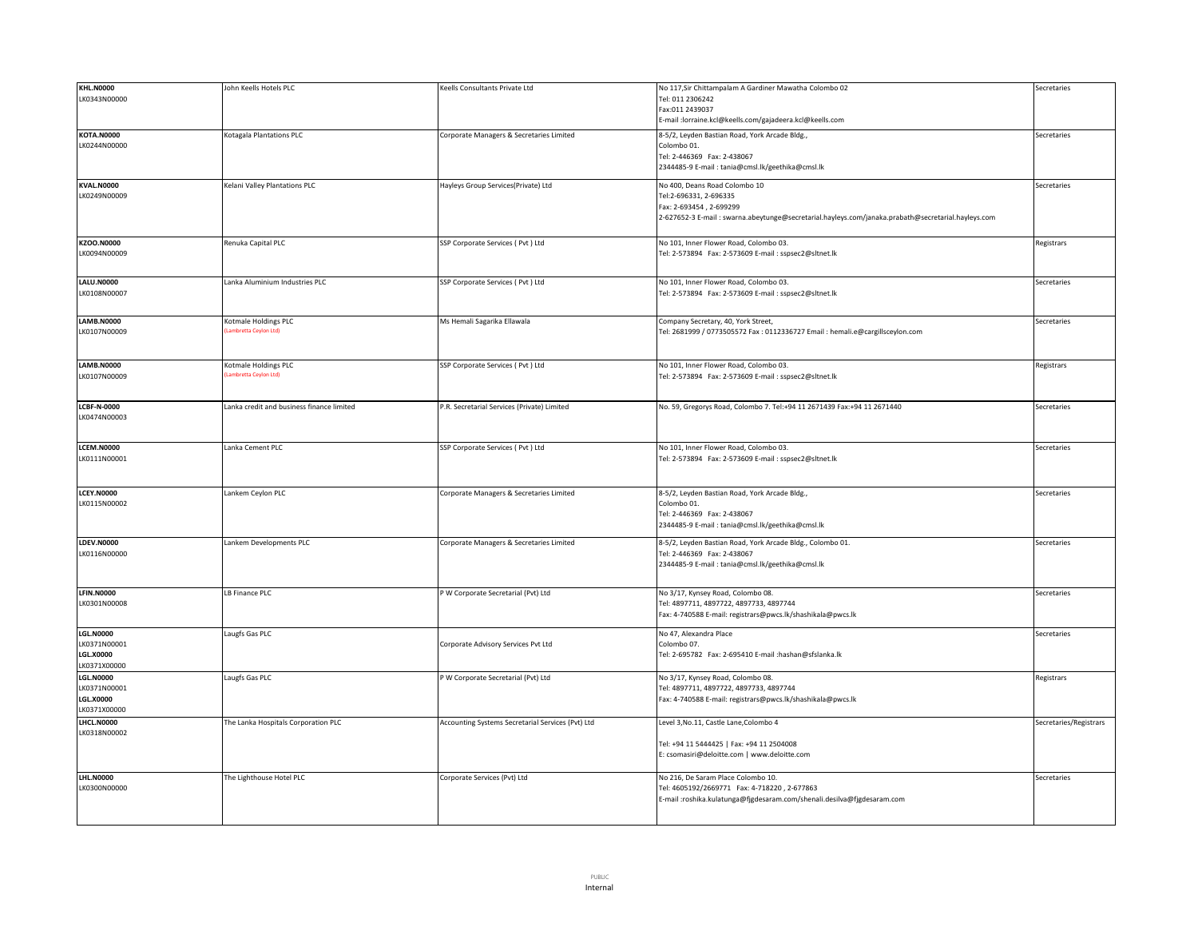| <b>KHL.N0000</b>   | John Keells Hotels PLC                    | Keells Consultants Private Ltd                    | No 117, Sir Chittampalam A Gardiner Mawatha Colombo 02                                              | Secretaries            |
|--------------------|-------------------------------------------|---------------------------------------------------|-----------------------------------------------------------------------------------------------------|------------------------|
| LK0343N00000       |                                           |                                                   | Tel: 011 2306242                                                                                    |                        |
|                    |                                           |                                                   | Fax:011 2439037                                                                                     |                        |
|                    |                                           |                                                   | E-mail:lorraine.kcl@keells.com/gajadeera.kcl@keells.com                                             |                        |
|                    |                                           |                                                   |                                                                                                     |                        |
| <b>KOTA.N0000</b>  | <b>Kotagala Plantations PLC</b>           | Corporate Managers & Secretaries Limited          | 8-5/2, Leyden Bastian Road, York Arcade Bldg.,                                                      | Secretaries            |
| LK0244N00000       |                                           |                                                   | Colombo 01.                                                                                         |                        |
|                    |                                           |                                                   | Tel: 2-446369 Fax: 2-438067                                                                         |                        |
|                    |                                           |                                                   | 2344485-9 E-mail: tania@cmsl.lk/geethika@cmsl.lk                                                    |                        |
|                    |                                           |                                                   |                                                                                                     |                        |
| <b>KVAL.N0000</b>  | Kelani Valley Plantations PLC             | Hayleys Group Services(Private) Ltd               | No 400, Deans Road Colombo 10                                                                       | Secretaries            |
| LK0249N00009       |                                           |                                                   | Tel:2-696331, 2-696335                                                                              |                        |
|                    |                                           |                                                   | Fax: 2-693454, 2-699299                                                                             |                        |
|                    |                                           |                                                   | 2-627652-3 E-mail : swarna.abeytunge@secretarial.hayleys.com/janaka.prabath@secretarial.hayleys.com |                        |
|                    |                                           |                                                   |                                                                                                     |                        |
| <b>KZOO.N0000</b>  | Renuka Capital PLC                        | SSP Corporate Services ( Pvt ) Ltd                | No 101. Inner Flower Road, Colombo 03.                                                              | Registrars             |
| LK0094N00009       |                                           |                                                   | Tel: 2-573894 Fax: 2-573609 E-mail: sspsec2@sltnet.lk                                               |                        |
|                    |                                           |                                                   |                                                                                                     |                        |
|                    |                                           |                                                   |                                                                                                     |                        |
| <b>LALU.N0000</b>  | Lanka Aluminium Industries PLC            | SSP Corporate Services (Pvt) Ltd                  | No 101, Inner Flower Road, Colombo 03.                                                              | Secretaries            |
| LK0108N00007       |                                           |                                                   | Tel: 2-573894 Fax: 2-573609 E-mail : sspsec2@sltnet.lk                                              |                        |
|                    |                                           |                                                   |                                                                                                     |                        |
|                    |                                           |                                                   |                                                                                                     |                        |
| <b>LAMB.N0000</b>  | Kotmale Holdings PLC                      | Ms Hemali Sagarika Ellawala                       | Company Secretary, 40, York Street,                                                                 | Secretaries            |
| LK0107N00009       | ambretta Ceylon Ltd)                      |                                                   | Tel: 2681999 / 0773505572 Fax: 0112336727 Email: hemali.e@cargillsceylon.com                        |                        |
|                    |                                           |                                                   |                                                                                                     |                        |
|                    |                                           |                                                   |                                                                                                     |                        |
| <b>LAMB.N0000</b>  | Kotmale Holdings PLC                      | SSP Corporate Services (Pvt) Ltd                  | No 101, Inner Flower Road, Colombo 03.                                                              | Registrars             |
| LK0107N00009       | ambretta Ceylon Ltd                       |                                                   | Tel: 2-573894 Fax: 2-573609 E-mail : sspsec2@sltnet.lk                                              |                        |
|                    |                                           |                                                   |                                                                                                     |                        |
|                    |                                           |                                                   |                                                                                                     |                        |
| <b>LCBF-N-0000</b> | Lanka credit and business finance limited | P.R. Secretarial Services (Private) Limited       | No. 59, Gregorys Road, Colombo 7. Tel:+94 11 2671439 Fax:+94 11 2671440                             | Secretaries            |
| LK0474N00003       |                                           |                                                   |                                                                                                     |                        |
|                    |                                           |                                                   |                                                                                                     |                        |
|                    |                                           |                                                   |                                                                                                     |                        |
| <b>LCEM.N0000</b>  | Lanka Cement PLC                          | SSP Corporate Services ( Pvt ) Ltd                | No 101, Inner Flower Road, Colombo 03.                                                              | Secretaries            |
| LK0111N00001       |                                           |                                                   | Tel: 2-573894 Fax: 2-573609 E-mail : sspsec2@sltnet.lk                                              |                        |
|                    |                                           |                                                   |                                                                                                     |                        |
|                    |                                           |                                                   |                                                                                                     |                        |
| <b>LCEY.N0000</b>  | Lankem Ceylon PLC                         | Corporate Managers & Secretaries Limited          | 8-5/2, Leyden Bastian Road, York Arcade Bldg.,                                                      | Secretaries            |
| LK0115N00002       |                                           |                                                   | Colombo 01.                                                                                         |                        |
|                    |                                           |                                                   | Tel: 2-446369 Fax: 2-438067                                                                         |                        |
|                    |                                           |                                                   |                                                                                                     |                        |
|                    |                                           |                                                   | 2344485-9 E-mail: tania@cmsl.lk/geethika@cmsl.lk                                                    |                        |
| <b>LDEV.N0000</b>  | Lankem Developments PLC                   | Corporate Managers & Secretaries Limited          | 8-5/2, Leyden Bastian Road, York Arcade Bldg., Colombo 01.                                          | Secretaries            |
| LK0116N00000       |                                           |                                                   | Tel: 2-446369 Fax: 2-438067                                                                         |                        |
|                    |                                           |                                                   | 2344485-9 E-mail: tania@cmsl.lk/geethika@cmsl.lk                                                    |                        |
|                    |                                           |                                                   |                                                                                                     |                        |
|                    |                                           |                                                   |                                                                                                     |                        |
| <b>LFIN.N0000</b>  | LB Finance PLC                            | P W Corporate Secretarial (Pvt) Ltd               | No 3/17, Kynsey Road, Colombo 08.                                                                   | Secretaries            |
| LK0301N00008       |                                           |                                                   | Tel: 4897711, 4897722, 4897733, 4897744                                                             |                        |
|                    |                                           |                                                   | Fax: 4-740588 E-mail: registrars@pwcs.lk/shashikala@pwcs.lk                                         |                        |
|                    |                                           |                                                   |                                                                                                     |                        |
| <b>LGL.N0000</b>   | Laugfs Gas PLC                            |                                                   | No 47, Alexandra Place                                                                              | Secretaries            |
| LK0371N00001       |                                           | Corporate Advisory Services Pvt Ltd               | Colombo 07.                                                                                         |                        |
| <b>LGL.X0000</b>   |                                           |                                                   | Tel: 2-695782 Fax: 2-695410 E-mail :hashan@sfslanka.lk                                              |                        |
| LK0371X00000       |                                           |                                                   |                                                                                                     |                        |
| <b>LGL.N0000</b>   | Laugfs Gas PLC                            | P W Corporate Secretarial (Pvt) Ltd               | No 3/17, Kynsey Road, Colombo 08.                                                                   | Registrars             |
| LK0371N00001       |                                           |                                                   | Tel: 4897711, 4897722, 4897733, 4897744                                                             |                        |
| <b>LGL.X0000</b>   |                                           |                                                   |                                                                                                     |                        |
|                    |                                           |                                                   | Fax: 4-740588 E-mail: registrars@pwcs.lk/shashikala@pwcs.lk                                         |                        |
| LK0371X00000       |                                           |                                                   |                                                                                                     |                        |
| LHCL.N0000         | The Lanka Hospitals Corporation PLC       | Accounting Systems Secretarial Services (Pvt) Ltd | Level 3, No.11, Castle Lane, Colombo 4                                                              | Secretaries/Registrars |
| LK0318N00002       |                                           |                                                   |                                                                                                     |                        |
|                    |                                           |                                                   | Tel: +94 11 5444425   Fax: +94 11 2504008                                                           |                        |
|                    |                                           |                                                   | E: csomasiri@deloitte.com   www.deloitte.com                                                        |                        |
|                    |                                           |                                                   |                                                                                                     |                        |
| <b>LHL.N0000</b>   | The Lighthouse Hotel PLC                  | Corporate Services (Pvt) Ltd                      | No 216, De Saram Place Colombo 10.                                                                  | Secretaries            |
| LK0300N00000       |                                           |                                                   | Tel: 4605192/2669771 Fax: 4-718220, 2-677863                                                        |                        |
|                    |                                           |                                                   | E-mail :roshika.kulatunga@fjgdesaram.com/shenali.desilva@fjgdesaram.com                             |                        |
|                    |                                           |                                                   |                                                                                                     |                        |
|                    |                                           |                                                   |                                                                                                     |                        |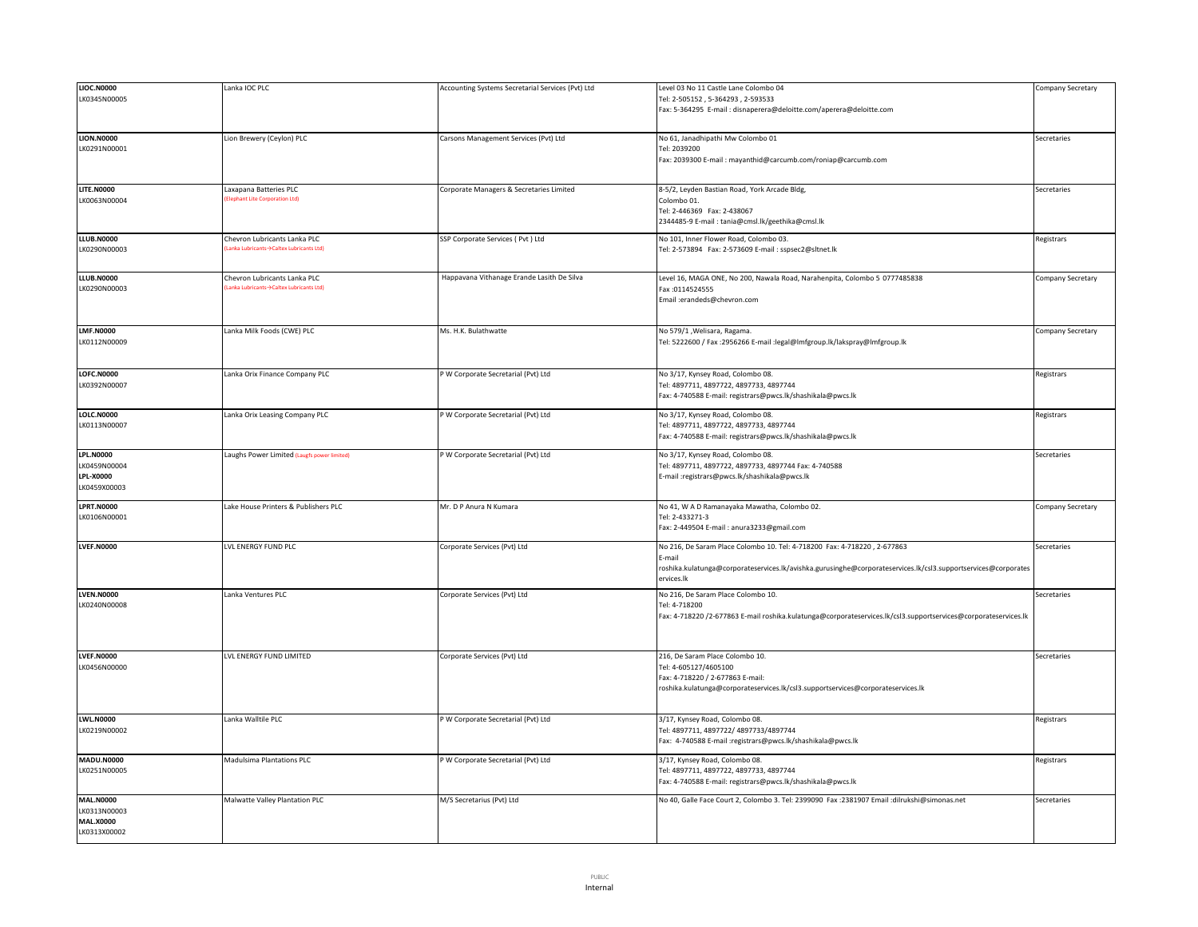| <b>LIOC.N0000</b> | Lanka IOC PLC                               | Accounting Systems Secretarial Services (Pvt) Ltd | Level 03 No 11 Castle Lane Colombo 04                                                                           | Company Secretary |
|-------------------|---------------------------------------------|---------------------------------------------------|-----------------------------------------------------------------------------------------------------------------|-------------------|
| LK0345N00005      |                                             |                                                   | Tel: 2-505152, 5-364293, 2-593533                                                                               |                   |
|                   |                                             |                                                   | Fax: 5-364295 E-mail : disnaperera@deloitte.com/aperera@deloitte.com                                            |                   |
|                   |                                             |                                                   |                                                                                                                 |                   |
|                   |                                             |                                                   |                                                                                                                 |                   |
| <b>LION.N0000</b> | Lion Brewery (Ceylon) PLC                   | Carsons Management Services (Pvt) Ltd             | No 61, Janadhipathi Mw Colombo 01                                                                               | Secretaries       |
| LK0291N00001      |                                             |                                                   | Tel: 2039200                                                                                                    |                   |
|                   |                                             |                                                   | Fax: 2039300 E-mail: mayanthid@carcumb.com/roniap@carcumb.com                                                   |                   |
|                   |                                             |                                                   |                                                                                                                 |                   |
|                   |                                             |                                                   |                                                                                                                 |                   |
| <b>LITE.N0000</b> | Laxapana Batteries PLC                      | Corporate Managers & Secretaries Limited          | 8-5/2, Leyden Bastian Road, York Arcade Bldg,                                                                   | Secretaries       |
| LK0063N00004      | lephant Lite Corporation Ltd)               |                                                   |                                                                                                                 |                   |
|                   |                                             |                                                   | Colombo 01.                                                                                                     |                   |
|                   |                                             |                                                   | Tel: 2-446369 Fax: 2-438067                                                                                     |                   |
|                   |                                             |                                                   | 2344485-9 E-mail: tania@cmsl.lk/geethika@cmsl.lk                                                                |                   |
| <b>LLUB.N0000</b> | Chevron Lubricants Lanka PLC                | SSP Corporate Services ( Pvt ) Ltd                | No 101, Inner Flower Road, Colombo 03.                                                                          | Registrars        |
| LK0290N00003      | Lanka Lubricants->Caltex Lubricants Ltd)    |                                                   | Tel: 2-573894 Fax: 2-573609 E-mail : sspsec2@sltnet.lk                                                          |                   |
|                   |                                             |                                                   |                                                                                                                 |                   |
|                   |                                             |                                                   |                                                                                                                 |                   |
| <b>LLUB.N0000</b> | Chevron Lubricants Lanka PLC                | Happavana Vithanage Erande Lasith De Silva        | Level 16, MAGA ONE, No 200, Nawala Road, Narahenpita, Colombo 5 0777485838                                      | Company Secretary |
| LK0290N00003      | Lanka Lubricants→Caltex Lubricants Ltd)     |                                                   | Fax: 0114524555                                                                                                 |                   |
|                   |                                             |                                                   |                                                                                                                 |                   |
|                   |                                             |                                                   | Email :erandeds@chevron.com                                                                                     |                   |
|                   |                                             |                                                   |                                                                                                                 |                   |
|                   |                                             |                                                   |                                                                                                                 |                   |
| <b>LMF.N0000</b>  | Lanka Milk Foods (CWE) PLC                  | Ms. H.K. Bulathwatte                              | No 579/1, Welisara, Ragama.                                                                                     | Company Secretary |
| LK0112N00009      |                                             |                                                   | Tel: 5222600 / Fax :2956266 E-mail :legal@Imfgroup.lk/lakspray@Imfgroup.lk                                      |                   |
|                   |                                             |                                                   |                                                                                                                 |                   |
|                   |                                             |                                                   |                                                                                                                 |                   |
| <b>LOFC.N0000</b> | Lanka Orix Finance Company PLC              | P W Corporate Secretarial (Pvt) Ltd               | No 3/17, Kynsey Road, Colombo 08.                                                                               | Registrars        |
| LK0392N00007      |                                             |                                                   | el: 4897711, 4897722, 4897733, 4897744                                                                          |                   |
|                   |                                             |                                                   | Fax: 4-740588 E-mail: registrars@pwcs.lk/shashikala@pwcs.lk                                                     |                   |
|                   |                                             |                                                   |                                                                                                                 |                   |
| <b>LOLC.N0000</b> | Lanka Orix Leasing Company PLC              | P W Corporate Secretarial (Pvt) Ltd               | No 3/17, Kynsey Road, Colombo 08.                                                                               | Registrars        |
| LK0113N00007      |                                             |                                                   | el: 4897711, 4897722, 4897733, 4897744                                                                          |                   |
|                   |                                             |                                                   | Fax: 4-740588 E-mail: registrars@pwcs.lk/shashikala@pwcs.lk                                                     |                   |
|                   |                                             |                                                   |                                                                                                                 |                   |
| <b>LPL.N0000</b>  | Laughs Power Limited (Laugfs power limited) | P W Corporate Secretarial (Pvt) Ltd               | No 3/17, Kynsey Road, Colombo 08.                                                                               | Secretaries       |
| LK0459N00004      |                                             |                                                   | Tel: 4897711, 4897722, 4897733, 4897744 Fax: 4-740588                                                           |                   |
| <b>LPL-X0000</b>  |                                             |                                                   | mail:registrars@pwcs.lk/shashikala@pwcs.lk                                                                      |                   |
| LK0459X00003      |                                             |                                                   |                                                                                                                 |                   |
|                   |                                             |                                                   |                                                                                                                 |                   |
| <b>LPRT.N0000</b> | Lake House Printers & Publishers PLC        | Mr. D P Anura N Kumara                            | No 41, W A D Ramanayaka Mawatha, Colombo 02.                                                                    | Company Secretary |
| LK0106N00001      |                                             |                                                   | Tel: 2-433271-3                                                                                                 |                   |
|                   |                                             |                                                   |                                                                                                                 |                   |
|                   |                                             |                                                   | Fax: 2-449504 E-mail: anura3233@gmail.com                                                                       |                   |
| <b>LVEF.N0000</b> | LVL ENERGY FUND PLC                         | Corporate Services (Pvt) Ltd                      | No 216, De Saram Place Colombo 10. Tel: 4-718200 Fax: 4-718220, 2-677863                                        | Secretaries       |
|                   |                                             |                                                   | :-mail                                                                                                          |                   |
|                   |                                             |                                                   |                                                                                                                 |                   |
|                   |                                             |                                                   | roshika.kulatunga@corporateservices.lk/avishka.gurusinghe@corporateservices.lk/csl3.supportservices@corporates  |                   |
|                   |                                             |                                                   | ervices.lk                                                                                                      |                   |
| <b>LVEN.N0000</b> | Lanka Ventures PLC                          | Corporate Services (Pvt) Ltd                      | No 216, De Saram Place Colombo 10.                                                                              | Secretaries       |
| LK0240N00008      |                                             |                                                   | Tel: 4-718200                                                                                                   |                   |
|                   |                                             |                                                   |                                                                                                                 |                   |
|                   |                                             |                                                   | Fax: 4-718220 /2-677863 E-mail roshika.kulatunga@corporateservices.lk/csl3.supportservices@corporateservices.lk |                   |
|                   |                                             |                                                   |                                                                                                                 |                   |
|                   |                                             |                                                   |                                                                                                                 |                   |
|                   |                                             |                                                   |                                                                                                                 |                   |
| <b>LVEF.N0000</b> | LVL ENERGY FUND LIMITED                     | Corporate Services (Pvt) Ltd                      | 216, De Saram Place Colombo 10.                                                                                 | Secretaries       |
| LK0456N00000      |                                             |                                                   | Tel: 4-605127/4605100                                                                                           |                   |
|                   |                                             |                                                   | Fax: 4-718220 / 2-677863 E-mail:                                                                                |                   |
|                   |                                             |                                                   | roshika.kulatunga@corporateservices.lk/csl3.supportservices@corporateservices.lk                                |                   |
|                   |                                             |                                                   |                                                                                                                 |                   |
|                   |                                             |                                                   |                                                                                                                 |                   |
| <b>LWL.N0000</b>  | anka Walltile PLC                           | P W Corporate Secretarial (Pvt) Ltd               | 3/17, Kynsey Road, Colombo 08.                                                                                  | Registrars        |
| LK0219N00002      |                                             |                                                   | el: 4897711, 4897722/ 4897733/4897744                                                                           |                   |
|                   |                                             |                                                   | Fax: 4-740588 E-mail :registrars@pwcs.lk/shashikala@pwcs.lk                                                     |                   |
|                   |                                             |                                                   |                                                                                                                 |                   |
| MADU.N0000        | Madulsima Plantations PLC                   | P W Corporate Secretarial (Pvt) Ltd               | 3/17, Kynsey Road, Colombo 08.                                                                                  | Registrars        |
| LK0251N00005      |                                             |                                                   | el: 4897711, 4897722, 4897733, 4897744                                                                          |                   |
|                   |                                             |                                                   | Fax: 4-740588 E-mail: registrars@pwcs.lk/shashikala@pwcs.lk                                                     |                   |
|                   |                                             |                                                   |                                                                                                                 |                   |
| <b>MAL.N0000</b>  | Malwatte Valley Plantation PLC              | M/S Secretarius (Pvt) Ltd                         | No 40, Galle Face Court 2, Colombo 3. Tel: 2399090 Fax :2381907 Email :dilrukshi@simonas.net                    | Secretaries       |
| LK0313N00003      |                                             |                                                   |                                                                                                                 |                   |
| <b>MAL.X0000</b>  |                                             |                                                   |                                                                                                                 |                   |
| LK0313X00002      |                                             |                                                   |                                                                                                                 |                   |
|                   |                                             |                                                   |                                                                                                                 |                   |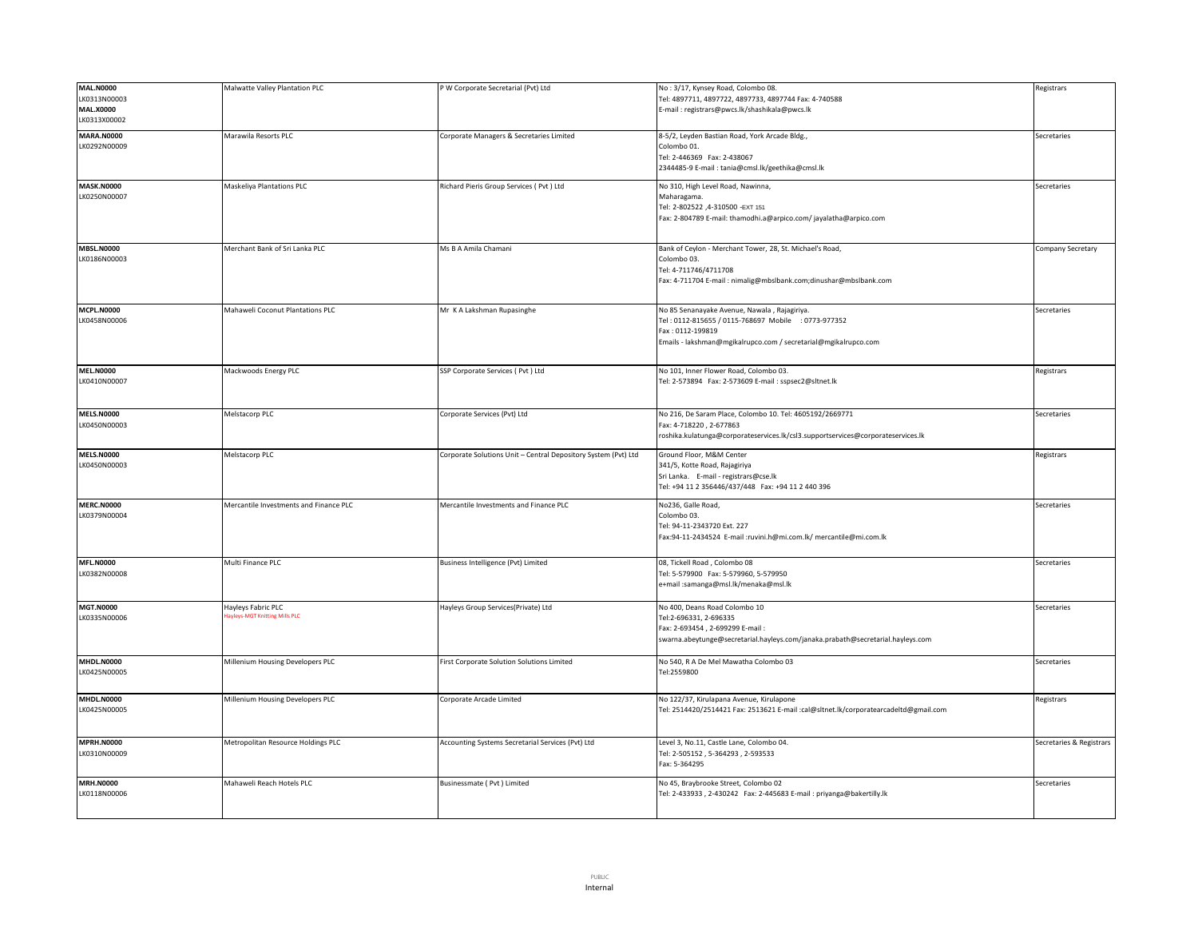| <b>MAL.N0000</b><br>LK0313N00003<br><b>MAL.X0000</b><br>LK0313X00002 | Malwatte Valley Plantation PLC                      | P W Corporate Secretarial (Pvt) Ltd                            | No: 3/17, Kynsey Road, Colombo 08.<br>Tel: 4897711, 4897722, 4897733, 4897744 Fax: 4-740588<br>E-mail: registrars@pwcs.lk/shashikala@pwcs.lk                                               | Registrars               |
|----------------------------------------------------------------------|-----------------------------------------------------|----------------------------------------------------------------|--------------------------------------------------------------------------------------------------------------------------------------------------------------------------------------------|--------------------------|
| <b>MARA.N0000</b><br>LK0292N00009                                    | Marawila Resorts PLC                                | Corporate Managers & Secretaries Limited                       | 8-5/2, Leyden Bastian Road, York Arcade Bldg.,<br>Colombo 01.<br>Tel: 2-446369 Fax: 2-438067<br>2344485-9 E-mail: tania@cmsl.lk/geethika@cmsl.lk                                           | Secretaries              |
| <b>MASK.N0000</b><br>LK0250N00007                                    | <b>Maskeliya Plantations PLC</b>                    | Richard Pieris Group Services ( Pvt ) Ltd                      | No 310, High Level Road, Nawinna,<br>Maharagama.<br>Tel: 2-802522 ,4-310500 -EXT 151<br>Fax: 2-804789 E-mail: thamodhi.a@arpico.com/jayalatha@arpico.com                                   | Secretaries              |
| <b>MBSL.N0000</b><br>LK0186N00003                                    | Merchant Bank of Sri Lanka PLC                      | Ms B A Amila Chamani                                           | Bank of Ceylon - Merchant Tower, 28, St. Michael's Road,<br>Colombo 03.<br>Tel: 4-711746/4711708<br>Fax: 4-711704 E-mail: nimalig@mbslbank.com;dinushar@mbslbank.com                       | Company Secretary        |
| <b>MCPL.N0000</b><br>LK0458N00006                                    | Mahaweli Coconut Plantations PLC                    | Mr K A Lakshman Rupasinghe                                     | No 85 Senanayake Avenue, Nawala, Rajagiriya.<br>Tel: 0112-815655 / 0115-768697 Mobile : 0773-977352<br>Fax: 0112-199819<br>Emails - lakshman@mgikalrupco.com / secretarial@mgikalrupco.com | Secretaries              |
| <b>MEL.N0000</b><br>LK0410N00007                                     | Mackwoods Energy PLC                                | SSP Corporate Services (Pvt) Ltd                               | No 101, Inner Flower Road, Colombo 03.<br>Tel: 2-573894 Fax: 2-573609 E-mail: sspsec2@sltnet.lk                                                                                            | Registrars               |
| <b>MELS.N0000</b><br>LK0450N00003                                    | Melstacorp PLC                                      | Corporate Services (Pvt) Ltd                                   | No 216, De Saram Place, Colombo 10. Tel: 4605192/2669771<br>Fax: 4-718220, 2-677863<br>roshika.kulatunga@corporateservices.lk/csl3.supportservices@corporateservices.lk                    | Secretaries              |
| <b>MELS.N0000</b><br>LK0450N00003                                    | Melstacorp PLC                                      | Corporate Solutions Unit - Central Depository System (Pvt) Ltd | Ground Floor, M&M Center<br>341/5, Kotte Road, Rajagiriya<br>Sri Lanka. E-mail - registrars@cse.lk<br>Tel: +94 11 2 356446/437/448  Fax: +94 11 2 440 396                                  | Registrars               |
| <b>MERC.N0000</b><br>LK0379N00004                                    | Mercantile Investments and Finance PLC              | Mercantile Investments and Finance PLC                         | No236, Galle Road,<br>Colombo 03.<br>Tel: 94-11-2343720 Ext. 227<br>Fax:94-11-2434524 E-mail :ruvini.h@mi.com.lk/ mercantile@mi.com.lk                                                     | Secretaries              |
| <b>MFL.N0000</b><br>LK0382N00008                                     | Multi Finance PLC                                   | Business Intelligence (Pvt) Limited                            | 08, Tickell Road, Colombo 08<br>Tel: 5-579900 Fax: 5-579960, 5-579950<br>e+mail :samanga@msl.lk/menaka@msl.lk                                                                              | Secretaries              |
| <b>MGT.N0000</b><br>LK0335N00006                                     | Hayleys Fabric PLC<br>ayleys-MGT Knitting Mills PLC | Hayleys Group Services(Private) Ltd                            | No 400, Deans Road Colombo 10<br>Tel:2-696331, 2-696335<br>Fax: 2-693454, 2-699299 E-mail:<br>swarna.abeytunge@secretarial.hayleys.com/janaka.prabath@secretarial.hayleys.com              | Secretaries              |
| <b>MHDL.N0000</b><br>LK0425N00005                                    | Millenium Housing Developers PLC                    | First Corporate Solution Solutions Limited                     | No 540, R A De Mel Mawatha Colombo 03<br>Tel:2559800                                                                                                                                       | Secretaries              |
| <b>MHDL.N0000</b><br>LK0425N00005                                    | Millenium Housing Developers PLC                    | Corporate Arcade Limited                                       | No 122/37, Kirulapana Avenue, Kirulapone<br>Tel: 2514420/2514421 Fax: 2513621 E-mail :cal@sltnet.lk/corporatearcadeltd@gmail.com                                                           | Registrars               |
| <b>MPRH.N0000</b><br>LK0310N00009                                    | Metropolitan Resource Holdings PLC                  | Accounting Systems Secretarial Services (Pvt) Ltd              | Level 3, No.11, Castle Lane, Colombo 04.<br>Tel: 2-505152, 5-364293, 2-593533<br>Fax: 5-364295                                                                                             | Secretaries & Registrars |
| <b>MRH.N0000</b><br>LK0118N00006                                     | Mahaweli Reach Hotels PLC                           | Businessmate (Pvt) Limited                                     | No 45, Braybrooke Street, Colombo 02<br>Tel: 2-433933, 2-430242 Fax: 2-445683 E-mail: priyanga@bakertilly.lk                                                                               | Secretaries              |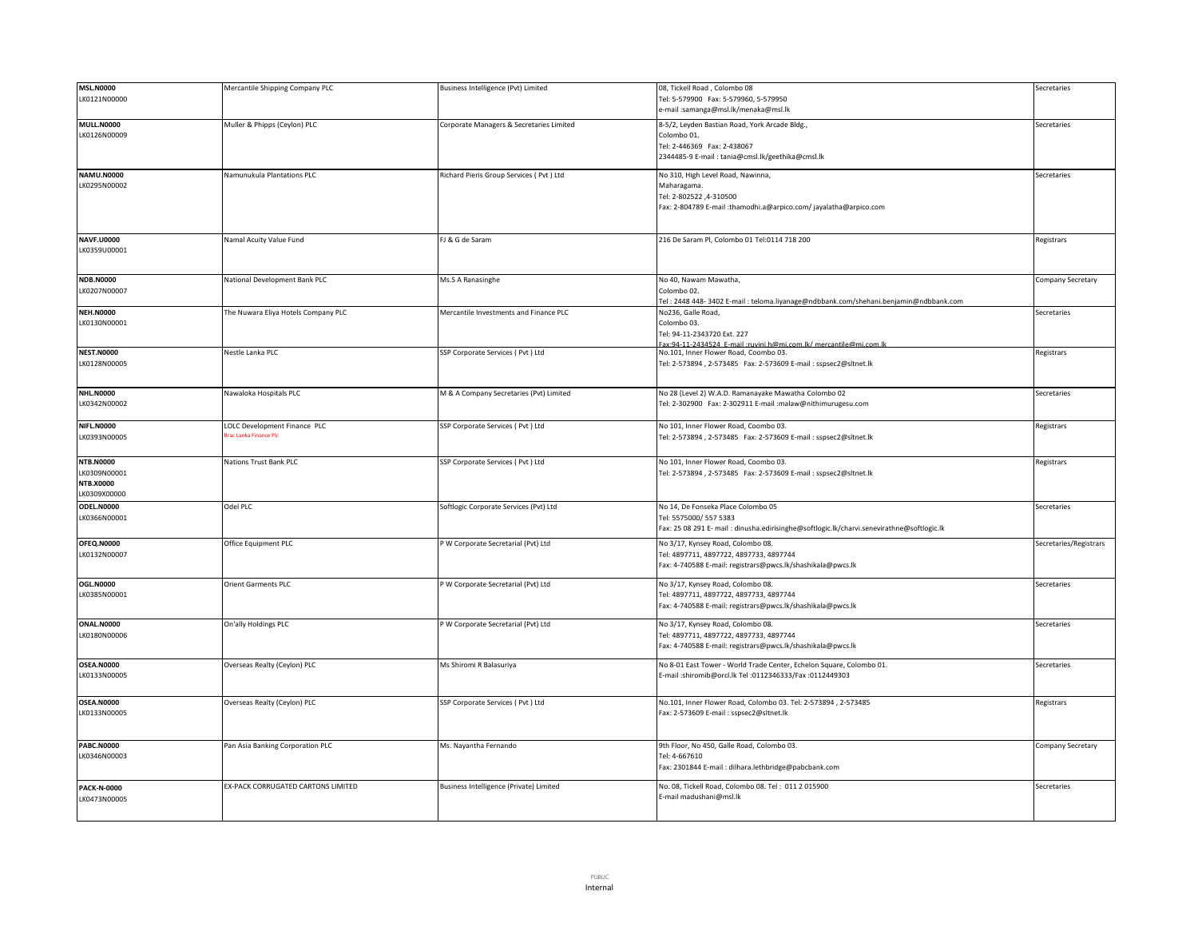| <b>MSL.N0000</b>   | Mercantile Shipping Company PLC     | Business Intelligence (Pvt) Limited       | 08, Tickell Road, Colombo 08                                                               | Secretaries            |
|--------------------|-------------------------------------|-------------------------------------------|--------------------------------------------------------------------------------------------|------------------------|
| LK0121N00000       |                                     |                                           | Tel: 5-579900 Fax: 5-579960, 5-579950                                                      |                        |
|                    |                                     |                                           | e-mail:samanga@msl.lk/menaka@msl.lk                                                        |                        |
|                    |                                     |                                           |                                                                                            |                        |
| <b>MULL.N0000</b>  | Muller & Phipps (Ceylon) PLC        | Corporate Managers & Secretaries Limited  | 8-5/2, Leyden Bastian Road, York Arcade Bldg.,                                             | Secretaries            |
| LK0126N00009       |                                     |                                           | Colombo 01.                                                                                |                        |
|                    |                                     |                                           | Tel: 2-446369 Fax: 2-438067                                                                |                        |
|                    |                                     |                                           | 2344485-9 E-mail: tania@cmsl.lk/geethika@cmsl.lk                                           |                        |
|                    |                                     |                                           |                                                                                            |                        |
| <b>NAMU.N0000</b>  | Namunukula Plantations PLC          | Richard Pieris Group Services ( Pvt ) Ltd | No 310, High Level Road, Nawinna,                                                          | Secretaries            |
| LK0295N00002       |                                     |                                           | Maharagama                                                                                 |                        |
|                    |                                     |                                           | Tel: 2-802522 ,4-310500                                                                    |                        |
|                    |                                     |                                           |                                                                                            |                        |
|                    |                                     |                                           | Fax: 2-804789 E-mail :thamodhi.a@arpico.com/jayalatha@arpico.com                           |                        |
|                    |                                     |                                           |                                                                                            |                        |
|                    |                                     |                                           |                                                                                            |                        |
| <b>NAVF.U0000</b>  | Namal Acuity Value Fund             | FJ & G de Saram                           | 216 De Saram Pl, Colombo 01 Tel:0114 718 200                                               | Registrars             |
| LK0359U00001       |                                     |                                           |                                                                                            |                        |
|                    |                                     |                                           |                                                                                            |                        |
|                    |                                     |                                           |                                                                                            |                        |
| <b>NDB.N0000</b>   | National Development Bank PLC       | Ms.S A Ranasinghe                         | No 40, Nawam Mawatha,                                                                      | Company Secretary      |
| LK0207N00007       |                                     |                                           | Colombo 02.                                                                                |                        |
|                    |                                     |                                           |                                                                                            |                        |
|                    |                                     |                                           | Tel: 2448 448-3402 E-mail: teloma.liyanage@ndbbank.com/shehani.benjamin@ndbbank.com        |                        |
| <b>NEH.N0000</b>   | The Nuwara Eliya Hotels Company PLC | Mercantile Investments and Finance PLC    | No236, Galle Road,                                                                         | Secretaries            |
| LK0130N00001       |                                     |                                           | Colombo 03.                                                                                |                        |
|                    |                                     |                                           | Tel: 94-11-2343720 Ext. 227                                                                |                        |
|                    |                                     |                                           | av:94-11-2434524 F-mail:ruvini h@mi.com lk/ mercantile@mi.com                              |                        |
| <b>NEST.N0000</b>  | Nestle Lanka PLC                    | SSP Corporate Services ( Pvt ) Ltd        | No.101, Inner Flower Road, Coombo 03.                                                      | Registrars             |
| LK0128N00005       |                                     |                                           | Tel: 2-573894, 2-573485    Fax: 2-573609    E-mail: sspsec2@sltnet.lk                      |                        |
|                    |                                     |                                           |                                                                                            |                        |
|                    |                                     |                                           |                                                                                            |                        |
| <b>NHL.N0000</b>   | Nawaloka Hospitals PLC              | M & A Company Secretaries (Pvt) Limited   | No 28 (Level 2) W.A.D. Ramanayake Mawatha Colombo 02                                       | Secretaries            |
| LK0342N00002       |                                     |                                           | Tel: 2-302900 Fax: 2-302911 E-mail :malaw@nithimurugesu.com                                |                        |
|                    |                                     |                                           |                                                                                            |                        |
|                    |                                     |                                           |                                                                                            |                        |
| <b>NIFL.N0000</b>  | LOLC Development Finance PLC        | SSP Corporate Services ( Pvt ) Ltd        | No 101, Inner Flower Road, Coombo 03.                                                      | Registrars             |
| LK0393N00005       | Brac Lanka Finance Plo              |                                           | Tel: 2-573894, 2-573485    Fax: 2-573609    E-mail: sspsec2@sltnet.lk                      |                        |
|                    |                                     |                                           |                                                                                            |                        |
|                    |                                     |                                           |                                                                                            |                        |
| <b>NTB.N0000</b>   | <b>Nations Trust Bank PLC</b>       | SSP Corporate Services (Pvt) Ltd          | No 101, Inner Flower Road, Coombo 03.                                                      | Registrars             |
| LK0309N00001       |                                     |                                           | Tel: 2-573894, 2-573485    Fax: 2-573609    E-mail: sspsec2@sltnet.lk                      |                        |
| <b>NTB.X0000</b>   |                                     |                                           |                                                                                            |                        |
| K0309X00000        |                                     |                                           |                                                                                            |                        |
| ODEL.N0000         | Odel PLC                            | Softlogic Corporate Services (Pvt) Ltd    | No 14. De Fonseka Place Colombo 05                                                         | Secretaries            |
|                    |                                     |                                           | Tel: 5575000/5575383                                                                       |                        |
| LK0366N00001       |                                     |                                           |                                                                                            |                        |
|                    |                                     |                                           | Fax: 25 08 291 E- mail : dinusha.edirisinghe@softlogic.lk/charvi.senevirathne@softlogic.lk |                        |
| OFEQ.N0000         | Office Equipment PLC                | P W Corporate Secretarial (Pvt) Ltd       | No 3/17, Kynsey Road, Colombo 08.                                                          | Secretaries/Registrars |
| LK0132N00007       |                                     |                                           | Tel: 4897711, 4897722, 4897733, 4897744                                                    |                        |
|                    |                                     |                                           |                                                                                            |                        |
|                    |                                     |                                           | Fax: 4-740588 E-mail: registrars@pwcs.lk/shashikala@pwcs.lk                                |                        |
|                    |                                     |                                           |                                                                                            |                        |
| <b>OGL.N0000</b>   | Orient Garments PLC                 | P W Corporate Secretarial (Pvt) Ltd       | No 3/17, Kynsey Road, Colombo 08.                                                          | Secretaries            |
| LK0385N00001       |                                     |                                           | Tel: 4897711, 4897722, 4897733, 4897744                                                    |                        |
|                    |                                     |                                           |                                                                                            |                        |
|                    |                                     |                                           | Fax: 4-740588 E-mail: registrars@pwcs.lk/shashikala@pwcs.lk                                |                        |
|                    |                                     |                                           |                                                                                            |                        |
| ONAL.N0000         | On'ally Holdings PLC                | P W Corporate Secretarial (Pvt) Ltd       | No 3/17, Kynsey Road, Colombo 08.                                                          | Secretaries            |
| LK0180N00006       |                                     |                                           | Tel: 4897711, 4897722, 4897733, 4897744                                                    |                        |
|                    |                                     |                                           |                                                                                            |                        |
|                    |                                     |                                           | Fax: 4-740588 E-mail: registrars@pwcs.lk/shashikala@pwcs.lk                                |                        |
| <b>OSEA.N0000</b>  |                                     |                                           |                                                                                            | Secretaries            |
|                    | Overseas Realty (Ceylon) PLC        | Ms Shiromi R Balasuriya                   | No 8-01 East Tower - World Trade Center, Echelon Square, Colombo 01.                       |                        |
| LK0133N00005       |                                     |                                           | E-mail :shiromib@orcl.lk Tel :0112346333/Fax :0112449303                                   |                        |
|                    |                                     |                                           |                                                                                            |                        |
|                    |                                     |                                           |                                                                                            |                        |
| <b>OSEA.N0000</b>  | Overseas Realty (Ceylon) PLC        | SSP Corporate Services ( Pvt ) Ltd        | No.101, Inner Flower Road, Colombo 03. Tel: 2-573894, 2-573485                             | Registrars             |
| LK0133N00005       |                                     |                                           | Fax: 2-573609 E-mail: sspsec2@sltnet.lk                                                    |                        |
|                    |                                     |                                           |                                                                                            |                        |
|                    |                                     |                                           |                                                                                            |                        |
| <b>PABC.N0000</b>  | Pan Asia Banking Corporation PLC    | Ms. Nayantha Fernando                     | 9th Floor, No 450, Galle Road, Colombo 03.                                                 | Company Secretary      |
|                    |                                     |                                           | Tel: 4-667610                                                                              |                        |
| LK0346N00003       |                                     |                                           |                                                                                            |                        |
|                    |                                     |                                           | Fax: 2301844 E-mail : dilhara.lethbridge@pabcbank.com                                      |                        |
|                    |                                     |                                           |                                                                                            |                        |
| <b>PACK-N-0000</b> | EX-PACK CORRUGATED CARTONS LIMITED  | Business Intelligence (Private) Limited   | No. 08, Tickell Road, Colombo 08. Tel: 011 2 015900                                        | Secretaries            |
| LK0473N00005       |                                     |                                           | E-mail madushani@msl.lk                                                                    |                        |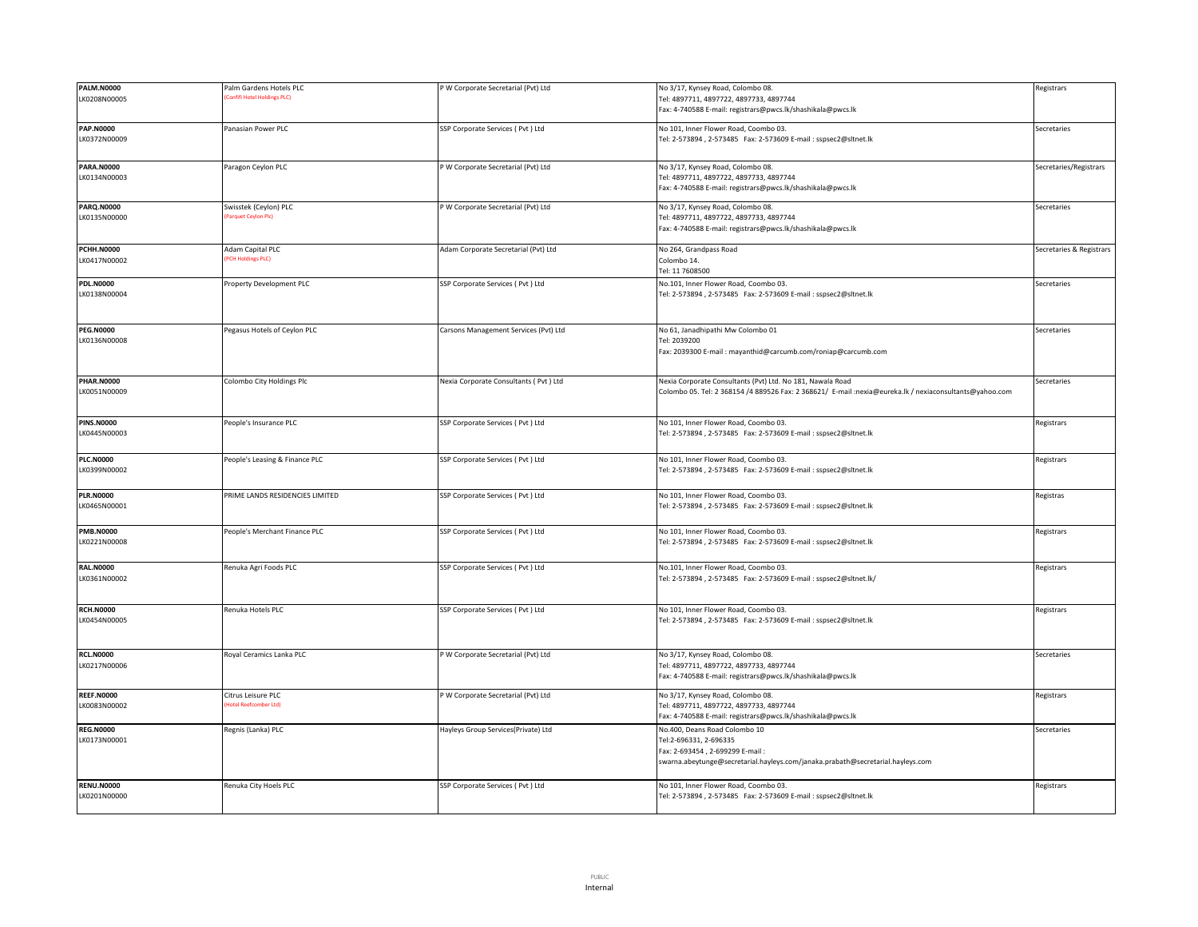| <b>PALM.N0000</b> | Palm Gardens Hotels PLC         | P W Corporate Secretarial (Pvt) Ltd     | No 3/17, Kynsey Road, Colombo 08.                                                                       | Registrars               |
|-------------------|---------------------------------|-----------------------------------------|---------------------------------------------------------------------------------------------------------|--------------------------|
|                   | onfifi Hotel Holdings PLC)      |                                         |                                                                                                         |                          |
| LK0208N00005      |                                 |                                         | Tel: 4897711, 4897722, 4897733, 4897744                                                                 |                          |
|                   |                                 |                                         | Fax: 4-740588 E-mail: registrars@pwcs.lk/shashikala@pwcs.lk                                             |                          |
|                   |                                 |                                         |                                                                                                         |                          |
| <b>PAP.N0000</b>  | Panasian Power PLC              | SSP Corporate Services (Pvt ) Ltd       | No 101, Inner Flower Road, Coombo 03.                                                                   | Secretaries              |
| LK0372N00009      |                                 |                                         | Tel: 2-573894, 2-573485 Fax: 2-573609 E-mail: sspsec2@sltnet.lk                                         |                          |
|                   |                                 |                                         |                                                                                                         |                          |
|                   |                                 |                                         |                                                                                                         |                          |
| <b>PARA.N0000</b> | Paragon Ceylon PLC              | P W Corporate Secretarial (Pvt) Ltd     | No 3/17, Kynsey Road, Colombo 08.                                                                       | Secretaries/Registrars   |
| LK0134N00003      |                                 |                                         | Tel: 4897711, 4897722, 4897733, 4897744                                                                 |                          |
|                   |                                 |                                         | Fax: 4-740588 E-mail: registrars@pwcs.lk/shashikala@pwcs.lk                                             |                          |
|                   |                                 |                                         |                                                                                                         |                          |
| <b>PARQ.N0000</b> | Swisstek (Ceylon) PLC           | P W Corporate Secretarial (Pvt) Ltd     | No 3/17, Kynsey Road, Colombo 08.                                                                       | Secretaries              |
| LK0135N00000      | arquet Ceylon Plc)              |                                         | Tel: 4897711, 4897722, 4897733, 4897744                                                                 |                          |
|                   |                                 |                                         | Fax: 4-740588 E-mail: registrars@pwcs.lk/shashikala@pwcs.lk                                             |                          |
|                   |                                 |                                         |                                                                                                         |                          |
| <b>PCHH.N0000</b> | Adam Capital PLC                | Adam Corporate Secretarial (Pvt) Ltd    | No 264, Grandpass Road                                                                                  | Secretaries & Registrars |
| LK0417N00002      | <b>PCH Holdings PLC)</b>        |                                         | Colombo 14.                                                                                             |                          |
|                   |                                 |                                         |                                                                                                         |                          |
|                   |                                 |                                         | Tel: 11 7608500                                                                                         |                          |
| <b>PDL.N0000</b>  | Property Development PLC        | SSP Corporate Services (Pvt ) Ltd       | No.101, Inner Flower Road, Coombo 03.                                                                   | Secretaries              |
| LK0138N00004      |                                 |                                         | Tel: 2-573894, 2-573485    Fax: 2-573609    E-mail: sspsec2@sltnet.lk                                   |                          |
|                   |                                 |                                         |                                                                                                         |                          |
|                   |                                 |                                         |                                                                                                         |                          |
|                   |                                 |                                         |                                                                                                         |                          |
| <b>PEG.N0000</b>  | Pegasus Hotels of Ceylon PLC    | Carsons Management Services (Pvt) Ltd   | No 61, Janadhipathi Mw Colombo 01                                                                       | Secretaries              |
| LK0136N00008      |                                 |                                         | Tel: 2039200                                                                                            |                          |
|                   |                                 |                                         | Fax: 2039300 E-mail: mayanthid@carcumb.com/roniap@carcumb.com                                           |                          |
|                   |                                 |                                         |                                                                                                         |                          |
|                   |                                 |                                         |                                                                                                         |                          |
| <b>PHAR.N0000</b> | Colombo City Holdings Plc       | Nexia Corporate Consultants ( Pvt ) Ltd | Nexia Corporate Consultants (Pvt) Ltd. No 181, Nawala Road                                              | Secretaries              |
| LK0051N00009      |                                 |                                         | Colombo 05. Tel: 2 368154 /4 889526 Fax: 2 368621/ E-mail :nexia@eureka.lk / nexiaconsultants@yahoo.com |                          |
|                   |                                 |                                         |                                                                                                         |                          |
|                   |                                 |                                         |                                                                                                         |                          |
| <b>PINS.N0000</b> | People's Insurance PLC          | SSP Corporate Services (Pvt) Ltd        | No 101, Inner Flower Road, Coombo 03.                                                                   | Registrars               |
| LK0445N00003      |                                 |                                         | Tel: 2-573894, 2-573485    Fax: 2-573609    E-mail: sspsec2@sltnet.lk                                   |                          |
|                   |                                 |                                         |                                                                                                         |                          |
|                   |                                 |                                         |                                                                                                         |                          |
| <b>PLC.N0000</b>  | People's Leasing & Finance PLC  | SSP Corporate Services (Pvt ) Ltd       | No 101, Inner Flower Road, Coombo 03.                                                                   | Registrars               |
| LK0399N00002      |                                 |                                         | Tel: 2-573894, 2-573485    Fax: 2-573609    E-mail: sspsec2@sltnet.lk                                   |                          |
|                   |                                 |                                         |                                                                                                         |                          |
| <b>PLR.N0000</b>  | PRIME LANDS RESIDENCIES LIMITED | SSP Corporate Services (Pvt ) Ltd       | No 101, Inner Flower Road, Coombo 03.                                                                   | Registras                |
| LK0465N00001      |                                 |                                         | Tel: 2-573894, 2-573485 Fax: 2-573609 E-mail: sspsec2@sltnet.lk                                         |                          |
|                   |                                 |                                         |                                                                                                         |                          |
|                   |                                 |                                         |                                                                                                         |                          |
| <b>PMB.N0000</b>  | People's Merchant Finance PLC   | SSP Corporate Services (Pvt) Ltd        | No 101, Inner Flower Road, Coombo 03.                                                                   | Registrars               |
| LK0221N00008      |                                 |                                         | Tel: 2-573894, 2-573485    Fax: 2-573609    E-mail: sspsec2@sltnet.lk                                   |                          |
|                   |                                 |                                         |                                                                                                         |                          |
|                   |                                 |                                         |                                                                                                         |                          |
| <b>RAL.N0000</b>  | Renuka Agri Foods PLC           | SSP Corporate Services (Pvt ) Ltd       | No.101, Inner Flower Road, Coombo 03.                                                                   | Registrars               |
| LK0361N00002      |                                 |                                         | Tel: 2-573894, 2-573485 Fax: 2-573609 E-mail: sspsec2@sltnet.lk/                                        |                          |
|                   |                                 |                                         |                                                                                                         |                          |
|                   |                                 |                                         |                                                                                                         |                          |
| <b>RCH.N0000</b>  | Renuka Hotels PLC               | SSP Corporate Services ( Pvt ) Ltd      | No 101, Inner Flower Road, Coombo 03.                                                                   | Registrars               |
| LK0454N00005      |                                 |                                         | Tel: 2-573894, 2-573485    Fax: 2-573609    E-mail: sspsec2@sltnet.lk                                   |                          |
|                   |                                 |                                         |                                                                                                         |                          |
|                   |                                 |                                         |                                                                                                         |                          |
|                   |                                 |                                         |                                                                                                         |                          |
| <b>RCL.N0000</b>  | Royal Ceramics Lanka PLC        | P W Corporate Secretarial (Pvt) Ltd     | No 3/17, Kynsey Road, Colombo 08.                                                                       | Secretaries              |
| LK0217N00006      |                                 |                                         | Tel: 4897711, 4897722, 4897733, 4897744                                                                 |                          |
|                   |                                 |                                         | Fax: 4-740588 E-mail: registrars@pwcs.lk/shashikala@pwcs.lk                                             |                          |
|                   |                                 |                                         |                                                                                                         |                          |
| <b>REEF.N0000</b> | Citrus Leisure PLC              | P W Corporate Secretarial (Pvt) Ltd     | No 3/17, Kynsey Road, Colombo 08.                                                                       | Registrars               |
| LK0083N00002      | otel Reefcomber Ltd)            |                                         | Tel: 4897711, 4897722, 4897733, 4897744                                                                 |                          |
|                   |                                 |                                         | Fax: 4-740588 E-mail: registrars@pwcs.lk/shashikala@pwcs.lk                                             |                          |
| <b>REG.N0000</b>  | Regnis (Lanka) PLC              | Hayleys Group Services(Private) Ltd     | No.400, Deans Road Colombo 10                                                                           | Secretaries              |
|                   |                                 |                                         |                                                                                                         |                          |
| LK0173N00001      |                                 |                                         | Tel:2-696331, 2-696335                                                                                  |                          |
|                   |                                 |                                         | Fax: 2-693454, 2-699299 E-mail:                                                                         |                          |
|                   |                                 |                                         | swarna.abeytunge@secretarial.hayleys.com/janaka.prabath@secretarial.hayleys.com                         |                          |
|                   |                                 |                                         |                                                                                                         |                          |
| <b>RENU.N0000</b> | Renuka City Hoels PLC           | SSP Corporate Services (Pvt ) Ltd       | No 101, Inner Flower Road, Coombo 03.                                                                   | Registrars               |
| LK0201N00000      |                                 |                                         | Tel: 2-573894, 2-573485 Fax: 2-573609 E-mail: sspsec2@sltnet.lk                                         |                          |
|                   |                                 |                                         |                                                                                                         |                          |
|                   |                                 |                                         |                                                                                                         |                          |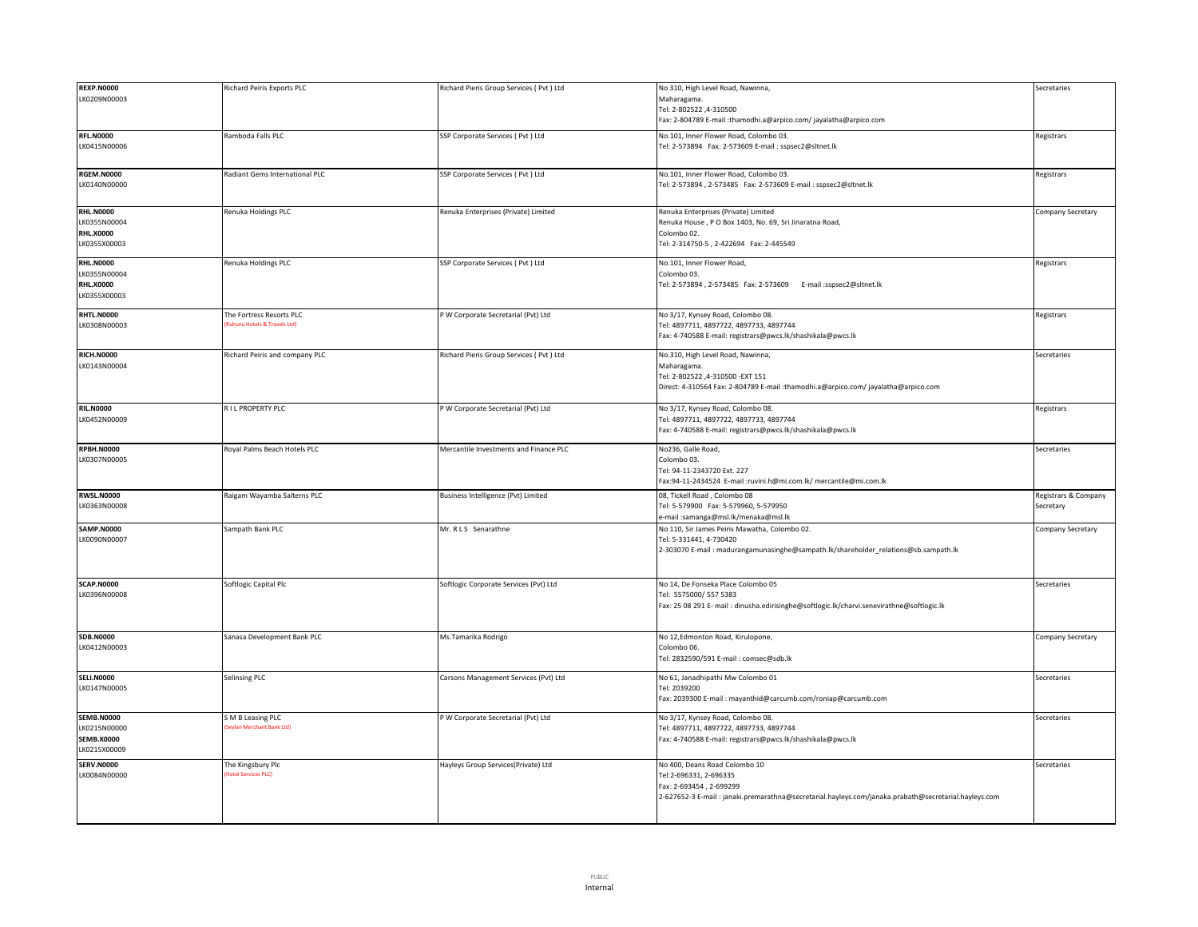| <b>REXP.N0000</b><br>LK0209N00003                                      | Richard Peiris Exports PLC                              | Richard Pieris Group Services (Pvt ) Ltd | No 310, High Level Road, Nawinna,<br>Maharagama<br>4-310500 A-310500                                                                                                                       | Secretaries                       |
|------------------------------------------------------------------------|---------------------------------------------------------|------------------------------------------|--------------------------------------------------------------------------------------------------------------------------------------------------------------------------------------------|-----------------------------------|
|                                                                        |                                                         |                                          | Fax: 2-804789 E-mail :thamodhi.a@arpico.com/ jayalatha@arpico.com                                                                                                                          |                                   |
| <b>RFL.N0000</b><br>LK0415N00006                                       | Ramboda Falls PLC                                       | SSP Corporate Services ( Pvt ) Ltd       | No.101, Inner Flower Road, Colombo 03.<br>Tel: 2-573894 Fax: 2-573609 E-mail : sspsec2@sltnet.lk                                                                                           | Registrars                        |
| <b>RGEM.N0000</b><br>LK0140N00000                                      | Radiant Gems International PLC                          | SSP Corporate Services (Pvt) Ltd         | No.101, Inner Flower Road, Colombo 03.<br>Tel: 2-573894, 2-573485    Fax: 2-573609    E-mail: sspsec2@sltnet.lk                                                                            | Registrars                        |
| <b>RHL.N0000</b><br>LK0355N00004<br><b>RHL.X0000</b><br>LK0355X00003   | Renuka Holdings PLC                                     | Renuka Enterprises (Private) Limited     | Renuka Enterprises (Private) Limited<br>Renuka House, P O Box 1403, No. 69, Sri Jinaratna Road,<br>Colombo 02.<br>Tel: 2-314750-5, 2-422694 Fax: 2-445549                                  | Company Secretary                 |
| <b>RHL.N0000</b><br>LK0355N00004<br><b>RHL.X0000</b><br>LK0355X00003   | Renuka Holdings PLC                                     | SSP Corporate Services ( Pvt ) Ltd       | No.101, Inner Flower Road,<br>Colombo <sub>03</sub><br>Tel: 2-573894, 2-573485    Fax: 2-573609    E-mail :sspsec2@sltnet.lk                                                               | Registrars                        |
| <b>RHTL.N0000</b><br>LK0308N00003                                      | The Fortress Resorts PLC<br>uhunu Hotels & Travels Ltd) | P W Corporate Secretarial (Pvt) Ltd      | No 3/17, Kynsey Road, Colombo 08.<br>Tel: 4897711, 4897722, 4897733, 4897744<br>Fax: 4-740588 E-mail: registrars@pwcs.lk/shashikala@pwcs.lk                                                | Registrars                        |
| <b>RICH.N0000</b><br>LK0143N00004                                      | Richard Peiris and company PLC                          | Richard Pieris Group Services (Pvt ) Ltd | No.310, High Level Road, Nawinna,<br>Maharagama.<br>Tel: 2-802522 ,4-310500 -EXT 151<br>Direct: 4-310564 Fax: 2-804789 E-mail :thamodhi.a@arpico.com/jayalatha@arpico.com                  | Secretaries                       |
| <b>RIL.N0000</b><br>LK0452N00009                                       | RIL PROPERTY PLC                                        | P W Corporate Secretarial (Pvt) Ltd      | No 3/17, Kynsey Road, Colombo 08.<br>Tel: 4897711, 4897722, 4897733, 4897744<br>Fax: 4-740588 E-mail: registrars@pwcs.lk/shashikala@pwcs.lk                                                | Registrars                        |
| <b>RPBH.N0000</b><br>LK0307N00005                                      | Royal Palms Beach Hotels PLC                            | Mercantile Investments and Finance PLC   | No236, Galle Road,<br>Colombo 03.<br>Tel: 94-11-2343720 Ext. 227<br>Fax:94-11-2434524 E-mail :ruvini.h@mi.com.lk/ mercantile@mi.com.lk                                                     | Secretaries                       |
| <b>RWSL.N0000</b><br>LK0363N00008                                      | Raigam Wayamba Salterns PLC                             | Business Intelligence (Pvt) Limited      | 08, Tickell Road, Colombo 08<br>Tel: 5-579900 Fax: 5-579960, 5-579950<br>e-mail :samanga@msl.lk/menaka@msl.lk                                                                              | Registrars & Company<br>Secretary |
| <b>SAMP.N0000</b><br>LK0090N00007                                      | Sampath Bank PLC                                        | Mr. R L S Senarathne                     | No 110, Sir James Peiris Mawatha, Colombo 02.<br>Tel: 5-331441, 4-730420<br>2-303070 E-mail: madurangamunasinghe@sampath.lk/shareholder_relations@sb.sampath.lk                            | Company Secretary                 |
| <b>SCAP.N0000</b><br>LK0396N00008                                      | Softlogic Capital Plc                                   | Softlogic Corporate Services (Pvt) Ltd   | No 14, De Fonseka Place Colombo 05<br>Tel: 5575000/ 557 5383<br>Fax: 25 08 291 E- mail: dinusha.edirisinghe@softlogic.lk/charvi.senevirathne@softlogic.lk                                  | Secretaries                       |
| <b>SDB.N0000</b><br>LK0412N00003                                       | Sanasa Development Bank PLC                             | Ms.Tamarika Rodrigo                      | No 12, Edmonton Road, Kirulopone,<br>Colombo 06.<br>Tel: 2832590/591 E-mail: comsec@sdb.lk                                                                                                 | Company Secretary                 |
| <b>SELI.N0000</b><br>LK0147N00005                                      | Selinsing PLC                                           | Carsons Management Services (Pvt) Ltd    | No 61, Janadhipathi Mw Colombo 01<br>Tel: 2039200<br>Fax: 2039300 E-mail: mayanthid@carcumb.com/roniap@carcumb.com                                                                         | Secretaries                       |
| <b>SEMB.N0000</b><br>LK0215N00000<br><b>SEMB.X0000</b><br>LK0215X00009 | S M B Leasing PLC<br>evlan Merchant Bank Ltd)           | P W Corporate Secretarial (Pvt) Ltd      | No 3/17, Kynsey Road, Colombo 08.<br>Tel: 4897711, 4897722, 4897733, 4897744<br>Fax: 4-740588 E-mail: registrars@pwcs.lk/shashikala@pwcs.lk                                                | Secretaries                       |
| <b>SERV.N0000</b><br>LK0084N00000                                      | The Kingsbury Plc<br><b>otel Services PLC</b>           | Hayleys Group Services(Private) Ltd      | No 400, Deans Road Colombo 10<br>Tel:2-696331, 2-696335<br>Fax: 2-693454, 2-699299<br>2-627652-3 E-mail: janaki.premarathna@secretarial.hayleys.com/janaka.prabath@secretarial.hayleys.com | Secretaries                       |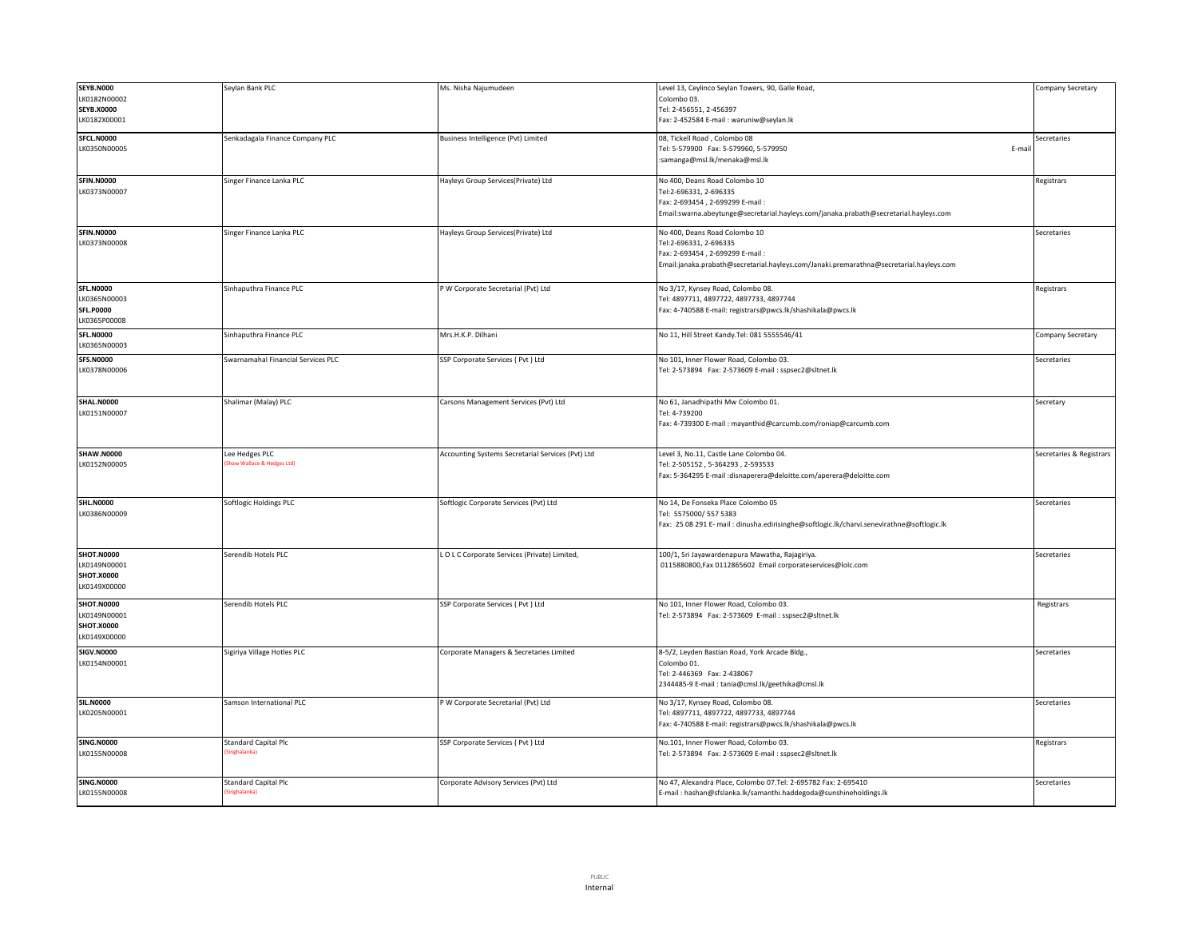| <b>SEYB.N000</b>  | Seylan Bank PLC                            | Ms. Nisha Najumudeen                              | Level 13, Ceylinco Seylan Towers, 90, Galle Road,                                         | Company Secretary        |
|-------------------|--------------------------------------------|---------------------------------------------------|-------------------------------------------------------------------------------------------|--------------------------|
| K0182N00002       |                                            |                                                   | Colombo 03.                                                                               |                          |
|                   |                                            |                                                   |                                                                                           |                          |
| <b>SEYB.X0000</b> |                                            |                                                   | Tel: 2-456551, 2-456397                                                                   |                          |
| LK0182X00001      |                                            |                                                   | Fax: 2-452584 E-mail: waruniw@seylan.lk                                                   |                          |
| SFCL.N0000        | Senkadagala Finance Company PLC            | Business Intelligence (Pvt) Limited               | 08, Tickell Road, Colombo 08                                                              | Secretaries              |
| LK0350N00005      |                                            |                                                   | Tel: 5-579900 Fax: 5-579960, 5-579950<br>E-mail                                           |                          |
|                   |                                            |                                                   |                                                                                           |                          |
|                   |                                            |                                                   | :samanga@msl.lk/menaka@msl.lk                                                             |                          |
|                   |                                            |                                                   |                                                                                           |                          |
| <b>SFIN.N0000</b> | Singer Finance Lanka PLC                   | Hayleys Group Services(Private) Ltd               | No 400, Deans Road Colombo 10                                                             | Registrars               |
| LK0373N00007      |                                            |                                                   | Tel:2-696331, 2-696335                                                                    |                          |
|                   |                                            |                                                   | Fax: 2-693454, 2-699299 E-mail:                                                           |                          |
|                   |                                            |                                                   | Email:swarna.abeytunge@secretarial.hayleys.com/janaka.prabath@secretarial.hayleys.com     |                          |
|                   |                                            |                                                   |                                                                                           |                          |
| <b>SFIN.N0000</b> | Singer Finance Lanka PLC                   | Hayleys Group Services(Private) Ltd               | No 400. Deans Road Colombo 10                                                             | Secretaries              |
| LK0373N00008      |                                            |                                                   | Tel:2-696331, 2-696335                                                                    |                          |
|                   |                                            |                                                   | Fax: 2-693454, 2-699299 E-mail:                                                           |                          |
|                   |                                            |                                                   | Email:janaka.prabath@secretarial.hayleys.com/Janaki.premarathna@secretarial.hayleys.com   |                          |
|                   |                                            |                                                   |                                                                                           |                          |
| <b>SFL.N0000</b>  | Sinhaputhra Finance PLC                    | P W Corporate Secretarial (Pvt) Ltd               | No 3/17, Kynsey Road, Colombo 08.                                                         | Registrars               |
| LK0365N00003      |                                            |                                                   | Tel: 4897711, 4897722, 4897733, 4897744                                                   |                          |
| <b>SFL.P0000</b>  |                                            |                                                   | Fax: 4-740588 E-mail: registrars@pwcs.lk/shashikala@pwcs.lk                               |                          |
| LK0365P00008      |                                            |                                                   |                                                                                           |                          |
|                   |                                            |                                                   |                                                                                           |                          |
| <b>SFL.N0000</b>  | Sinhaputhra Finance PLC                    | Mrs.H.K.P. Dilhani                                | No 11, Hill Street Kandy. Tel: 081 5555546/41                                             | Company Secretary        |
| LK0365N00003      |                                            |                                                   |                                                                                           |                          |
| <b>SFS.N0000</b>  | Swarnamahal Financial Services PLC         | SSP Corporate Services (Pvt) Ltd                  | No 101, Inner Flower Road, Colombo 03.                                                    | Secretaries              |
| LK0378N00006      |                                            |                                                   | Tel: 2-573894 Fax: 2-573609 E-mail : sspsec2@sltnet.lk                                    |                          |
|                   |                                            |                                                   |                                                                                           |                          |
|                   |                                            |                                                   |                                                                                           |                          |
|                   | Shalimar (Malay) PLC                       |                                                   | No 61, Janadhipathi Mw Colombo 01.                                                        |                          |
| <b>SHAL.N0000</b> |                                            | Carsons Management Services (Pvt) Ltd             |                                                                                           | Secretary                |
| LK0151N00007      |                                            |                                                   | Tel: 4-739200                                                                             |                          |
|                   |                                            |                                                   | Fax: 4-739300 E-mail: mayanthid@carcumb.com/roniap@carcumb.com                            |                          |
|                   |                                            |                                                   |                                                                                           |                          |
|                   |                                            |                                                   |                                                                                           |                          |
|                   |                                            |                                                   |                                                                                           |                          |
| <b>SHAW.N0000</b> | Lee Hedges PLC                             | Accounting Systems Secretarial Services (Pvt) Ltd | Level 3, No.11, Castle Lane Colombo 04.                                                   | Secretaries & Registrars |
| LK0152N00005      | Shaw Wallace & Hedges Ltd)                 |                                                   | Tel: 2-505152, 5-364293, 2-593533                                                         |                          |
|                   |                                            |                                                   | Fax: 5-364295 E-mail : disnaperera@deloitte.com/aperera@deloitte.com                      |                          |
|                   |                                            |                                                   |                                                                                           |                          |
|                   |                                            |                                                   |                                                                                           |                          |
| <b>SHL.N0000</b>  | Softlogic Holdings PLC                     | Softlogic Corporate Services (Pvt) Ltd            | No 14, De Fonseka Place Colombo 05                                                        | Secretaries              |
| LK0386N00009      |                                            |                                                   | Tel: 5575000/ 557 5383                                                                    |                          |
|                   |                                            |                                                   | Fax: 25 08 291 E- mail: dinusha.edirisinghe@softlogic.lk/charvi.senevirathne@softlogic.lk |                          |
|                   |                                            |                                                   |                                                                                           |                          |
|                   |                                            |                                                   |                                                                                           |                          |
| <b>SHOT.N0000</b> | Serendib Hotels PLC                        | LOLC Corporate Services (Private) Limited,        | 100/1, Sri Jayawardenapura Mawatha, Rajagiriya.                                           | Secretaries              |
| LK0149N00001      |                                            |                                                   | 0115880800, Fax 0112865602 Email corporateservices@lolc.com                               |                          |
| SHOT.X0000        |                                            |                                                   |                                                                                           |                          |
| LK0149X00000      |                                            |                                                   |                                                                                           |                          |
|                   |                                            |                                                   |                                                                                           |                          |
| <b>SHOT.N0000</b> | Serendib Hotels PLC                        | SSP Corporate Services (Pvt) Ltd                  | No 101, Inner Flower Road, Colombo 03.                                                    | Registrars               |
| LK0149N00001      |                                            |                                                   | Tel: 2-573894 Fax: 2-573609 E-mail : sspsec2@sltnet.lk                                    |                          |
| SHOT.X0000        |                                            |                                                   |                                                                                           |                          |
| LK0149X00000      |                                            |                                                   |                                                                                           |                          |
|                   |                                            |                                                   |                                                                                           |                          |
| <b>SIGV.N0000</b> | Sigiriya Village Hotles PLC                | Corporate Managers & Secretaries Limited          | 8-5/2, Leyden Bastian Road, York Arcade Bldg.,                                            | Secretaries              |
| LK0154N00001      |                                            |                                                   | Colombo 01.                                                                               |                          |
|                   |                                            |                                                   | Tel: 2-446369 Fax: 2-438067                                                               |                          |
|                   |                                            |                                                   | 2344485-9 E-mail: tania@cmsl.lk/geethika@cmsl.lk                                          |                          |
|                   |                                            |                                                   |                                                                                           |                          |
| <b>SIL.N0000</b>  | Samson International PLC                   | P W Corporate Secretarial (Pvt) Ltd               | No 3/17, Kynsey Road, Colombo 08.                                                         | Secretaries              |
| LK0205N00001      |                                            |                                                   | Tel: 4897711, 4897722, 4897733, 4897744                                                   |                          |
|                   |                                            |                                                   | Fax: 4-740588 E-mail: registrars@pwcs.lk/shashikala@pwcs.lk                               |                          |
|                   |                                            |                                                   |                                                                                           |                          |
| <b>SING.N0000</b> | <b>Standard Capital Plc</b><br>inghalanka) | SSP Corporate Services (Pvt) Ltd                  | No.101, Inner Flower Road, Colombo 03.                                                    | Registrars               |
| LK0155N00008      |                                            |                                                   | Tel: 2-573894 Fax: 2-573609 E-mail: sspsec2@sltnet.lk                                     |                          |
|                   |                                            |                                                   |                                                                                           |                          |
| <b>SING.N0000</b> | <b>Standard Capital Plc</b>                | Corporate Advisory Services (Pvt) Ltd             | No 47, Alexandra Place, Colombo 07.Tel: 2-695782 Fax: 2-695410                            | Secretaries              |
| LK0155N00008      | Singhalanka)                               |                                                   | E-mail: hashan@sfslanka.lk/samanthi.haddegoda@sunshineholdings.lk                         |                          |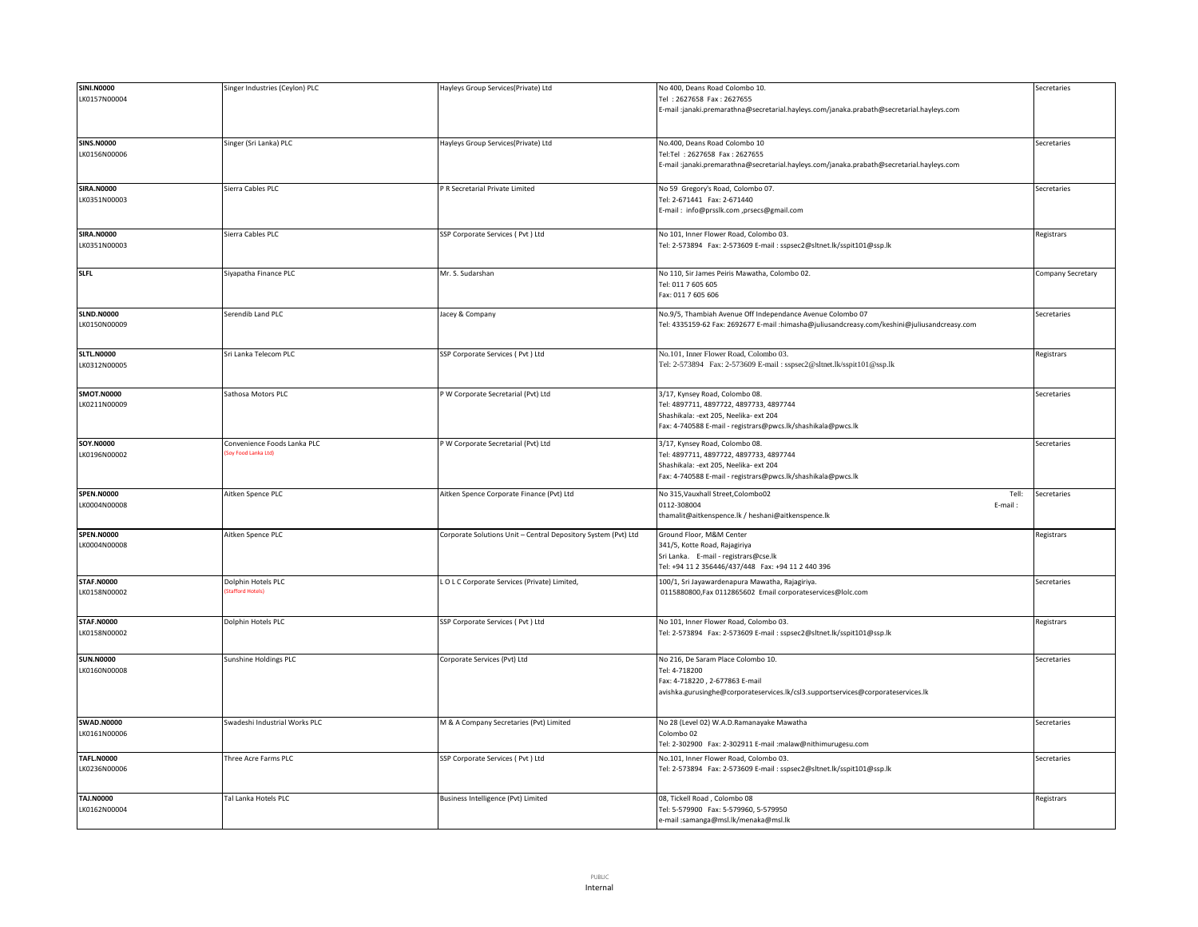| <b>SINI.N0000</b> | Singer Industries (Ceylon) PLC | Hayleys Group Services(Private) Ltd                            | No 400, Deans Road Colombo 10.                                                               | Secretaries       |
|-------------------|--------------------------------|----------------------------------------------------------------|----------------------------------------------------------------------------------------------|-------------------|
| LK0157N00004      |                                |                                                                | Tel: 2627658 Fax: 2627655                                                                    |                   |
|                   |                                |                                                                | E-mail :janaki.premarathna@secretarial.hayleys.com/janaka.prabath@secretarial.hayleys.com    |                   |
|                   |                                |                                                                |                                                                                              |                   |
|                   |                                |                                                                |                                                                                              |                   |
|                   |                                |                                                                |                                                                                              |                   |
| <b>SINS.N0000</b> | Singer (Sri Lanka) PLC         | Hayleys Group Services(Private) Ltd                            | No.400, Deans Road Colombo 10                                                                | Secretaries       |
| LK0156N00006      |                                |                                                                | Tel:Tel: 2627658 Fax: 2627655                                                                |                   |
|                   |                                |                                                                | E-mail:janaki.premarathna@secretarial.hayleys.com/janaka.prabath@secretarial.hayleys.com     |                   |
|                   |                                |                                                                |                                                                                              |                   |
| <b>SIRA.N0000</b> | Sierra Cables PLC              | P R Secretarial Private Limited                                | No 59 Gregory's Road, Colombo 07.                                                            | Secretaries       |
| LK0351N00003      |                                |                                                                | Tel: 2-671441 Fax: 2-671440                                                                  |                   |
|                   |                                |                                                                | E-mail: info@prsslk.com ,prsecs@gmail.com                                                    |                   |
|                   |                                |                                                                |                                                                                              |                   |
|                   |                                |                                                                |                                                                                              |                   |
| <b>SIRA.N0000</b> | Sierra Cables PLC              | SSP Corporate Services ( Pvt ) Ltd                             | No 101, Inner Flower Road, Colombo 03.                                                       | Registrars        |
| LK0351N00003      |                                |                                                                | Tel: 2-573894 Fax: 2-573609 E-mail : sspsec2@sltnet.lk/sspit101@ssp.lk                       |                   |
|                   |                                |                                                                |                                                                                              |                   |
|                   |                                |                                                                |                                                                                              |                   |
| <b>SLFL</b>       | Siyapatha Finance PLC          | Mr. S. Sudarshan                                               | No 110, Sir James Peiris Mawatha, Colombo 02.                                                | Company Secretary |
|                   |                                |                                                                | Tel: 011 7 605 605                                                                           |                   |
|                   |                                |                                                                | Fax: 011 7 605 606                                                                           |                   |
|                   |                                |                                                                |                                                                                              |                   |
| <b>SLND.N0000</b> | Serendib Land PLC              | lacey & Company                                                | No.9/5, Thambiah Avenue Off Independance Avenue Colombo 07                                   | Secretaries       |
| LK0150N00009      |                                |                                                                | Tel: 4335159-62 Fax: 2692677 E-mail :himasha@juliusandcreasy.com/keshini@juliusandcreasy.com |                   |
|                   |                                |                                                                |                                                                                              |                   |
|                   |                                |                                                                |                                                                                              |                   |
| <b>SLTL.N0000</b> | Sri Lanka Telecom PLC          | SSP Corporate Services (Pvt) Ltd                               | No.101, Inner Flower Road, Colombo 03.                                                       | Registrars        |
| LK0312N00005      |                                |                                                                | Tel: 2-573894 Fax: 2-573609 E-mail: sspsec2@sltnet.lk/sspit101@ssp.lk                        |                   |
|                   |                                |                                                                |                                                                                              |                   |
|                   |                                |                                                                |                                                                                              |                   |
| <b>SMOT.N0000</b> | Sathosa Motors PLC             | P W Corporate Secretarial (Pvt) Ltd                            | 3/17, Kynsey Road, Colombo 08.                                                               | Secretaries       |
| LK0211N00009      |                                |                                                                | Tel: 4897711, 4897722, 4897733, 4897744                                                      |                   |
|                   |                                |                                                                | Shashikala: - ext 205, Neelika- ext 204                                                      |                   |
|                   |                                |                                                                | Fax: 4-740588 E-mail - registrars@pwcs.lk/shashikala@pwcs.lk                                 |                   |
|                   |                                |                                                                |                                                                                              |                   |
| <b>SOY.N0000</b>  | Convenience Foods Lanka PLC    | P W Corporate Secretarial (Pvt) Ltd                            | 3/17, Kynsey Road, Colombo 08.                                                               | Secretaries       |
| LK0196N00002      | Soy Food Lanka Ltd)            |                                                                | Tel: 4897711, 4897722, 4897733, 4897744                                                      |                   |
|                   |                                |                                                                | Shashikala: - ext 205, Neelika- ext 204                                                      |                   |
|                   |                                |                                                                | Fax: 4-740588 E-mail - registrars@pwcs.lk/shashikala@pwcs.lk                                 |                   |
|                   |                                |                                                                |                                                                                              |                   |
| <b>SPEN.N0000</b> | Aitken Spence PLC              | Aitken Spence Corporate Finance (Pvt) Ltd                      | No 315, Vauxhall Street, Colombo02<br>Tell:                                                  | Secretaries       |
| LK0004N00008      |                                |                                                                | 0112-308004<br>E-mail:                                                                       |                   |
|                   |                                |                                                                | thamalit@aitkenspence.lk / heshani@aitkenspence.lk                                           |                   |
|                   |                                |                                                                |                                                                                              |                   |
| <b>SPEN.N0000</b> | Aitken Spence PLC              | Corporate Solutions Unit - Central Depository System (Pvt) Ltd | Ground Floor, M&M Center                                                                     | Registrars        |
| LK0004N00008      |                                |                                                                | 341/5, Kotte Road, Rajagiriya                                                                |                   |
|                   |                                |                                                                | Sri Lanka. E-mail - registrars@cse.lk                                                        |                   |
|                   |                                |                                                                | Tel: +94 11 2 356446/437/448  Fax: +94 11 2 440 396                                          |                   |
| <b>STAF.N0000</b> |                                |                                                                |                                                                                              |                   |
|                   | Dolphin Hotels PLC             | LOLC Corporate Services (Private) Limited,                     | 100/1, Sri Jayawardenapura Mawatha, Rajagiriya.                                              | Secretaries       |
| LK0158N00002      |                                |                                                                | 0115880800, Fax 0112865602 Email corporateservices@lolc.com                                  |                   |
|                   |                                |                                                                |                                                                                              |                   |
|                   |                                |                                                                |                                                                                              |                   |
| <b>STAF.N0000</b> | Dolphin Hotels PLC             | SSP Corporate Services ( Pvt ) Ltd                             | No 101, Inner Flower Road, Colombo 03.                                                       | Registrars        |
| LK0158N00002      |                                |                                                                | Tel: 2-573894 Fax: 2-573609 E-mail : sspsec2@sltnet.lk/sspit101@ssp.lk                       |                   |
|                   |                                |                                                                |                                                                                              |                   |
| <b>SUN.N0000</b>  | Sunshine Holdings PLC          | Corporate Services (Pvt) Ltd                                   | No 216, De Saram Place Colombo 10.                                                           | Secretaries       |
| LK0160N00008      |                                |                                                                | Tel: 4-718200                                                                                |                   |
|                   |                                |                                                                |                                                                                              |                   |
|                   |                                |                                                                | Fax: 4-718220, 2-677863 E-mail                                                               |                   |
|                   |                                |                                                                | avishka.gurusinghe@corporateservices.lk/csl3.supportservices@corporateservices.lk            |                   |
|                   |                                |                                                                |                                                                                              |                   |
|                   |                                |                                                                |                                                                                              |                   |
| <b>SWAD.N0000</b> | Swadeshi Industrial Works PLC  | M & A Company Secretaries (Pvt) Limited                        | No 28 (Level 02) W.A.D.Ramanayake Mawatha                                                    | Secretaries       |
| LK0161N00006      |                                |                                                                | Colombo 02                                                                                   |                   |
|                   |                                |                                                                | Tel: 2-302900 Fax: 2-302911 E-mail :malaw@nithimurugesu.com                                  |                   |
| <b>TAFL.N0000</b> | Three Acre Farms PLC           | SSP Corporate Services ( Pvt ) Ltd                             | Vo.101, Inner Flower Road, Colombo 03.                                                       | Secretaries       |
| LK0236N00006      |                                |                                                                | Tel: 2-573894    Fax: 2-573609    E-mail : sspsec2@sltnet.lk/sspit101@ssp.lk                 |                   |
|                   |                                |                                                                |                                                                                              |                   |
|                   |                                |                                                                |                                                                                              |                   |
| TAJ.N0000         | Tal Lanka Hotels PLC           | Business Intelligence (Pvt) Limited                            | 08, Tickell Road, Colombo 08                                                                 | Registrars        |
| LK0162N00004      |                                |                                                                | Tel: 5-579900 Fax: 5-579960, 5-579950                                                        |                   |
|                   |                                |                                                                | e-mail :samanga@msl.lk/menaka@msl.lk                                                         |                   |
|                   |                                |                                                                |                                                                                              |                   |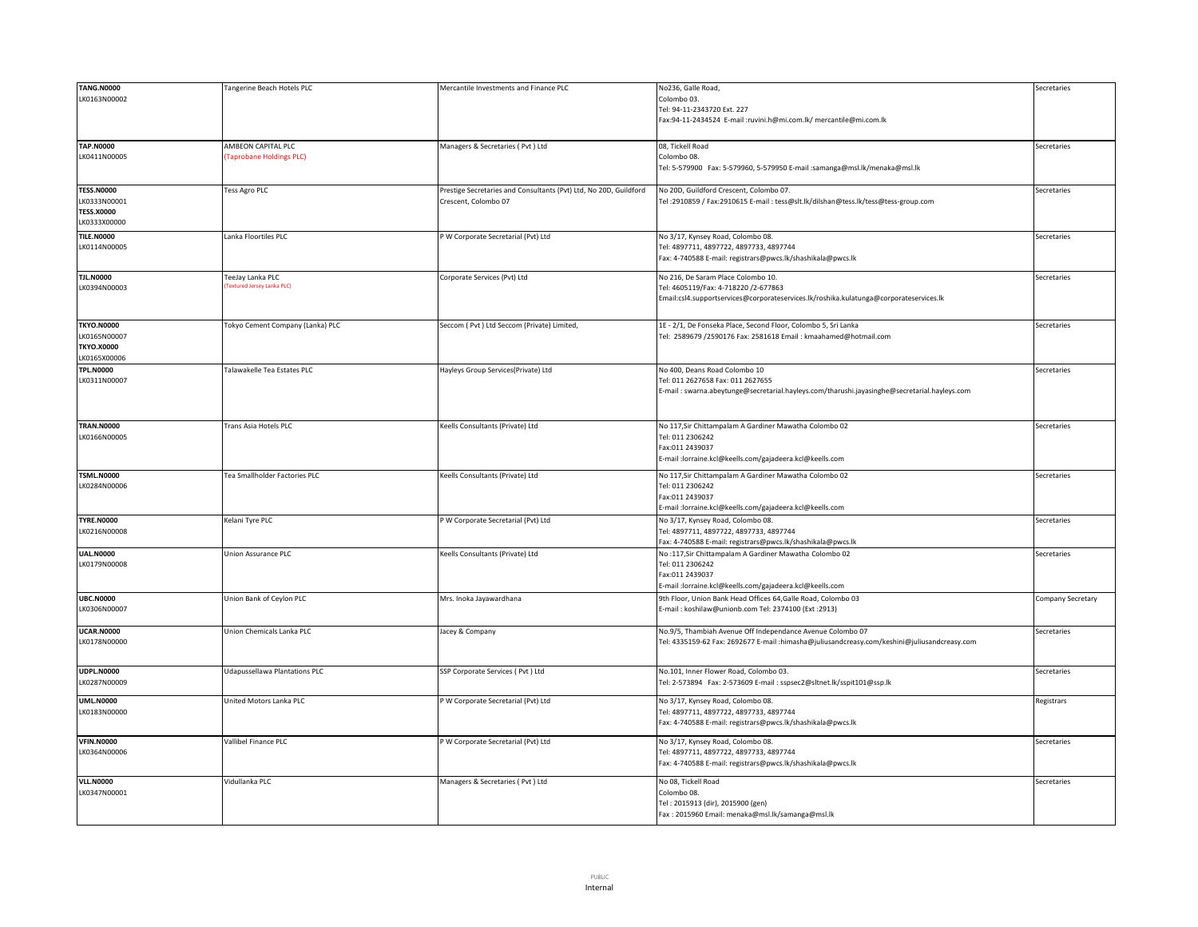| <b>TANG.N0000</b><br>No236, Galle Road,<br><b>Tangerine Beach Hotels PLC</b><br>Mercantile Investments and Finance PLC<br>LK0163N00002<br>Colombo 03.<br>Tel: 94-11-2343720 Ext. 227<br>Fax:94-11-2434524 E-mail :ruvini.h@mi.com.lk/ mercantile@mi.com.lk<br><b>TAP.N0000</b><br>AMBEON CAPITAL PLC<br>Managers & Secretaries (Pvt) Ltd<br>08, Tickell Road<br>LK0411N00005<br><b>Taprobane Holdings PLC)</b><br>Colombo 08.<br>Tel: 5-579900 Fax: 5-579960, 5-579950 E-mail :samanga@msl.lk/menaka@msl.lk<br><b>TESS.N0000</b><br>Prestige Secretaries and Consultants (Pvt) Ltd, No 20D, Guildford<br>Tess Agro PLC<br>No 20D, Guildford Crescent, Colombo 07.<br>LK0333N00001<br>Crescent, Colombo 07<br>Tel:2910859 / Fax:2910615 E-mail: tess@slt.lk/dilshan@tess.lk/tess@tess-group.com<br><b>TESS.X0000</b> | Secretaries<br>Secretaries |
|---------------------------------------------------------------------------------------------------------------------------------------------------------------------------------------------------------------------------------------------------------------------------------------------------------------------------------------------------------------------------------------------------------------------------------------------------------------------------------------------------------------------------------------------------------------------------------------------------------------------------------------------------------------------------------------------------------------------------------------------------------------------------------------------------------------------|----------------------------|
|                                                                                                                                                                                                                                                                                                                                                                                                                                                                                                                                                                                                                                                                                                                                                                                                                     |                            |
|                                                                                                                                                                                                                                                                                                                                                                                                                                                                                                                                                                                                                                                                                                                                                                                                                     |                            |
|                                                                                                                                                                                                                                                                                                                                                                                                                                                                                                                                                                                                                                                                                                                                                                                                                     |                            |
|                                                                                                                                                                                                                                                                                                                                                                                                                                                                                                                                                                                                                                                                                                                                                                                                                     |                            |
|                                                                                                                                                                                                                                                                                                                                                                                                                                                                                                                                                                                                                                                                                                                                                                                                                     |                            |
|                                                                                                                                                                                                                                                                                                                                                                                                                                                                                                                                                                                                                                                                                                                                                                                                                     |                            |
|                                                                                                                                                                                                                                                                                                                                                                                                                                                                                                                                                                                                                                                                                                                                                                                                                     |                            |
|                                                                                                                                                                                                                                                                                                                                                                                                                                                                                                                                                                                                                                                                                                                                                                                                                     |                            |
|                                                                                                                                                                                                                                                                                                                                                                                                                                                                                                                                                                                                                                                                                                                                                                                                                     |                            |
|                                                                                                                                                                                                                                                                                                                                                                                                                                                                                                                                                                                                                                                                                                                                                                                                                     |                            |
|                                                                                                                                                                                                                                                                                                                                                                                                                                                                                                                                                                                                                                                                                                                                                                                                                     | Secretaries                |
|                                                                                                                                                                                                                                                                                                                                                                                                                                                                                                                                                                                                                                                                                                                                                                                                                     |                            |
|                                                                                                                                                                                                                                                                                                                                                                                                                                                                                                                                                                                                                                                                                                                                                                                                                     |                            |
|                                                                                                                                                                                                                                                                                                                                                                                                                                                                                                                                                                                                                                                                                                                                                                                                                     |                            |
| LK0333X00000                                                                                                                                                                                                                                                                                                                                                                                                                                                                                                                                                                                                                                                                                                                                                                                                        |                            |
| <b>TILE.N0000</b><br>Lanka Floortiles PLC<br>P W Corporate Secretarial (Pvt) Ltd<br>No 3/17, Kynsey Road, Colombo 08.                                                                                                                                                                                                                                                                                                                                                                                                                                                                                                                                                                                                                                                                                               | Secretaries                |
| LK0114N00005<br>Tel: 4897711, 4897722, 4897733, 4897744                                                                                                                                                                                                                                                                                                                                                                                                                                                                                                                                                                                                                                                                                                                                                             |                            |
| Fax: 4-740588 E-mail: registrars@pwcs.lk/shashikala@pwcs.lk                                                                                                                                                                                                                                                                                                                                                                                                                                                                                                                                                                                                                                                                                                                                                         |                            |
|                                                                                                                                                                                                                                                                                                                                                                                                                                                                                                                                                                                                                                                                                                                                                                                                                     |                            |
| <b>TJL.N0000</b><br>FeeJay Lanka PLC<br>No 216, De Saram Place Colombo 10.<br>Corporate Services (Pvt) Ltd                                                                                                                                                                                                                                                                                                                                                                                                                                                                                                                                                                                                                                                                                                          | Secretaries                |
| <b>Fextured Jersey Lanka PLC)</b><br>LK0394N00003<br>Tel: 4605119/Fax: 4-718220 /2-677863                                                                                                                                                                                                                                                                                                                                                                                                                                                                                                                                                                                                                                                                                                                           |                            |
|                                                                                                                                                                                                                                                                                                                                                                                                                                                                                                                                                                                                                                                                                                                                                                                                                     |                            |
| Email:csl4.supportservices@corporateservices.lk/roshika.kulatunga@corporateservices.lk                                                                                                                                                                                                                                                                                                                                                                                                                                                                                                                                                                                                                                                                                                                              |                            |
|                                                                                                                                                                                                                                                                                                                                                                                                                                                                                                                                                                                                                                                                                                                                                                                                                     |                            |
| <b>TKYO.N0000</b><br>Tokyo Cement Company (Lanka) PLC<br>Seccom ( Pvt ) Ltd Seccom (Private) Limited,<br>1E - 2/1, De Fonseka Place, Second Floor, Colombo 5, Sri Lanka                                                                                                                                                                                                                                                                                                                                                                                                                                                                                                                                                                                                                                             | Secretaries                |
| LK0165N00007                                                                                                                                                                                                                                                                                                                                                                                                                                                                                                                                                                                                                                                                                                                                                                                                        |                            |
| Tel: 2589679 /2590176 Fax: 2581618 Email : kmaahamed@hotmail.com                                                                                                                                                                                                                                                                                                                                                                                                                                                                                                                                                                                                                                                                                                                                                    |                            |
| <b>TKYO.X0000</b>                                                                                                                                                                                                                                                                                                                                                                                                                                                                                                                                                                                                                                                                                                                                                                                                   |                            |
| LK0165X00006                                                                                                                                                                                                                                                                                                                                                                                                                                                                                                                                                                                                                                                                                                                                                                                                        |                            |
| <b>TPL.N0000</b><br>Talawakelle Tea Estates PLC<br>Hayleys Group Services(Private) Ltd<br>No 400, Deans Road Colombo 10                                                                                                                                                                                                                                                                                                                                                                                                                                                                                                                                                                                                                                                                                             | Secretaries                |
| LK0311N00007<br>Tel: 011 2627658 Fax: 011 2627655                                                                                                                                                                                                                                                                                                                                                                                                                                                                                                                                                                                                                                                                                                                                                                   |                            |
|                                                                                                                                                                                                                                                                                                                                                                                                                                                                                                                                                                                                                                                                                                                                                                                                                     |                            |
| E-mail: swarna.abeytunge@secretarial.hayleys.com/tharushi.jayasinghe@secretarial.hayleys.com                                                                                                                                                                                                                                                                                                                                                                                                                                                                                                                                                                                                                                                                                                                        |                            |
|                                                                                                                                                                                                                                                                                                                                                                                                                                                                                                                                                                                                                                                                                                                                                                                                                     |                            |
|                                                                                                                                                                                                                                                                                                                                                                                                                                                                                                                                                                                                                                                                                                                                                                                                                     |                            |
| <b>TRAN.N0000</b><br>Trans Asia Hotels PLC<br>Keells Consultants (Private) Ltd<br>No 117, Sir Chittampalam A Gardiner Mawatha Colombo 02                                                                                                                                                                                                                                                                                                                                                                                                                                                                                                                                                                                                                                                                            |                            |
| LK0166N00005<br>Tel: 011 2306242                                                                                                                                                                                                                                                                                                                                                                                                                                                                                                                                                                                                                                                                                                                                                                                    |                            |
|                                                                                                                                                                                                                                                                                                                                                                                                                                                                                                                                                                                                                                                                                                                                                                                                                     | Secretaries                |
| Fax:011 2439037                                                                                                                                                                                                                                                                                                                                                                                                                                                                                                                                                                                                                                                                                                                                                                                                     |                            |
|                                                                                                                                                                                                                                                                                                                                                                                                                                                                                                                                                                                                                                                                                                                                                                                                                     |                            |
| E-mail :lorraine.kcl@keells.com/gajadeera.kcl@keells.com                                                                                                                                                                                                                                                                                                                                                                                                                                                                                                                                                                                                                                                                                                                                                            |                            |
|                                                                                                                                                                                                                                                                                                                                                                                                                                                                                                                                                                                                                                                                                                                                                                                                                     |                            |
| <b>TSML.N0000</b><br>No 117, Sir Chittampalam A Gardiner Mawatha Colombo 02<br>Tea Smallholder Factories PLC<br>Keells Consultants (Private) Ltd                                                                                                                                                                                                                                                                                                                                                                                                                                                                                                                                                                                                                                                                    | Secretaries                |
| LK0284N00006<br>Tel: 011 2306242                                                                                                                                                                                                                                                                                                                                                                                                                                                                                                                                                                                                                                                                                                                                                                                    |                            |
| Fax:011 2439037                                                                                                                                                                                                                                                                                                                                                                                                                                                                                                                                                                                                                                                                                                                                                                                                     |                            |
|                                                                                                                                                                                                                                                                                                                                                                                                                                                                                                                                                                                                                                                                                                                                                                                                                     |                            |
| E-mail :lorraine.kcl@keells.com/gajadeera.kcl@keells.com                                                                                                                                                                                                                                                                                                                                                                                                                                                                                                                                                                                                                                                                                                                                                            |                            |
| <b>TYRE.N0000</b><br>Kelani Tyre PLC<br>P W Corporate Secretarial (Pvt) Ltd<br>No 3/17, Kynsey Road, Colombo 08.                                                                                                                                                                                                                                                                                                                                                                                                                                                                                                                                                                                                                                                                                                    | Secretaries                |
| LK0216N00008<br>Tel: 4897711, 4897722, 4897733, 4897744                                                                                                                                                                                                                                                                                                                                                                                                                                                                                                                                                                                                                                                                                                                                                             |                            |
| Fax: 4-740588 E-mail: registrars@pwcs.lk/shashikala@pwcs.lk                                                                                                                                                                                                                                                                                                                                                                                                                                                                                                                                                                                                                                                                                                                                                         |                            |
| <b>UAL.N0000</b><br>Union Assurance PLC<br>Keells Consultants (Private) Ltd<br>No:117,Sir Chittampalam A Gardiner Mawatha Colombo 02                                                                                                                                                                                                                                                                                                                                                                                                                                                                                                                                                                                                                                                                                | Secretaries                |
| Tel: 011 2306242                                                                                                                                                                                                                                                                                                                                                                                                                                                                                                                                                                                                                                                                                                                                                                                                    |                            |
| LK0179N00008                                                                                                                                                                                                                                                                                                                                                                                                                                                                                                                                                                                                                                                                                                                                                                                                        |                            |
| Fax:011 2439037                                                                                                                                                                                                                                                                                                                                                                                                                                                                                                                                                                                                                                                                                                                                                                                                     |                            |
| :-mail :lorraine.kcl@keells.com/gajadeera.kcl@keells.com                                                                                                                                                                                                                                                                                                                                                                                                                                                                                                                                                                                                                                                                                                                                                            |                            |
| <b>UBC.N0000</b><br>Union Bank of Ceylon PLC<br>Mrs. Inoka Jayawardhana<br>9th Floor, Union Bank Head Offices 64, Galle Road, Colombo 03                                                                                                                                                                                                                                                                                                                                                                                                                                                                                                                                                                                                                                                                            | Company Secretary          |
| LK0306N00007<br>E-mail: koshilaw@unionb.com Tel: 2374100 (Ext:2913)                                                                                                                                                                                                                                                                                                                                                                                                                                                                                                                                                                                                                                                                                                                                                 |                            |
|                                                                                                                                                                                                                                                                                                                                                                                                                                                                                                                                                                                                                                                                                                                                                                                                                     |                            |
| <b>UCAR.N0000</b><br>Union Chemicals Lanka PLC                                                                                                                                                                                                                                                                                                                                                                                                                                                                                                                                                                                                                                                                                                                                                                      |                            |
| Jacey & Company<br>No.9/5, Thambiah Avenue Off Independance Avenue Colombo 07                                                                                                                                                                                                                                                                                                                                                                                                                                                                                                                                                                                                                                                                                                                                       | Secretaries                |
| LK0178N00000<br>Tel: 4335159-62 Fax: 2692677 E-mail :himasha@juliusandcreasy.com/keshini@juliusandcreasy.com                                                                                                                                                                                                                                                                                                                                                                                                                                                                                                                                                                                                                                                                                                        |                            |
|                                                                                                                                                                                                                                                                                                                                                                                                                                                                                                                                                                                                                                                                                                                                                                                                                     |                            |
|                                                                                                                                                                                                                                                                                                                                                                                                                                                                                                                                                                                                                                                                                                                                                                                                                     |                            |
| <b>UDPL.N0000</b><br><b>Udapussellawa Plantations PLC</b><br>SSP Corporate Services ( Pvt ) Ltd<br>No.101, Inner Flower Road, Colombo 03.                                                                                                                                                                                                                                                                                                                                                                                                                                                                                                                                                                                                                                                                           | Secretaries                |
| LK0287N00009<br>Tel: 2-573894 Fax: 2-573609 E-mail : sspsec2@sltnet.lk/sspit101@ssp.lk                                                                                                                                                                                                                                                                                                                                                                                                                                                                                                                                                                                                                                                                                                                              |                            |
|                                                                                                                                                                                                                                                                                                                                                                                                                                                                                                                                                                                                                                                                                                                                                                                                                     |                            |
| <b>UML.N0000</b><br>United Motors Lanka PLC<br>P W Corporate Secretarial (Pvt) Ltd<br>No 3/17, Kynsey Road, Colombo 08.                                                                                                                                                                                                                                                                                                                                                                                                                                                                                                                                                                                                                                                                                             | Registrars                 |
| LK0183N00000<br>Tel: 4897711, 4897722, 4897733, 4897744                                                                                                                                                                                                                                                                                                                                                                                                                                                                                                                                                                                                                                                                                                                                                             |                            |
| Fax: 4-740588 E-mail: registrars@pwcs.lk/shashikala@pwcs.lk                                                                                                                                                                                                                                                                                                                                                                                                                                                                                                                                                                                                                                                                                                                                                         |                            |
|                                                                                                                                                                                                                                                                                                                                                                                                                                                                                                                                                                                                                                                                                                                                                                                                                     |                            |
| <b>VFIN.N0000</b><br>Vallibel Finance PLC<br>P W Corporate Secretarial (Pvt) Ltd<br>No 3/17, Kynsey Road, Colombo 08.                                                                                                                                                                                                                                                                                                                                                                                                                                                                                                                                                                                                                                                                                               | Secretaries                |
| LK0364N00006<br>Tel: 4897711, 4897722, 4897733, 4897744                                                                                                                                                                                                                                                                                                                                                                                                                                                                                                                                                                                                                                                                                                                                                             |                            |
|                                                                                                                                                                                                                                                                                                                                                                                                                                                                                                                                                                                                                                                                                                                                                                                                                     |                            |
| Fax: 4-740588 E-mail: registrars@pwcs.lk/shashikala@pwcs.lk                                                                                                                                                                                                                                                                                                                                                                                                                                                                                                                                                                                                                                                                                                                                                         |                            |
| <b>VLL.N0000</b><br>Vidullanka PLC<br>Managers & Secretaries (Pvt) Ltd<br>No 08, Tickell Road                                                                                                                                                                                                                                                                                                                                                                                                                                                                                                                                                                                                                                                                                                                       | Secretaries                |
|                                                                                                                                                                                                                                                                                                                                                                                                                                                                                                                                                                                                                                                                                                                                                                                                                     |                            |
| LK0347N00001<br>Colombo 08.                                                                                                                                                                                                                                                                                                                                                                                                                                                                                                                                                                                                                                                                                                                                                                                         |                            |
| Tel: 2015913 (dir), 2015900 (gen)<br>Fax: 2015960 Email: menaka@msl.lk/samanga@msl.lk                                                                                                                                                                                                                                                                                                                                                                                                                                                                                                                                                                                                                                                                                                                               |                            |